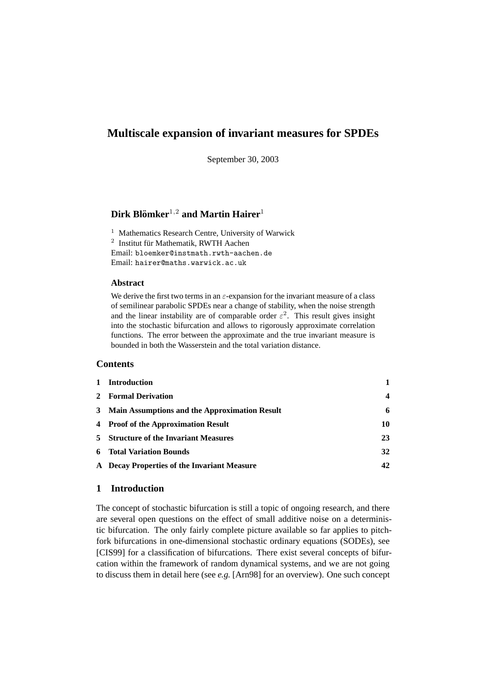# **Multiscale expansion of invariant measures for SPDEs**

September 30, 2003

# $\text{Dirk Blömker}^{1,2}$  and Martin Hairer<sup>1</sup>

<sup>1</sup> Mathematics Research Centre, University of Warwick  $2$  Institut für Mathematik, RWTH Aachen Email: bloemker@instmath.rwth-aachen.de Email: hairer@maths.warwick.ac.uk

# **Abstract**

We derive the first two terms in an  $\varepsilon$ -expansion for the invariant measure of a class of semilinear parabolic SPDEs near a change of stability, when the noise strength and the linear instability are of comparable order  $\varepsilon^2$ . This result gives insight into the stochastic bifurcation and allows to rigorously approximate correlation functions. The error between the approximate and the true invariant measure is bounded in both the Wasserstein and the total variation distance.

# **Contents**

| 1 Introduction                                  |                         |
|-------------------------------------------------|-------------------------|
| 2 Formal Derivation                             | $\overline{\mathbf{4}}$ |
| 3 Main Assumptions and the Approximation Result | 6                       |
| 4 Proof of the Approximation Result             | 10                      |
| 5 Structure of the Invariant Measures           | 23                      |
| <b>6</b> Total Variation Bounds                 | 32                      |
| A Decay Properties of the Invariant Measure     | 42                      |

# **1 Introduction**

The concept of stochastic bifurcation is still a topic of ongoing research, and there are several open questions on the effect of small additive noise on a deterministic bifurcation. The only fairly complete picture available so far applies to pitchfork bifurcations in one-dimensional stochastic ordinary equations (SODEs), see [CIS99] for a classification of bifurcations. There exist several concepts of bifurcation within the framework of random dynamical systems, and we are not going to discuss them in detail here (see *e.g.* [Arn98] for an overview). One such concept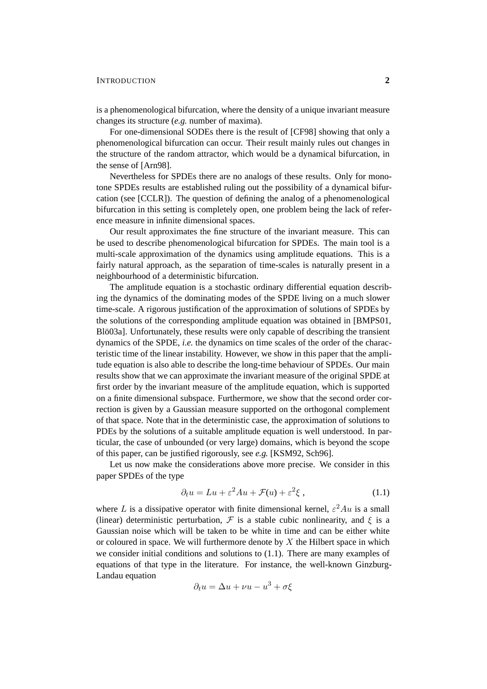#### INTRODUCTION **2**

is a phenomenological bifurcation, where the density of a unique invariant measure changes its structure (*e.g.* number of maxima).

For one-dimensional SODEs there is the result of [CF98] showing that only a phenomenological bifurcation can occur. Their result mainly rules out changes in the structure of the random attractor, which would be a dynamical bifurcation, in the sense of [Arn98].

Nevertheless for SPDEs there are no analogs of these results. Only for monotone SPDEs results are established ruling out the possibility of a dynamical bifurcation (see [CCLR]). The question of defining the analog of a phenomenological bifurcation in this setting is completely open, one problem being the lack of reference measure in infinite dimensional spaces.

Our result approximates the fine structure of the invariant measure. This can be used to describe phenomenological bifurcation for SPDEs. The main tool is a multi-scale approximation of the dynamics using amplitude equations. This is a fairly natural approach, as the separation of time-scales is naturally present in a neighbourhood of a deterministic bifurcation.

The amplitude equation is a stochastic ordinary differential equation describing the dynamics of the dominating modes of the SPDE living on a much slower time-scale. A rigorous justification of the approximation of solutions of SPDEs by the solutions of the corresponding amplitude equation was obtained in [BMPS01, Blö03a]. Unfortunately, these results were only capable of describing the transient dynamics of the SPDE, *i.e.* the dynamics on time scales of the order of the characteristic time of the linear instability. However, we show in this paper that the amplitude equation is also able to describe the long-time behaviour of SPDEs. Our main results show that we can approximate the invariant measure of the original SPDE at first order by the invariant measure of the amplitude equation, which is supported on a finite dimensional subspace. Furthermore, we show that the second order correction is given by a Gaussian measure supported on the orthogonal complement of that space. Note that in the deterministic case, the approximation of solutions to PDEs by the solutions of a suitable amplitude equation is well understood. In particular, the case of unbounded (or very large) domains, which is beyond the scope of this paper, can be justified rigorously, see *e.g.* [KSM92, Sch96].

Let us now make the considerations above more precise. We consider in this paper SPDEs of the type

$$
\partial_t u = Lu + \varepsilon^2 Au + \mathcal{F}(u) + \varepsilon^2 \xi , \qquad (1.1)
$$

where L is a dissipative operator with finite dimensional kernel,  $\varepsilon^2 A u$  is a small (linear) deterministic perturbation,  $\mathcal F$  is a stable cubic nonlinearity, and  $\zeta$  is a Gaussian noise which will be taken to be white in time and can be either white or coloured in space. We will furthermore denote by  $X$  the Hilbert space in which we consider initial conditions and solutions to (1.1). There are many examples of equations of that type in the literature. For instance, the well-known Ginzburg-Landau equation

$$
\partial_t u = \Delta u + \nu u - u^3 + \sigma \xi
$$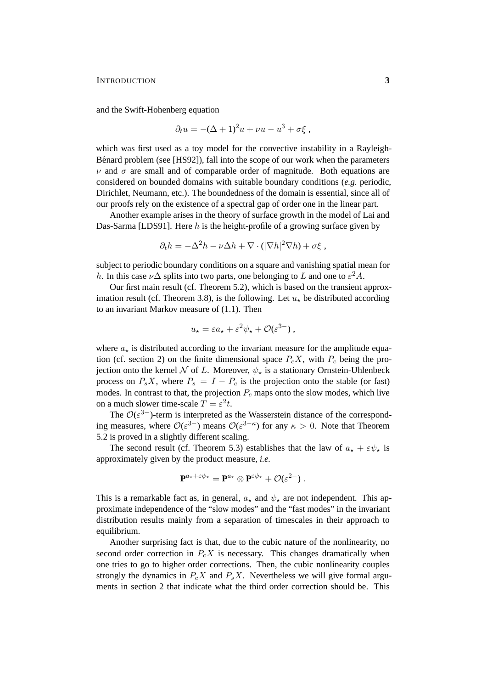#### INTRODUCTION 3

and the Swift-Hohenberg equation

$$
\partial_t u = -(\Delta + 1)^2 u + \nu u - u^3 + \sigma \xi ,
$$

which was first used as a toy model for the convective instability in a Rayleigh-Bénard problem (see [HS92]), fall into the scope of our work when the parameters  $\nu$  and  $\sigma$  are small and of comparable order of magnitude. Both equations are considered on bounded domains with suitable boundary conditions (*e.g.* periodic, Dirichlet, Neumann, etc.). The boundedness of the domain is essential, since all of our proofs rely on the existence of a spectral gap of order one in the linear part.

Another example arises in the theory of surface growth in the model of Lai and Das-Sarma [LDS91]. Here  $h$  is the height-profile of a growing surface given by

$$
\partial_t h = -\Delta^2 h - \nu \Delta h + \nabla \cdot (|\nabla h|^2 \nabla h) + \sigma \xi ,
$$

subject to periodic boundary conditions on a square and vanishing spatial mean for h. In this case  $\nu\Delta$  splits into two parts, one belonging to L and one to  $\varepsilon^2 A$ .

Our first main result (cf. Theorem 5.2), which is based on the transient approximation result (cf. Theorem 3.8), is the following. Let  $u<sub>\star</sub>$  be distributed according to an invariant Markov measure of (1.1). Then

$$
u_{\star} = \varepsilon a_{\star} + \varepsilon^2 \psi_{\star} + \mathcal{O}(\varepsilon^{3-}),
$$

where  $a_{\star}$  is distributed according to the invariant measure for the amplitude equation (cf. section 2) on the finite dimensional space  $P_cX$ , with  $P_c$  being the projection onto the kernel N of L. Moreover,  $\psi_{\star}$  is a stationary Ornstein-Uhlenbeck process on  $P_sX$ , where  $P_s = I - P_c$  is the projection onto the stable (or fast) modes. In contrast to that, the projection  $P_c$  maps onto the slow modes, which live on a much slower time-scale  $T = \varepsilon^2 t$ .

The  $O(\varepsilon^{3-})$ -term is interpreted as the Wasserstein distance of the corresponding measures, where  $\mathcal{O}(\varepsilon^{3-})$  means  $\mathcal{O}(\varepsilon^{3-\kappa})$  for any  $\kappa > 0$ . Note that Theorem 5.2 is proved in a slightly different scaling.

The second result (cf. Theorem 5.3) establishes that the law of  $a_{\star} + \varepsilon \psi_{\star}$  is approximately given by the product measure, *i.e.*

$$
\mathbf{P}^{a_{\star}+\varepsilon\psi_{\star}}=\mathbf{P}^{a_{\star}}\otimes\mathbf{P}^{\varepsilon\psi_{\star}}+\mathcal{O}(\varepsilon^{2-})\ .
$$

This is a remarkable fact as, in general,  $a_{\star}$  and  $\psi_{\star}$  are not independent. This approximate independence of the "slow modes" and the "fast modes" in the invariant distribution results mainly from a separation of timescales in their approach to equilibrium.

Another surprising fact is that, due to the cubic nature of the nonlinearity, no second order correction in  $P_cX$  is necessary. This changes dramatically when one tries to go to higher order corrections. Then, the cubic nonlinearity couples strongly the dynamics in  $P_cX$  and  $P_sX$ . Nevertheless we will give formal arguments in section 2 that indicate what the third order correction should be. This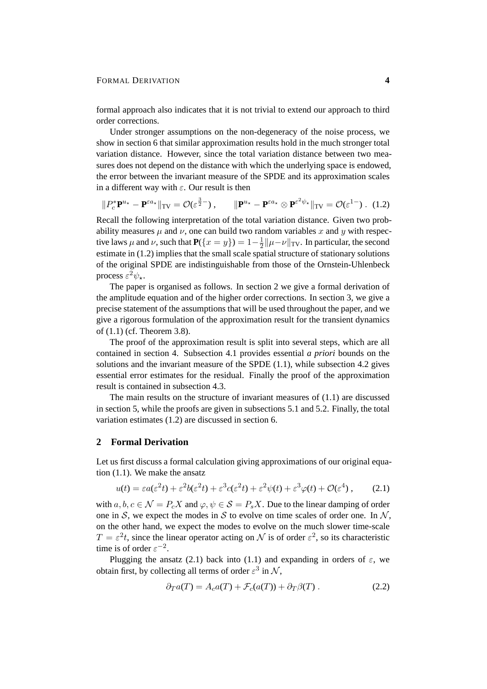#### FORMAL DERIVATION **4**

formal approach also indicates that it is not trivial to extend our approach to third order corrections.

Under stronger assumptions on the non-degeneracy of the noise process, we show in section 6 that similar approximation results hold in the much stronger total variation distance. However, since the total variation distance between two measures does not depend on the distance with which the underlying space is endowed, the error between the invariant measure of the SPDE and its approximation scales in a different way with  $\varepsilon$ . Our result is then

$$
\|P_c^* \mathbf{P}^{u_\star} - \mathbf{P}^{\varepsilon a_\star}\|_{\mathrm{TV}} = \mathcal{O}(\varepsilon^{\frac{3}{2}-}), \qquad \|\mathbf{P}^{u_\star} - \mathbf{P}^{\varepsilon a_\star} \otimes \mathbf{P}^{\varepsilon^2 \psi_\star}\|_{\mathrm{TV}} = \mathcal{O}(\varepsilon^{1-}) \ . \tag{1.2}
$$

Recall the following interpretation of the total variation distance. Given two probability measures  $\mu$  and  $\nu$ , one can build two random variables x and y with respective laws  $\mu$  and  $\nu$ , such that  $P({x = y}) = 1 - \frac{1}{2}$  $\frac{1}{2} \|\mu - \nu\|_{TV}$ . In particular, the second estimate in (1.2) implies that the small scale spatial structure of stationary solutions of the original SPDE are indistinguishable from those of the Ornstein-Uhlenbeck process  $\varepsilon^2 \psi_{\star}$ .

The paper is organised as follows. In section 2 we give a formal derivation of the amplitude equation and of the higher order corrections. In section 3, we give a precise statement of the assumptions that will be used throughout the paper, and we give a rigorous formulation of the approximation result for the transient dynamics of (1.1) (cf. Theorem 3.8).

The proof of the approximation result is split into several steps, which are all contained in section 4. Subsection 4.1 provides essential *a priori* bounds on the solutions and the invariant measure of the SPDE  $(1.1)$ , while subsection 4.2 gives essential error estimates for the residual. Finally the proof of the approximation result is contained in subsection 4.3.

The main results on the structure of invariant measures of (1.1) are discussed in section 5, while the proofs are given in subsections 5.1 and 5.2. Finally, the total variation estimates (1.2) are discussed in section 6.

## **2 Formal Derivation**

Let us first discuss a formal calculation giving approximations of our original equation (1.1). We make the ansatz

$$
u(t) = \varepsilon a(\varepsilon^2 t) + \varepsilon^2 b(\varepsilon^2 t) + \varepsilon^3 c(\varepsilon^2 t) + \varepsilon^2 \psi(t) + \varepsilon^3 \varphi(t) + \mathcal{O}(\varepsilon^4) ,\qquad(2.1)
$$

with  $a, b, c \in \mathcal{N} = P_c X$  and  $\varphi, \psi \in \mathcal{S} = P_s X$ . Due to the linear damping of order one in S, we expect the modes in S to evolve on time scales of order one. In  $N$ , on the other hand, we expect the modes to evolve on the much slower time-scale  $T = \varepsilon^2 t$ , since the linear operator acting on N is of order  $\varepsilon^2$ , so its characteristic time is of order  $\varepsilon^{-2}$ .

Plugging the ansatz (2.1) back into (1.1) and expanding in orders of  $\varepsilon$ , we obtain first, by collecting all terms of order  $\varepsilon^3$  in N,

$$
\partial_T a(T) = A_c a(T) + \mathcal{F}_c(a(T)) + \partial_T \beta(T) . \qquad (2.2)
$$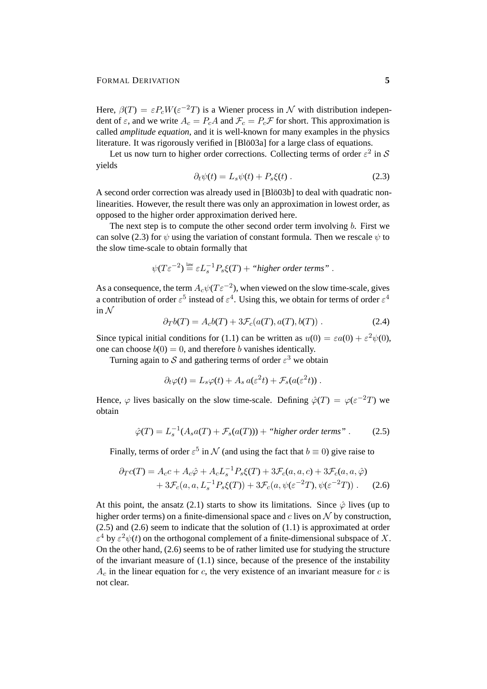#### FORMAL DERIVATION **5**

Here,  $\beta(T) = \varepsilon P_c W(\varepsilon^{-2}T)$  is a Wiener process in  $\mathcal N$  with distribution independent of  $\varepsilon$ , and we write  $A_c = P_cA$  and  $\mathcal{F}_c = P_c\mathcal{F}$  for short. This approximation is called *amplitude equation*, and it is well-known for many examples in the physics literature. It was rigorously verified in [Blö03a] for a large class of equations.

Let us now turn to higher order corrections. Collecting terms of order  $\varepsilon^2$  in S yields

$$
\partial_t \psi(t) = L_s \psi(t) + P_s \xi(t) \,. \tag{2.3}
$$

A second order correction was already used in [Blö03b] to deal with quadratic nonlinearities. However, the result there was only an approximation in lowest order, as opposed to the higher order approximation derived here.

The next step is to compute the other second order term involving b. First we can solve (2.3) for  $\psi$  using the variation of constant formula. Then we rescale  $\psi$  to the slow time-scale to obtain formally that

$$
\psi(T\varepsilon^{-2}) \stackrel{\text{law}}{=} \varepsilon L_s^{-1} P_s \xi(T) + \text{``higher order terms''}.
$$

As a consequence, the term  $A_c\psi(T\varepsilon^{-2})$ , when viewed on the slow time-scale, gives a contribution of order  $\varepsilon^5$  instead of  $\varepsilon^4$ . Using this, we obtain for terms of order  $\varepsilon^4$ in  $\mathcal N$ 

$$
\partial_T b(T) = A_c b(T) + 3\mathcal{F}_c(a(T), a(T), b(T)). \qquad (2.4)
$$

Since typical initial conditions for (1.1) can be written as  $u(0) = \varepsilon a(0) + \varepsilon^2 \psi(0)$ , one can choose  $b(0) = 0$ , and therefore b vanishes identically.

Turning again to S and gathering terms of order  $\varepsilon^3$  we obtain

$$
\partial_t \varphi(t) = L_s \varphi(t) + A_s a(\varepsilon^2 t) + \mathcal{F}_s(a(\varepsilon^2 t)) .
$$

Hence,  $\varphi$  lives basically on the slow time-scale. Defining  $\hat{\varphi}(T) = \varphi(\varepsilon^{-2}T)$  we obtain

$$
\hat{\varphi}(T) = L_s^{-1}(A_s a(T) + \mathcal{F}_s(a(T))) + \text{``higher order terms''}. \tag{2.5}
$$

Finally, terms of order  $\varepsilon^5$  in  $\mathcal N$  (and using the fact that  $b \equiv 0$ ) give raise to

$$
\partial_T c(T) = A_c c + A_c \hat{\varphi} + A_c L_s^{-1} P_s \xi(T) + 3 \mathcal{F}_c(a, a, c) + 3 \mathcal{F}_c(a, a, \hat{\varphi}) + 3 \mathcal{F}_c(a, a, L_s^{-1} P_s \xi(T)) + 3 \mathcal{F}_c(a, \psi(\varepsilon^{-2} T), \psi(\varepsilon^{-2} T)) .
$$
 (2.6)

At this point, the ansatz (2.1) starts to show its limitations. Since  $\hat{\varphi}$  lives (up to higher order terms) on a finite-dimensional space and c lives on  $\mathcal N$  by construction, (2.5) and (2.6) seem to indicate that the solution of (1.1) is approximated at order  $\varepsilon^4$  by  $\varepsilon^2 \psi(t)$  on the orthogonal complement of a finite-dimensional subspace of X. On the other hand, (2.6) seems to be of rather limited use for studying the structure of the invariant measure of  $(1.1)$  since, because of the presence of the instability  $A_c$  in the linear equation for c, the very existence of an invariant measure for c is not clear.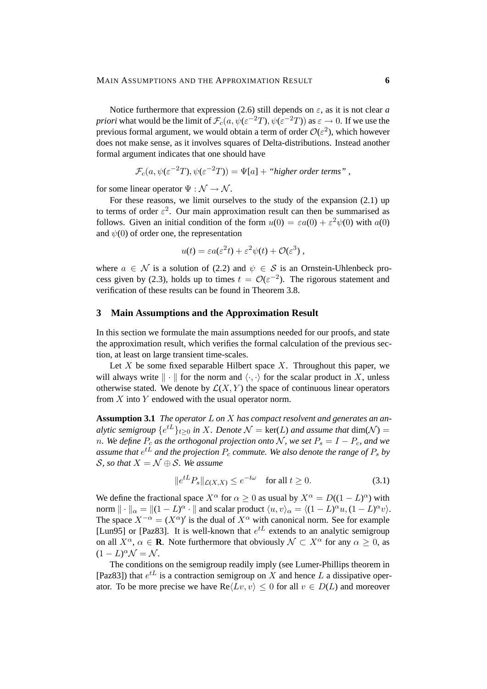Notice furthermore that expression (2.6) still depends on  $\varepsilon$ , as it is not clear *a priori* what would be the limit of  $\mathcal{F}_c(a, \psi(\varepsilon^{-2}T), \psi(\varepsilon^{-2}T))$  as  $\varepsilon \to 0$ . If we use the previous formal argument, we would obtain a term of order  $\mathcal{O}(\varepsilon^2)$ , which however does not make sense, as it involves squares of Delta-distributions. Instead another formal argument indicates that one should have

$$
\mathcal{F}_c(a,\psi(\varepsilon^{-2}T),\psi(\varepsilon^{-2}T))=\Psi[a]+
$$
 "higher order terms",

for some linear operator  $\Psi : \mathcal{N} \to \mathcal{N}$ .

For these reasons, we limit ourselves to the study of the expansion (2.1) up to terms of order  $\varepsilon^2$ . Our main approximation result can then be summarised as follows. Given an initial condition of the form  $u(0) = \varepsilon a(0) + \varepsilon^2 \psi(0)$  with  $a(0)$ and  $\psi(0)$  of order one, the representation

$$
u(t) = \varepsilon a(\varepsilon^2 t) + \varepsilon^2 \psi(t) + \mathcal{O}(\varepsilon^3) ,
$$

where  $a \in \mathcal{N}$  is a solution of (2.2) and  $\psi \in \mathcal{S}$  is an Ornstein-Uhlenbeck process given by (2.3), holds up to times  $t = \mathcal{O}(\varepsilon^{-2})$ . The rigorous statement and verification of these results can be found in Theorem 3.8.

#### **3 Main Assumptions and the Approximation Result**

In this section we formulate the main assumptions needed for our proofs, and state the approximation result, which verifies the formal calculation of the previous section, at least on large transient time-scales.

Let  $X$  be some fixed separable Hilbert space  $X$ . Throughout this paper, we will always write  $\|\cdot\|$  for the norm and  $\langle \cdot, \cdot \rangle$  for the scalar product in X, unless otherwise stated. We denote by  $\mathcal{L}(X, Y)$  the space of continuous linear operators from X into Y endowed with the usual operator norm.

**Assumption 3.1** *The operator* L *on* X *has compact resolvent and generates an analytic semigroup*  $\{e^{tL}\}_{t\geq0}$  *in* X. Denote  $\mathcal{N} = \text{ker}(L)$  and assume that  $\dim(\mathcal{N}) =$ *n*. We define  $P_c$  as the orthogonal projection onto N, we set  $P_s = I - P_c$ , and we assume that  $e^{tL}$  and the projection  $P_c$  commute. We also denote the range of  $P_s$  by *S, so that*  $X = \mathcal{N} \oplus \mathcal{S}$ *. We assume* 

$$
||e^{tL}P_s||_{\mathcal{L}(X,X)} \le e^{-t\omega} \quad \text{for all } t \ge 0. \tag{3.1}
$$

We define the fractional space  $X^{\alpha}$  for  $\alpha \geq 0$  as usual by  $X^{\alpha} = D((1 - L)^{\alpha})$  with norm  $\|\cdot\|_{\alpha} = \|(1-L)^{\alpha} \cdot \|\$  and scalar product  $\langle u, v \rangle_{\alpha} = \langle (1-L)^{\alpha} u, (1-L)^{\alpha} v \rangle$ . The space  $X^{-\alpha} = (X^{\alpha})'$  is the dual of  $X^{\alpha}$  with canonical norm. See for example [Lun95] or [Paz83]. It is well-known that  $e^{tL}$  extends to an analytic semigroup on all  $X^{\alpha}$ ,  $\alpha \in \mathbf{R}$ . Note furthermore that obviously  $\mathcal{N} \subset X^{\alpha}$  for any  $\alpha \geq 0$ , as  $(1 - L)^{\alpha} \mathcal{N} = \mathcal{N}.$ 

The conditions on the semigroup readily imply (see Lumer-Phillips theorem in [Paz83]) that  $e^{tL}$  is a contraction semigroup on X and hence L a dissipative operator. To be more precise we have  $\text{Re}\langle Lv, v\rangle \leq 0$  for all  $v \in D(L)$  and moreover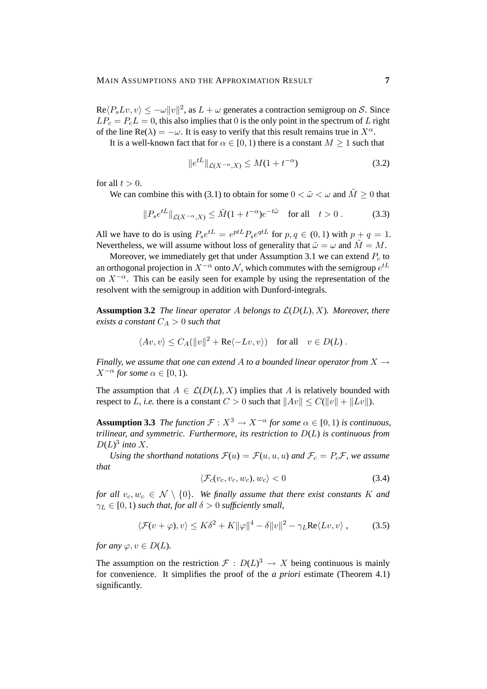$\text{Re} \langle P_s L v, v \rangle \le -\omega ||v||^2$ , as  $L + \omega$  generates a contraction semigroup on S. Since  $LP_c = P_c L = 0$ , this also implies that 0 is the only point in the spectrum of L right of the line Re( $\lambda$ ) =  $-\omega$ . It is easy to verify that this result remains true in  $X^{\alpha}$ .

It is a well-known fact that for  $\alpha \in [0, 1)$  there is a constant  $M \geq 1$  such that

$$
||e^{tL}||_{\mathcal{L}(X^{-\alpha},X)} \le M(1+t^{-\alpha})
$$
\n(3.2)

for all  $t > 0$ .

We can combine this with (3.1) to obtain for some  $0 < \tilde{\omega} < \omega$  and  $\tilde{M} > 0$  that

$$
||P_s e^{tL}||_{\mathcal{L}(X^{-\alpha},X)} \le \tilde{M}(1+t^{-\alpha})e^{-t\tilde{\omega}} \quad \text{for all} \quad t > 0. \tag{3.3}
$$

All we have to do is using  $P_s e^{tL} = e^{ptL} P_s e^{qtL}$  for  $p, q \in (0, 1)$  with  $p + q = 1$ . Nevertheless, we will assume without loss of generality that  $\tilde{\omega} = \omega$  and  $\tilde{M} = M$ .

Moreover, we immediately get that under Assumption 3.1 we can extend  $P_c$  to an orthogonal projection in  $X^{-\alpha}$  onto  $\mathcal N$ , which commutes with the semigroup  $e^{tL}$ on  $X^{-\alpha}$ . This can be easily seen for example by using the representation of the resolvent with the semigroup in addition with Dunford-integrals.

**Assumption 3.2** *The linear operator* A *belongs to* L(D(L), X)*. Moreover, there exists a constant*  $C_A > 0$  *such that* 

$$
\langle Av, v \rangle \le C_A(\|v\|^2 + \text{Re}\langle -Lv, v \rangle) \quad \text{for all} \quad v \in D(L) .
$$

*Finally, we assume that one can extend* A *to a bounded linear operator from* X →  $X^{-\alpha}$  *for some*  $\alpha \in [0, 1)$ *.* 

The assumption that  $A \in \mathcal{L}(D(L), X)$  implies that A is relatively bounded with respect to L, *i.e.* there is a constant  $C > 0$  such that  $||Av|| \leq C(||v|| + ||Lv||)$ .

**Assumption 3.3** *The function*  $\mathcal{F}: X^3 \to X^{-\alpha}$  *for some*  $\alpha \in [0,1)$  *is continuous, trilinear, and symmetric. Furthermore, its restriction to* D(L) *is continuous from*  $D(L)^3$  into X.

*Using the shorthand notations*  $\mathcal{F}(u) = \mathcal{F}(u, u, u)$  *and*  $\mathcal{F}_c = P_c \mathcal{F}$ *, we assume that*

$$
\langle \mathcal{F}_c(v_c, v_c, w_c), w_c \rangle < 0 \tag{3.4}
$$

*for all*  $v_c, w_c \in \mathcal{N} \setminus \{0\}$ . We finally assume that there exist constants K and  $\gamma_L \in [0, 1)$  *such that, for all*  $\delta > 0$  *sufficiently small,* 

$$
\langle \mathcal{F}(v+\varphi), v \rangle \le K\delta^2 + K \|\varphi\|^4 - \delta \|v\|^2 - \gamma_L \text{Re}\langle Lv, v \rangle, \tag{3.5}
$$

*for any*  $\varphi, v \in D(L)$ *.* 

The assumption on the restriction  $\mathcal{F}: D(L)^3 \to X$  being continuous is mainly for convenience. It simplifies the proof of the *a priori* estimate (Theorem 4.1) significantly.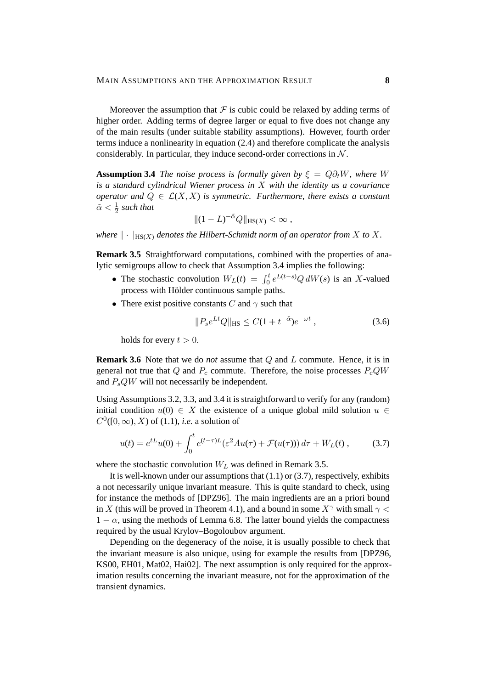Moreover the assumption that  $\mathcal F$  is cubic could be relaxed by adding terms of higher order. Adding terms of degree larger or equal to five does not change any of the main results (under suitable stability assumptions). However, fourth order terms induce a nonlinearity in equation (2.4) and therefore complicate the analysis considerably. In particular, they induce second-order corrections in  $N$ .

**Assumption 3.4** *The noise process is formally given by*  $\xi = Q\partial_t W$ *, where* W *is a standard cylindrical Wiener process in* X *with the identity as a covariance operator and*  $Q \in \mathcal{L}(X, X)$  *is symmetric. Furthermore, there exists a constant*  $\tilde{\alpha} < \frac{1}{2}$  $\frac{1}{2}$  such that

$$
||(1-L)^{-\tilde{\alpha}}Q||_{\mathrm{HS}(X)} < \infty,
$$

*where*  $\|\cdot\|_{\text{HS}(X)}$  *denotes the Hilbert-Schmidt norm of an operator from* X *to* X.

**Remark 3.5** Straightforward computations, combined with the properties of analytic semigroups allow to check that Assumption 3.4 implies the following:

- The stochastic convolution  $W_L(t) = \int_0^t e^{L(t-s)} Q dW(s)$  is an X-valued process with Hölder continuous sample paths.
- There exist positive constants C and  $\gamma$  such that

$$
||P_s e^{Lt}Q||_{\text{HS}} \le C(1 + t^{-\tilde{\alpha}})e^{-\omega t},\tag{3.6}
$$

holds for every  $t > 0$ .

**Remark 3.6** Note that we do *not* assume that Q and L commute. Hence, it is in general not true that  $Q$  and  $P_c$  commute. Therefore, the noise processes  $P_cQW$ and  $P_sQW$  will not necessarily be independent.

Using Assumptions 3.2, 3.3, and 3.4 it is straightforward to verify for any (random) initial condition  $u(0) \in X$  the existence of a unique global mild solution  $u \in$  $C^0([0,\infty), X)$  of (1.1), *i.e.* a solution of

$$
u(t) = e^{tL}u(0) + \int_0^t e^{(t-\tau)L} (\varepsilon^2 Au(\tau) + \mathcal{F}(u(\tau))) d\tau + W_L(t) , \qquad (3.7)
$$

where the stochastic convolution  $W_L$  was defined in Remark 3.5.

It is well-known under our assumptions that  $(1.1)$  or  $(3.7)$ , respectively, exhibits a not necessarily unique invariant measure. This is quite standard to check, using for instance the methods of [DPZ96]. The main ingredients are an a priori bound in X (this will be proved in Theorem 4.1), and a bound in some  $X^{\gamma}$  with small  $\gamma$  <  $1 - \alpha$ , using the methods of Lemma 6.8. The latter bound yields the compactness required by the usual Krylov–Bogoloubov argument.

Depending on the degeneracy of the noise, it is usually possible to check that the invariant measure is also unique, using for example the results from [DPZ96, KS00, EH01, Mat02, Hai02]. The next assumption is only required for the approximation results concerning the invariant measure, not for the approximation of the transient dynamics.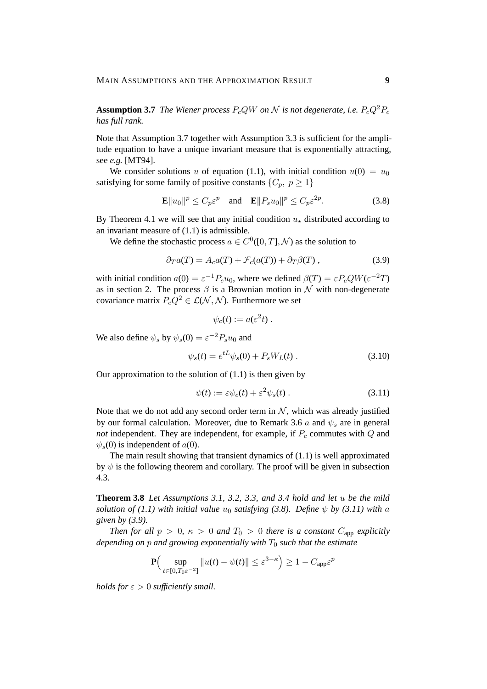**Assumption 3.7** *The Wiener process*  $P_cQW$  *on*  $\mathcal N$  *is not degenerate, i.e.*  $P_cQ^2P_c$ *has full rank.*

Note that Assumption 3.7 together with Assumption 3.3 is sufficient for the amplitude equation to have a unique invariant measure that is exponentially attracting, see *e.g.* [MT94].

We consider solutions u of equation (1.1), with initial condition  $u(0) = u_0$ satisfying for some family of positive constants  $\{C_p, p \geq 1\}$ 

$$
\mathbf{E}||u_0||^p \le C_p \varepsilon^p \quad \text{and} \quad \mathbf{E}||P_s u_0||^p \le C_p \varepsilon^{2p}.
$$
 (3.8)

By Theorem 4.1 we will see that any initial condition  $u_*$  distributed according to an invariant measure of (1.1) is admissible.

We define the stochastic process  $a \in C^0([0, T], \mathcal{N})$  as the solution to

$$
\partial_T a(T) = A_c a(T) + \mathcal{F}_c(a(T)) + \partial_T \beta(T) , \qquad (3.9)
$$

with initial condition  $a(0) = \varepsilon^{-1} P_c u_0$ , where we defined  $\beta(T) = \varepsilon P_c Q W(\varepsilon^{-2} T)$ as in section 2. The process  $\beta$  is a Brownian motion in  $\mathcal N$  with non-degenerate covariance matrix  $P_cQ^2 \in \mathcal{L}(\mathcal{N}, \mathcal{N})$ . Furthermore we set

$$
\psi_c(t) := a(\varepsilon^2 t) \ .
$$

We also define  $\psi_s$  by  $\psi_s(0) = \varepsilon^{-2} P_s u_0$  and

$$
\psi_s(t) = e^{tL}\psi_s(0) + P_s W_L(t) \,. \tag{3.10}
$$

Our approximation to the solution of  $(1.1)$  is then given by

$$
\psi(t) := \varepsilon \psi_c(t) + \varepsilon^2 \psi_s(t) \,. \tag{3.11}
$$

Note that we do not add any second order term in  $N$ , which was already justified by our formal calculation. Moreover, due to Remark 3.6  $a$  and  $\psi_s$  are in general *not* independent. They are independent, for example, if  $P_c$  commutes with  $Q$  and  $\psi_s(0)$  is independent of  $a(0)$ .

The main result showing that transient dynamics of (1.1) is well approximated by  $\psi$  is the following theorem and corollary. The proof will be given in subsection 4.3.

**Theorem 3.8** *Let Assumptions 3.1, 3.2, 3.3, and 3.4 hold and let* u *be the mild solution of (1.1) with initial value*  $u_0$  *satisfying (3.8). Define*  $\psi$  *by (3.11) with* a *given by (3.9).*

*Then for all*  $p > 0$ ,  $\kappa > 0$  *and*  $T_0 > 0$  *there is a constant*  $C_{\text{app}}$  *explicitly depending on* p *and growing exponentially with*  $T_0$  *such that the estimate* 

$$
\mathbf{P}\Big(\sup_{t\in[0,T_0\varepsilon^{-2}]}||u(t)-\psi(t)||\leq\varepsilon^{3-\kappa}\Big)\geq 1-C_{\rm app}\varepsilon^p
$$

*holds for*  $\varepsilon > 0$  *sufficiently small.*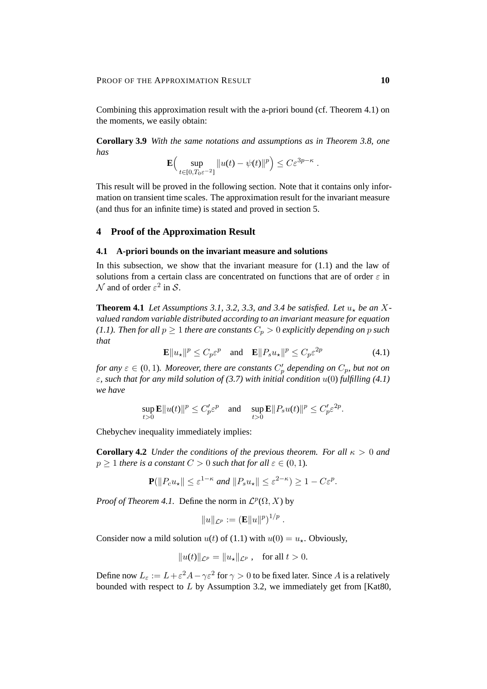Combining this approximation result with the a-priori bound (cf. Theorem 4.1) on the moments, we easily obtain:

**Corollary 3.9** *With the same notations and assumptions as in Theorem 3.8, one has*

$$
\mathbf{E}\Big(\sup_{t\in[0,T_0\varepsilon^{-2}]}||u(t)-\psi(t)||^p\Big)\leq C\varepsilon^{3p-\kappa}.
$$

This result will be proved in the following section. Note that it contains only information on transient time scales. The approximation result for the invariant measure (and thus for an infinite time) is stated and proved in section 5.

#### **4 Proof of the Approximation Result**

#### **4.1 A-priori bounds on the invariant measure and solutions**

In this subsection, we show that the invariant measure for  $(1.1)$  and the law of solutions from a certain class are concentrated on functions that are of order  $\varepsilon$  in  $\mathcal N$  and of order  $\varepsilon^2$  in  $\mathcal S$ .

**Theorem 4.1** *Let Assumptions 3.1, 3.2, 3.3, and 3.4 be satisfied. Let*  $u<sub>\star</sub>$  *be an* X*valued random variable distributed according to an invariant measure for equation (1.1). Then for all*  $p \geq 1$  *there are constants*  $C_p > 0$  *explicitly depending on* p *such that*

$$
\mathbf{E} \|u_{\star}\|^p \le C_p \varepsilon^p \quad \text{and} \quad \mathbf{E} \|P_s u_{\star}\|^p \le C_p \varepsilon^{2p} \tag{4.1}
$$

for any  $\varepsilon \in (0,1)$ *. Moreover, there are constants*  $C_p'$  depending on  $C_p$ *, but not on* ε*, such that for any mild solution of (3.7) with initial condition* u(0) *fulfilling (4.1) we have*

$$
\sup_{t>0}\mathbf{E}\|u(t)\|^p\leq C_p'\varepsilon^p\quad\text{and}\quad\sup_{t>0}\mathbf{E}\|P_s u(t)\|^p\leq C_p'\varepsilon^{2p}.
$$

Chebychev inequality immediately implies:

**Corollary 4.2** *Under the conditions of the previous theorem. For all*  $\kappa > 0$  *and*  $p \geq 1$  *there is a constant*  $C > 0$  *such that for all*  $\varepsilon \in (0, 1)$ *.* 

$$
\mathbf{P}(\|P_c u_\star\| \le \varepsilon^{1-\kappa} \text{ and } \|P_s u_\star\| \le \varepsilon^{2-\kappa}) \ge 1 - C\varepsilon^p.
$$

*Proof of Theorem 4.1.* Define the norm in  $\mathcal{L}^p(\Omega, X)$  by

$$
||u||_{\mathcal{L}^p} := (\mathbf{E}||u||^p)^{1/p}.
$$

Consider now a mild solution  $u(t)$  of (1.1) with  $u(0) = u_*$ . Obviously,

$$
||u(t)||_{\mathcal{L}^p} = ||u_\star||_{\mathcal{L}^p}, \text{ for all } t > 0.
$$

Define now  $L_{\varepsilon} := L + \varepsilon^2 A - \gamma \varepsilon^2$  for  $\gamma > 0$  to be fixed later. Since A is a relatively bounded with respect to  $L$  by Assumption 3.2, we immediately get from [Kat80,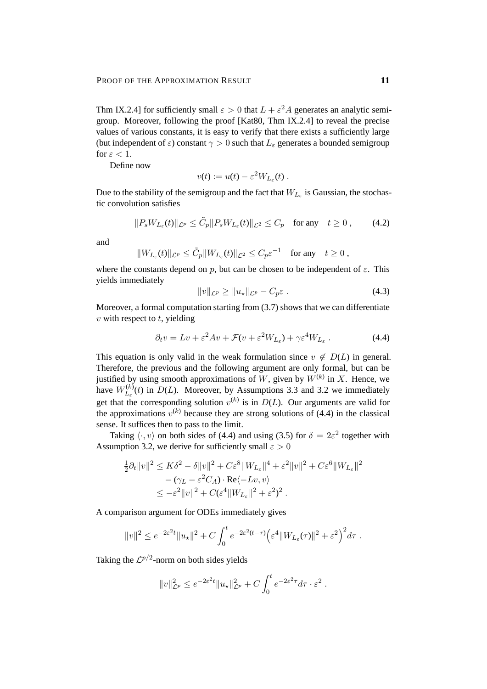Thm IX.2.4] for sufficiently small  $\varepsilon > 0$  that  $L + \varepsilon^2 A$  generates an analytic semigroup. Moreover, following the proof [Kat80, Thm IX.2.4] to reveal the precise values of various constants, it is easy to verify that there exists a sufficiently large (but independent of  $\varepsilon$ ) constant  $\gamma > 0$  such that  $L_{\varepsilon}$  generates a bounded semigroup for  $\varepsilon < 1$ .

Define now

$$
v(t) := u(t) - \varepsilon^2 W_{L_{\varepsilon}}(t) .
$$

Due to the stability of the semigroup and the fact that  $W_{L_{\varepsilon}}$  is Gaussian, the stochastic convolution satisfies

$$
||P_s W_{L_{\varepsilon}}(t)||_{\mathcal{L}^p} \leq \tilde{C}_p ||P_s W_{L_{\varepsilon}}(t)||_{\mathcal{L}^2} \leq C_p \quad \text{for any} \quad t \geq 0 , \tag{4.2}
$$

and

$$
||W_{L_{\varepsilon}}(t)||_{\mathcal{L}^p} \leq \tilde{C}_p||W_{L_{\varepsilon}}(t)||_{\mathcal{L}^2} \leq C_p \varepsilon^{-1} \quad \text{for any} \quad t \geq 0,
$$

where the constants depend on p, but can be chosen to be independent of  $\varepsilon$ . This yields immediately

$$
||v||_{\mathcal{L}^p} \ge ||u_\star||_{\mathcal{L}^p} - C_p \varepsilon. \tag{4.3}
$$

Moreover, a formal computation starting from (3.7) shows that we can differentiate  $v$  with respect to  $t$ , yielding

$$
\partial_t v = Lv + \varepsilon^2 Av + \mathcal{F}(v + \varepsilon^2 W_{L_{\varepsilon}}) + \gamma \varepsilon^4 W_{L_{\varepsilon}}.
$$
 (4.4)

This equation is only valid in the weak formulation since  $v \notin D(L)$  in general. Therefore, the previous and the following argument are only formal, but can be justified by using smooth approximations of W, given by  $W^{(k)}$  in X. Hence, we have  $W_{L_1}^{(k)}$  $L_{\epsilon}^{(k)}(t)$  in  $D(L)$ . Moreover, by Assumptions 3.3 and 3.2 we immediately get that the corresponding solution  $v^{(k)}$  is in  $D(L)$ . Our arguments are valid for the approximations  $v^{(k)}$  because they are strong solutions of (4.4) in the classical sense. It suffices then to pass to the limit.

Taking  $\langle \cdot, v \rangle$  on both sides of (4.4) and using (3.5) for  $\delta = 2\varepsilon^2$  together with Assumption 3.2, we derive for sufficiently small  $\varepsilon > 0$ 

$$
\frac{1}{2}\partial_t ||v||^2 \leq K\delta^2 - \delta ||v||^2 + C\varepsilon^8 ||W_{L_\varepsilon}||^4 + \varepsilon^2 ||v||^2 + C\varepsilon^6 ||W_{L_\varepsilon}||^2
$$
  

$$
- (\gamma_L - \varepsilon^2 C_A) \cdot \text{Re}\langle -Lv, v \rangle
$$
  

$$
\leq -\varepsilon^2 ||v||^2 + C(\varepsilon^4 ||W_{L_\varepsilon}||^2 + \varepsilon^2)^2.
$$

A comparison argument for ODEs immediately gives

$$
||v||^2 \le e^{-2\varepsilon^2 t} ||u_\star||^2 + C \int_0^t e^{-2\varepsilon^2 (t-\tau)} \Big(\varepsilon^4 ||W_{L_\varepsilon}(\tau)||^2 + \varepsilon^2\Big)^2 d\tau.
$$

Taking the  $\mathcal{L}^{p/2}$ -norm on both sides yields

$$
||v||_{\mathcal{L}^p}^2 \leq e^{-2\varepsilon^2 t} ||u_\star||_{\mathcal{L}^p}^2 + C \int_0^t e^{-2\varepsilon^2 \tau} d\tau \cdot \varepsilon^2.
$$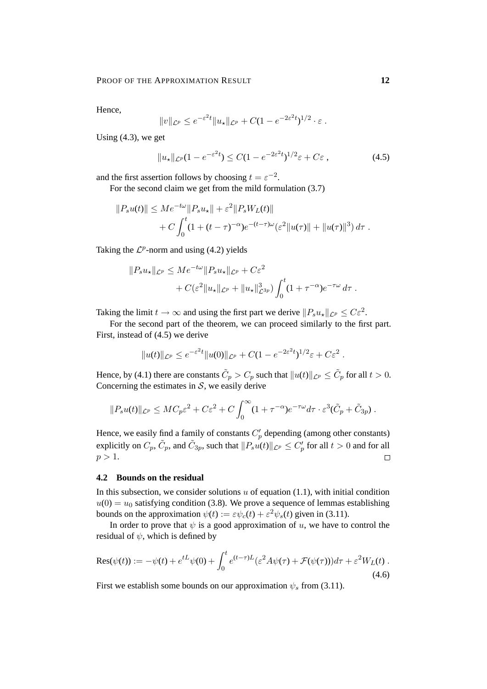Hence,

$$
||v||_{\mathcal{L}^p} \leq e^{-\varepsilon^2 t} ||u_\star||_{\mathcal{L}^p} + C(1 - e^{-2\varepsilon^2 t})^{1/2} \cdot \varepsilon.
$$

Using (4.3), we get

$$
||u_{\star}||_{\mathcal{L}^{p}}(1 - e^{-\varepsilon^{2}t}) \leq C(1 - e^{-2\varepsilon^{2}t})^{1/2}\varepsilon + C\varepsilon , \qquad (4.5)
$$

and the first assertion follows by choosing  $t = \varepsilon^{-2}$ .

For the second claim we get from the mild formulation (3.7)

$$
||P_s u(t)|| \le Me^{-t\omega} ||P_s u_{\star}|| + \varepsilon^2 ||P_s W_L(t)||
$$
  
+  $C \int_0^t (1 + (t - \tau)^{-\alpha}) e^{-(t - \tau)\omega} (\varepsilon^2 ||u(\tau)|| + ||u(\tau)||^3) d\tau.$ 

Taking the  $\mathcal{L}^p$ -norm and using (4.2) yields

$$
||P_s u_\star||_{\mathcal{L}^p} \leq Me^{-t\omega}||P_s u_\star||_{\mathcal{L}^p} + C\varepsilon^2
$$
  
+ 
$$
C(\varepsilon^2||u_\star||_{\mathcal{L}^p} + ||u_\star||_{\mathcal{L}^{3p}}^3) \int_0^t (1 + \tau^{-\alpha})e^{-\tau\omega} d\tau.
$$

Taking the limit  $t \to \infty$  and using the first part we derive  $||P_s u_\star||_{\mathcal{L}^p} \leq C \varepsilon^2$ .

For the second part of the theorem, we can proceed similarly to the first part. First, instead of (4.5) we derive

$$
||u(t)||_{\mathcal{L}^p} \leq e^{-\varepsilon^2 t} ||u(0)||_{\mathcal{L}^p} + C(1 - e^{-2\varepsilon^2 t})^{1/2} \varepsilon + C\varepsilon^2.
$$

Hence, by (4.1) there are constants  $\tilde{C}_p > C_p$  such that  $||u(t)||_{\mathcal{L}^p} \leq \tilde{C}_p$  for all  $t > 0$ . Concerning the estimates in  $S$ , we easily derive

$$
||P_s u(t)||_{\mathcal{L}^p} \leq MC_p \varepsilon^2 + C\varepsilon^2 + C \int_0^\infty (1 + \tau^{-\alpha}) e^{-\tau \omega} d\tau \cdot \varepsilon^3 (\tilde{C}_p + \tilde{C}_{3p}).
$$

Hence, we easily find a family of constants  $C_p'$  depending (among other constants) explicitly on  $C_p$ ,  $\tilde{C}_p$ , and  $\tilde{C}_{3p}$ , such that  $||P_s u(t)||_{\mathcal{L}^p} \leq C'_p$  for all  $t > 0$  and for all  $p > 1$ .  $\Box$ 

#### **4.2 Bounds on the residual**

In this subsection, we consider solutions  $u$  of equation (1.1), with initial condition  $u(0) = u_0$  satisfying condition (3.8). We prove a sequence of lemmas establishing bounds on the approximation  $\psi(t) := \varepsilon \psi_c(t) + \varepsilon^2 \psi_s(t)$  given in (3.11).

In order to prove that  $\psi$  is a good approximation of u, we have to control the residual of  $\psi$ , which is defined by

$$
\text{Res}(\psi(t)) := -\psi(t) + e^{tL}\psi(0) + \int_0^t e^{(t-\tau)L} (\varepsilon^2 A \psi(\tau) + \mathcal{F}(\psi(\tau)))d\tau + \varepsilon^2 W_L(t).
$$
\n(4.6)

First we establish some bounds on our approximation  $\psi_s$  from (3.11).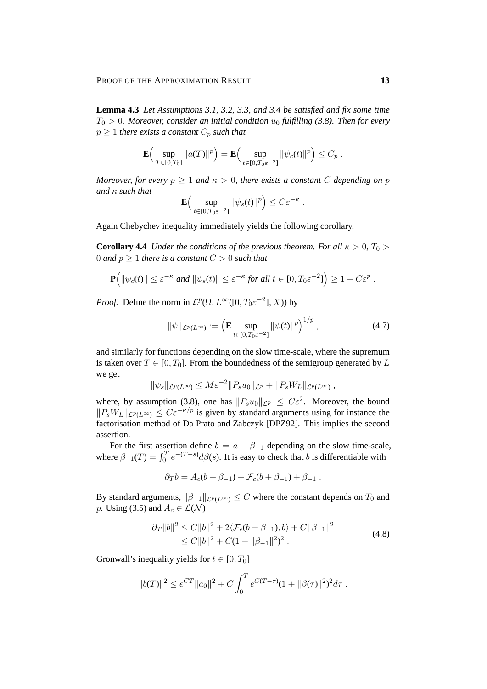**Lemma 4.3** *Let Assumptions 3.1, 3.2, 3.3, and 3.4 be satisfied and fix some time*  $T_0 > 0$ *. Moreover, consider an initial condition*  $u_0$  *fulfilling (3.8). Then for every*  $p \geq 1$  *there exists a constant*  $C_p$  *such that* 

$$
\mathbf{E}\Big(\sup_{T\in[0,T_0]}\|a(T)\|^p\Big)=\mathbf{E}\Big(\sup_{t\in[0,T_0\varepsilon^{-2}]} \|\psi_c(t)\|^p\Big)\leq C_p.
$$

*Moreover, for every*  $p > 1$  *and*  $\kappa > 0$ *, there exists a constant* C *depending on* p *and* κ *such that*

$$
\mathbf{E}\Big(\sup_{t\in[0,T_0\varepsilon^{-2}]} \|\psi_s(t)\|^p\Big) \leq C\varepsilon^{-\kappa}.
$$

Again Chebychev inequality immediately yields the following corollary.

**Corollary 4.4** *Under the conditions of the previous theorem. For all*  $\kappa > 0$ ,  $T_0 > 0$ 0 *and*  $p > 1$  *there is a constant*  $C > 0$  *such that* 

$$
\mathbf{P}\Big(\|\psi_c(t)\| \leq \varepsilon^{-\kappa} \text{ and } \|\psi_s(t)\| \leq \varepsilon^{-\kappa} \text{ for all } t \in [0, T_0 \varepsilon^{-2}]\Big) \geq 1 - C\varepsilon^p.
$$

*Proof.* Define the norm in  $\mathcal{L}^p(\Omega, L^\infty([0, T_0 \varepsilon^{-2}], X))$  by

$$
\|\psi\|_{\mathcal{L}^p(L^{\infty})} := \left(\mathbf{E} \sup_{t \in [0, T_0 \varepsilon^{-2}]} \|\psi(t)\|^p\right)^{1/p},\tag{4.7}
$$

and similarly for functions depending on the slow time-scale, where the supremum is taken over  $T \in [0, T_0]$ . From the boundedness of the semigroup generated by L we get

$$
\|\psi_s\|_{\mathcal{L}^p(L^{\infty})}\leq M\varepsilon^{-2}\|P_s u_0\|_{\mathcal{L}^p}+\|P_s W_L\|_{\mathcal{L}^p(L^{\infty})},
$$

where, by assumption (3.8), one has  $||P_s u_0||_{\mathcal{L}^p} \leq C\varepsilon^2$ . Moreover, the bound  $||P_sW_L||_{\mathcal{L}^p(L^{\infty})} \leq C\varepsilon^{-\kappa/p}$  is given by standard arguments using for instance the factorisation method of Da Prato and Zabczyk [DPZ92]. This implies the second assertion.

For the first assertion define  $b = a - \beta_{-1}$  depending on the slow time-scale, where  $\beta_{-1}(T) = \int_0^T e^{-(T-s)} d\beta(s)$ . It is easy to check that b is differentiable with

$$
\partial_T b = A_c(b + \beta_{-1}) + \mathcal{F}_c(b + \beta_{-1}) + \beta_{-1}.
$$

By standard arguments,  $\|\beta_{-1}\|_{\mathcal{L}^p(L^\infty)} \leq C$  where the constant depends on  $T_0$  and p. Using (3.5) and  $A_c \in \mathcal{L}(\mathcal{N})$ 

$$
\partial_T \|b\|^2 \le C \|b\|^2 + 2\langle \mathcal{F}_c(b+\beta_{-1}), b \rangle + C \|\beta_{-1}\|^2
$$
  
\n
$$
\le C \|b\|^2 + C(1 + \|\beta_{-1}\|^2)^2.
$$
\n(4.8)

Gronwall's inequality yields for  $t \in [0, T_0]$ 

$$
||b(T)||^2 \le e^{CT} ||a_0||^2 + C \int_0^T e^{C(T-\tau)} (1 + ||\beta(\tau)||^2)^2 d\tau.
$$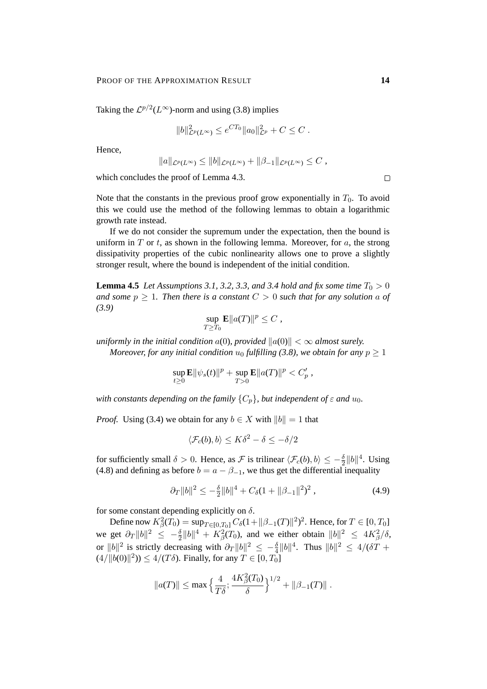#### PROOF OF THE APPROXIMATION RESULT **14**

Taking the  $\mathcal{L}^{p/2}(L^{\infty})$ -norm and using (3.8) implies

$$
||b||_{\mathcal{L}^p(L^{\infty})}^2 \leq e^{CT_0} ||a_0||_{\mathcal{L}^p}^2 + C \leq C.
$$

Hence,

$$
||a||_{\mathcal{L}^p(L^{\infty})}\leq ||b||_{\mathcal{L}^p(L^{\infty})}+||\beta_{-1}||_{\mathcal{L}^p(L^{\infty})}\leq C,
$$

which concludes the proof of Lemma 4.3.

Note that the constants in the previous proof grow exponentially in  $T_0$ . To avoid this we could use the method of the following lemmas to obtain a logarithmic growth rate instead.

If we do not consider the supremum under the expectation, then the bound is uniform in  $T$  or  $t$ , as shown in the following lemma. Moreover, for  $a$ , the strong dissipativity properties of the cubic nonlinearity allows one to prove a slightly stronger result, where the bound is independent of the initial condition.

**Lemma 4.5** *Let Assumptions 3.1, 3.2, 3.3, and 3.4 hold and fix some time*  $T_0 > 0$ *and some*  $p \geq 1$ *. Then there is a constant*  $C > 0$  *such that for any solution* a *of (3.9)*

$$
\sup_{T\geq T_0} \mathbf{E} \|a(T)\|^p \leq C,
$$

*uniformly in the initial condition*  $a(0)$ *, provided*  $||a(0)|| < \infty$  *almost surely.* 

*Moreover, for any initial condition*  $u_0$  *fulfilling (3.8), we obtain for any*  $p \geq 1$ 

$$
\sup_{t\geq 0} \mathbf{E} ||\psi_s(t)||^p + \sup_{T>0} \mathbf{E} ||a(T)||^p < C'_p,
$$

*with constants depending on the family*  $\{C_n\}$ *, but independent of*  $\varepsilon$  *and*  $u_0$ *.* 

*Proof.* Using (3.4) we obtain for any  $b \in X$  with  $||b|| = 1$  that

$$
\langle \mathcal{F}_c(b), b \rangle \le K\delta^2 - \delta \le -\delta/2
$$

for sufficiently small  $\delta > 0$ . Hence, as  $\mathcal F$  is trilinear  $\langle \mathcal F_c(b), b \rangle \le -\frac{\delta}{2} ||b||^4$ . Using (4.8) and defining as before  $b = a - \beta_{-1}$ , we thus get the differential inequality

$$
\partial_T \|b\|^2 \le -\frac{\delta}{2} \|b\|^4 + C_\delta (1 + \|\beta_{-1}\|^2)^2 \,, \tag{4.9}
$$

for some constant depending explicitly on  $\delta$ .

Define now  $K^2_{\beta}(T_0) = \sup_{T \in [0,T_0]} C_{\delta}(1 + ||\beta_{-1}(T)||^2)^2$ . Hence, for  $T \in [0,T_0]$ we get  $\partial_T \|b\|^2 \leq -\frac{\delta}{2} \|b\|^4 + K_\beta^2(T_0)$ , and we either obtain  $\|b\|^2 \leq 4K_\beta^2/\delta$ , or  $||b||^2$  is strictly decreasing with  $\partial_T ||b||^2 \leq -\frac{\delta}{4} ||b||^4$ . Thus  $||b||^2 \leq 4/(\delta T +$  $(4/||b(0)||^2)$ )  $\leq 4/(T\delta)$ . Finally, for any  $T \in [0, T_0]$ 

$$
||a(T)|| \le \max \left\{ \frac{4}{T\delta}; \frac{4K_{\beta}^{2}(T_0)}{\delta} \right\}^{1/2} + ||\beta_{-1}(T)||.
$$

 $\Box$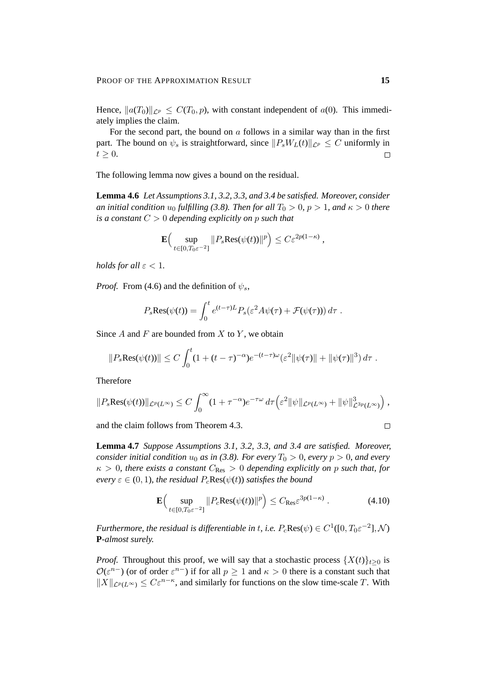Hence,  $\|a(T_0)\|_{\mathcal{L}^p} \leq C(T_0, p)$ , with constant independent of  $a(0)$ . This immediately implies the claim.

For the second part, the bound on  $\alpha$  follows in a similar way than in the first part. The bound on  $\psi_s$  is straightforward, since  $||P_sW_L(t)||_{\mathcal{L}^p} \leq C$  uniformly in  $t \geq 0$ .  $\Box$ 

The following lemma now gives a bound on the residual.

**Lemma 4.6** *Let Assumptions 3.1, 3.2, 3.3, and 3.4 be satisfied. Moreover, consider an initial condition*  $u_0$  *fulfilling (3.8). Then for all*  $T_0 > 0$ ,  $p > 1$ *, and*  $\kappa > 0$  *there is a constant* C > 0 *depending explicitly on* p *such that*

$$
\mathbf{E}\Big(\sup_{t\in[0,T_0\varepsilon^{-2}]}||P_s\text{Res}(\psi(t))||^p\Big)\leq C\varepsilon^{2p(1-\kappa)},
$$

*holds for all*  $\varepsilon$  < 1*.* 

*Proof.* From (4.6) and the definition of  $\psi_s$ ,

$$
P_s \text{Res}(\psi(t)) = \int_0^t e^{(t-\tau)L} P_s(\varepsilon^2 A \psi(\tau) + \mathcal{F}(\psi(\tau))) d\tau.
$$

Since  $A$  and  $F$  are bounded from  $X$  to  $Y$ , we obtain

$$
||P_s \text{Res}(\psi(t))|| \leq C \int_0^t (1 + (t - \tau)^{-\alpha}) e^{-(t - \tau)\omega} (\varepsilon^2 ||\psi(\tau)|| + ||\psi(\tau)||^3) d\tau.
$$

Therefore

$$
||P_s \text{Res}(\psi(t))||_{\mathcal{L}^p(L^{\infty})} \leq C \int_0^{\infty} (1+\tau^{-\alpha}) e^{-\tau \omega} d\tau \left(\varepsilon^2 ||\psi||_{\mathcal{L}^p(L^{\infty})} + ||\psi||_{\mathcal{L}^{3p}(L^{\infty})}^3\right),
$$

and the claim follows from Theorem 4.3.

**Lemma 4.7** *Suppose Assumptions 3.1, 3.2, 3.3, and 3.4 are satisfied. Moreover, consider initial condition*  $u_0$  *as in (3.8). For every*  $T_0 > 0$ *, every*  $p > 0$ *, and every*  $\kappa > 0$ , there exists a constant  $C_{\text{Res}} > 0$  depending explicitly on p such that, for *every*  $\varepsilon \in (0, 1)$ *, the residual*  $P_c$ **Res** $(\psi(t))$  *satisfies the bound* 

$$
\mathbf{E}\Big(\sup_{t\in[0,T_0\varepsilon^{-2}]} \|P_c \text{Res}(\psi(t))\|^p\Big) \le C_{\text{Res}} \varepsilon^{3p(1-\kappa)}\,. \tag{4.10}
$$

*Furthermore, the residual is differentiable in t, i.e.*  $P_c$ Res $(\psi) \in C^1([0, T_0 \varepsilon^{-2}], \mathcal{N})$ **P***-almost surely.*

*Proof.* Throughout this proof, we will say that a stochastic process  $\{X(t)\}_{t\geq 0}$  is  $\mathcal{O}(\varepsilon^{n-})$  (or of order  $\varepsilon^{n-}$ ) if for all  $p \ge 1$  and  $\kappa > 0$  there is a constant such that  $||X||_{\mathcal{L}^p(L^{\infty})} \leq C\varepsilon^{n-\kappa}$ , and similarly for functions on the slow time-scale T. With

 $\Box$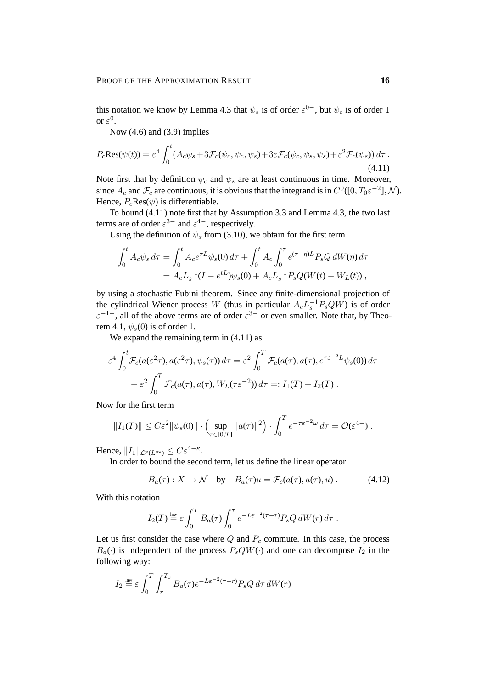this notation we know by Lemma 4.3 that  $\psi_s$  is of order  $\varepsilon^{0-}$ , but  $\psi_c$  is of order 1 or  $\varepsilon^0$ .

Now  $(4.6)$  and  $(3.9)$  implies

$$
P_c \text{Res}(\psi(t)) = \varepsilon^4 \int_0^t (A_c \psi_s + 3\mathcal{F}_c(\psi_c, \psi_c, \psi_s) + 3\varepsilon \mathcal{F}_c(\psi_c, \psi_s, \psi_s) + \varepsilon^2 \mathcal{F}_c(\psi_s)) d\tau.
$$
\n(4.11)

Note first that by definition  $\psi_c$  and  $\psi_s$  are at least continuous in time. Moreover, since  $A_c$  and  $\mathcal{F}_c$  are continuous, it is obvious that the integrand is in  $C^0([0, T_0 \varepsilon^{-2}], \mathcal{N})$ . Hence,  $P_c$ Res( $\psi$ ) is differentiable.

To bound (4.11) note first that by Assumption 3.3 and Lemma 4.3, the two last terms are of order  $\varepsilon^{3-}$  and  $\varepsilon^{4-}$ , respectively.

Using the definition of  $\psi_s$  from (3.10), we obtain for the first term

$$
\int_0^t A_c \psi_s d\tau = \int_0^t A_c e^{\tau L} \psi_s(0) d\tau + \int_0^t A_c \int_0^{\tau} e^{(\tau - \eta)L} P_s Q dW(\eta) d\tau \n= A_c L_s^{-1} (I - e^{tL}) \psi_s(0) + A_c L_s^{-1} P_s Q(W(t) - W_L(t)),
$$

by using a stochastic Fubini theorem. Since any finite-dimensional projection of the cylindrical Wiener process W (thus in particular  $A_c L_s^{-1} P_s QW$ ) is of order  $\varepsilon^{-1}$ , all of the above terms are of order  $\varepsilon^{3-}$  or even smaller. Note that, by Theorem 4.1,  $\psi_s(0)$  is of order 1.

We expand the remaining term in  $(4.11)$  as

$$
\varepsilon^4 \int_0^t \mathcal{F}_c(a(\varepsilon^2 \tau), a(\varepsilon^2 \tau), \psi_s(\tau)) d\tau = \varepsilon^2 \int_0^T \mathcal{F}_c(a(\tau), a(\tau), e^{\tau \varepsilon^{-2} L} \psi_s(0)) d\tau + \varepsilon^2 \int_0^T \mathcal{F}_c(a(\tau), a(\tau), W_L(\tau \varepsilon^{-2})) d\tau =: I_1(T) + I_2(T).
$$

Now for the first term

$$
||I_1(T)|| \leq C\varepsilon^2 ||\psi_s(0)|| \cdot \left(\sup_{\tau \in [0,T]} ||a(\tau)||^2\right) \cdot \int_0^T e^{-\tau \varepsilon^{-2} \omega} d\tau = \mathcal{O}(\varepsilon^{4-}) \ .
$$

Hence,  $||I_1||_{\mathcal{L}^p(L^{\infty})} \leq C \varepsilon^{4-\kappa}$ .

In order to bound the second term, let us define the linear operator

$$
B_a(\tau) : X \to \mathcal{N} \quad \text{by} \quad B_a(\tau)u = \mathcal{F}_c(a(\tau), a(\tau), u) \ . \tag{4.12}
$$

With this notation

$$
I_2(T) \stackrel{\text{law}}{=} \varepsilon \int_0^T B_a(\tau) \int_0^{\tau} e^{-L\varepsilon^{-2}(\tau - r)} P_s Q dW(r) d\tau.
$$

Let us first consider the case where  $Q$  and  $P_c$  commute. In this case, the process  $B_a(\cdot)$  is independent of the process  $P_sQW(\cdot)$  and one can decompose  $I_2$  in the following way:

$$
I_2 \stackrel{\text{law}}{=} \varepsilon \int_0^T \int_r^{T_0} B_a(\tau) e^{-L\varepsilon^{-2}(\tau - r)} P_s Q \, d\tau \, dW(r)
$$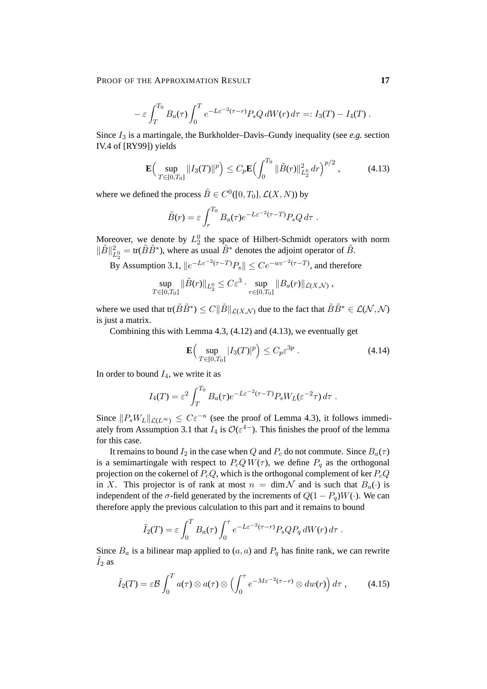$$
-\varepsilon \int_T^{T_0} B_a(\tau) \int_0^T e^{-L\varepsilon^{-2}(\tau - r)} P_s Q dW(r) d\tau =: I_3(T) - I_4(T).
$$

Since I<sup>3</sup> is a martingale, the Burkholder–Davis–Gundy inequality (see *e.g.* section IV.4 of [RY99]) yields

$$
\mathbf{E}\Big(\sup_{T\in[0,T_0]}\|I_3(T)\|^p\Big)\leq C_p\mathbf{E}\Big(\int_0^{T_0}\|\tilde{B}(r)\|_{L_2^0}^2\,dr\Big)^{p/2}\,,\tag{4.13}
$$

where we defined the process  $\tilde{B} \in C^0([0, T_0], \mathcal{L}(X, N))$  by

$$
\tilde{B}(r) = \varepsilon \int_r^{T_0} B_a(\tau) e^{-L\varepsilon^{-2}(\tau - T)} P_s Q d\tau.
$$

Moreover, we denote by  $L_2^0$  the space of Hilbert-Schmidt operators with norm  $\|\tilde{B}\|^2_{L^0_2} = \text{tr}(\tilde{B}\tilde{B}^*)$ , where as usual  $\tilde{B}^*$  denotes the adjoint operator of  $\tilde{B}$ .

By Assumption 3.1,  $||e^{-L\varepsilon^{-2}(\tau-T)}P_s|| \leq Ce^{-w\varepsilon^{-2}(\tau-T)}$ , and therefore

$$
\sup_{T\in[0,T_0]}\|\tilde{B}(r)\|_{L_2^0}\leq C\varepsilon^3\cdot \sup_{r\in[0,T_0]}\|B_a(r)\|_{\mathcal{L}(X,\mathcal{N})},
$$

where we used that tr $(\tilde{B}\tilde{B}^*)\leq C\|\tilde{B}\|_{\mathcal{L}(X,\mathcal{N})}$  due to the fact that  $\tilde{B}\tilde{B}^*\in\mathcal{L}(\mathcal{N},\mathcal{N})$ is just a matrix.

Combining this with Lemma 4.3, (4.12) and (4.13), we eventually get

$$
\mathbf{E}\Big(\sup_{T\in[0,T_0]}|I_3(T)|^p\Big)\leq C_p\varepsilon^{3p}.\tag{4.14}
$$

In order to bound  $I_4$ , we write it as

$$
I_4(T) = \varepsilon^2 \int_T^{T_0} B_a(\tau) e^{-L\varepsilon^{-2}(\tau - T)} P_s W_L(\varepsilon^{-2} \tau) d\tau.
$$

Since  $||P_sW_L||_{\mathcal{L}(L^{\infty})} \leq C\varepsilon^{-\kappa}$  (see the proof of Lemma 4.3), it follows immediately from Assumption 3.1 that  $I_4$  is  $\mathcal{O}(\varepsilon^{4-})$ . This finishes the proof of the lemma for this case.

It remains to bound  $I_2$  in the case when Q and  $P_c$  do not commute. Since  $B_a(\tau)$ is a semimartingale with respect to  $P_cQW(\tau)$ , we define  $P_q$  as the orthogonal projection on the cokernel of  $P_cQ$ , which is the orthogonal complement of ker  $P_cQ$ in X. This projector is of rank at most  $n = \dim \mathcal{N}$  and is such that  $B_a(\cdot)$  is independent of the  $\sigma$ -field generated by the increments of  $Q(1 - P_q)W(\cdot)$ . We can therefore apply the previous calculation to this part and it remains to bound

$$
\tilde{I}_2(T) = \varepsilon \int_0^T B_a(\tau) \int_0^{\tau} e^{-L\varepsilon^{-2}(\tau - r)} P_s Q P_q dW(r) d\tau.
$$

Since  $B_a$  is a bilinear map applied to  $(a, a)$  and  $P_q$  has finite rank, we can rewrite  $I_2$  as

$$
\tilde{I}_2(T) = \varepsilon \mathcal{B} \int_0^T a(\tau) \otimes a(\tau) \otimes \left( \int_0^{\tau} e^{-M \varepsilon^{-2} (\tau - r)} \otimes dw(r) \right) d\tau , \qquad (4.15)
$$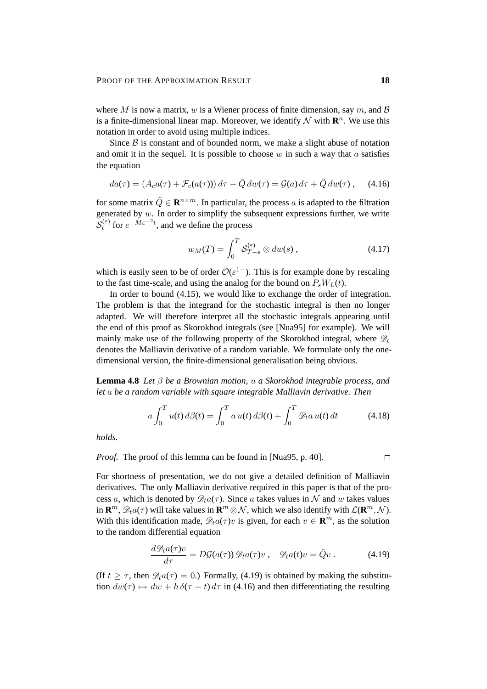where M is now a matrix, w is a Wiener process of finite dimension, say m, and  $\beta$ is a finite-dimensional linear map. Moreover, we identify  $N$  with  $\mathbb{R}^n$ . We use this notation in order to avoid using multiple indices.

Since  $\beta$  is constant and of bounded norm, we make a slight abuse of notation and omit it in the sequel. It is possible to choose  $w$  in such a way that  $a$  satisfies the equation

$$
da(\tau) = (A_c a(\tau) + \mathcal{F}_c(a(\tau))) d\tau + \tilde{Q} dw(\tau) = \mathcal{G}(a) d\tau + \tilde{Q} dw(\tau) , \quad (4.16)
$$

for some matrix  $\tilde{Q} \in \mathbf{R}^{n \times m}$ . In particular, the process a is adapted to the filtration generated by  $w$ . In order to simplify the subsequent expressions further, we write  $S_t^{(\varepsilon)}$  for  $e^{-\tilde{M}\varepsilon^{-2}t}$ , and we define the process

$$
w_M(T) = \int_0^T \mathcal{S}_{T-s}^{(\varepsilon)} \otimes dw(s) , \qquad (4.17)
$$

which is easily seen to be of order  $\mathcal{O}(\varepsilon^{1-})$ . This is for example done by rescaling to the fast time-scale, and using the analog for the bound on  $P_sW_L(t)$ .

In order to bound (4.15), we would like to exchange the order of integration. The problem is that the integrand for the stochastic integral is then no longer adapted. We will therefore interpret all the stochastic integrals appearing until the end of this proof as Skorokhod integrals (see [Nua95] for example). We will mainly make use of the following property of the Skorokhod integral, where  $\mathcal{D}_t$ denotes the Malliavin derivative of a random variable. We formulate only the onedimensional version, the finite-dimensional generalisation being obvious.

**Lemma 4.8** *Let* β *be a Brownian motion,* u *a Skorokhod integrable process, and let* a *be a random variable with square integrable Malliavin derivative. Then*

$$
a\int_0^T u(t) d\beta(t) = \int_0^T a u(t) d\beta(t) + \int_0^T \mathcal{D}_t a u(t) dt \qquad (4.18)
$$

*holds.*

*Proof.* The proof of this lemma can be found in [Nua95, p. 40].  $\Box$ 

For shortness of presentation, we do not give a detailed definition of Malliavin derivatives. The only Malliavin derivative required in this paper is that of the process a, which is denoted by  $\mathscr{D}_t a(\tau)$ . Since a takes values in N and w takes values in  $\mathbf{R}^m$ ,  $\mathscr{D}_t a(\tau)$  will take values in  $\mathbf{R}^m \otimes \mathcal{N}$ , which we also identify with  $\mathcal{L}(\mathbf{R}^m, \mathcal{N})$ . With this identification made,  $\mathscr{D}_t a(\tau) v$  is given, for each  $v \in \mathbb{R}^m$ , as the solution to the random differential equation

$$
\frac{d\mathcal{D}_t a(\tau)v}{d\tau} = D\mathcal{G}(a(\tau))\mathcal{D}_t a(\tau)v\ ,\quad \mathcal{D}_t a(t)v = \tilde{Q}v\ .\tag{4.19}
$$

(If  $t \geq \tau$ , then  $\mathscr{D}_t a(\tau) = 0$ .) Formally, (4.19) is obtained by making the substitution  $dw(\tau) \mapsto dw + h \, \delta(\tau - t) \, d\tau$  in (4.16) and then differentiating the resulting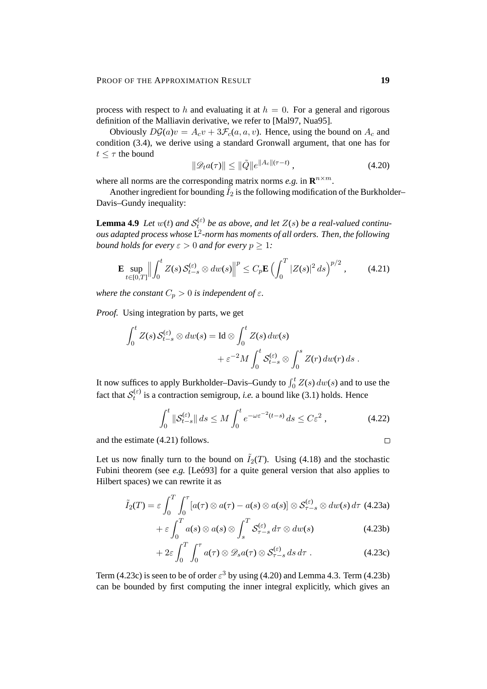process with respect to h and evaluating it at  $h = 0$ . For a general and rigorous definition of the Malliavin derivative, we refer to [Mal97, Nua95].

Obviously  $D\mathcal{G}(a)v = A_c v + 3\mathcal{F}_c(a, a, v)$ . Hence, using the bound on  $A_c$  and condition (3.4), we derive using a standard Gronwall argument, that one has for  $t \leq \tau$  the bound

$$
\|\mathscr{D}_t a(\tau)\| \le \|\tilde{Q}\|e^{\|A_c\|(\tau - t)}, \tag{4.20}
$$

where all norms are the corresponding matrix norms  $e.g.$  in  $\mathbb{R}^{n \times m}$ .

Another ingredient for bounding  $I_2$  is the following modification of the Burkholder– Davis–Gundy inequality:

**Lemma 4.9** Let  $w(t)$  and  $\mathcal{S}_t^{(\varepsilon)}$  be as above, and let  $Z(s)$  be a real-valued continu*ous adapted process whose* L 2 *-norm has moments of all orders. Then, the following bound holds for every*  $\varepsilon > 0$  *and for every*  $p \geq 1$ *:* 

$$
\mathbf{E} \sup_{t \in [0,T]} \left\| \int_0^t Z(s) \mathcal{S}_{t-s}^{(\varepsilon)} \otimes dw(s) \right\|^p \le C_p \mathbf{E} \left( \int_0^T |Z(s)|^2 \, ds \right)^{p/2},\tag{4.21}
$$

*where the constant*  $C_p > 0$  *is independent of*  $\varepsilon$ *.* 

*Proof.* Using integration by parts, we get

$$
\int_0^t Z(s) S_{t-s}^{(\varepsilon)} \otimes dw(s) = \mathrm{Id} \otimes \int_0^t Z(s) dw(s)
$$
  
+  $\varepsilon^{-2} M \int_0^t S_{t-s}^{(\varepsilon)} \otimes \int_0^s Z(r) dw(r) ds.$ 

It now suffices to apply Burkholder–Davis–Gundy to  $\int_0^t Z(s) dw(s)$  and to use the fact that  $S_t^{(\varepsilon)}$  is a contraction semigroup, *i.e.* a bound like (3.1) holds. Hence

$$
\int_0^t \|\mathcal{S}_{t-s}^{(\varepsilon)}\| \, ds \le M \int_0^t e^{-\omega \varepsilon^{-2}(t-s)} \, ds \le C\varepsilon^2 \,,\tag{4.22}
$$

and the estimate (4.21) follows.

Let us now finally turn to the bound on  $\tilde{I}_2(T)$ . Using (4.18) and the stochastic Fubini theorem (see *e.g.* [Leó93] for a quite general version that also applies to Hilbert spaces) we can rewrite it as

$$
\tilde{I}_2(T) = \varepsilon \int_0^T \int_0^{\tau} [a(\tau) \otimes a(\tau) - a(s) \otimes a(s)] \otimes \mathcal{S}_{\tau-s}^{(\varepsilon)} \otimes dw(s) d\tau
$$
(4.23a)

$$
+\varepsilon \int_0^T a(s) \otimes a(s) \otimes \int_s^T \mathcal{S}_{\tau-s}^{(\varepsilon)} d\tau \otimes dw(s) \tag{4.23b}
$$

$$
+ 2\varepsilon \int_0^T \int_0^\tau a(\tau) \otimes \mathscr{D}_s a(\tau) \otimes \mathcal{S}^{(\varepsilon)}_{\tau-s} ds d\tau . \tag{4.23c}
$$

Term (4.23c) is seen to be of order  $\varepsilon^3$  by using (4.20) and Lemma 4.3. Term (4.23b) can be bounded by first computing the inner integral explicitly, which gives an

$$
\square
$$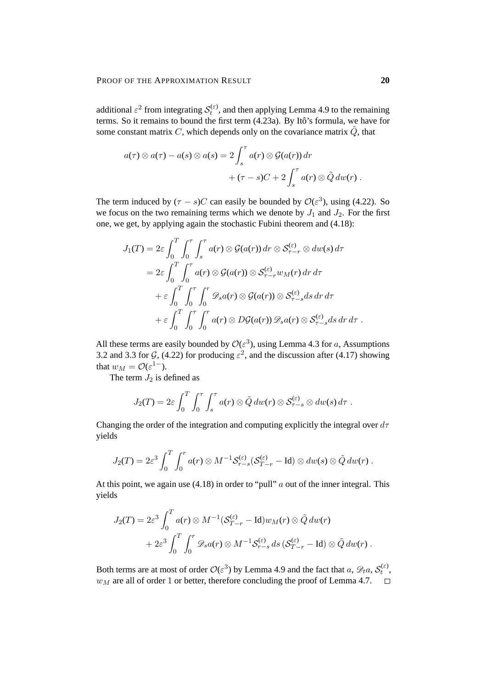additional  $\varepsilon^2$  from integrating  $\mathcal{S}_t^{(\varepsilon)}$ , and then applying Lemma 4.9 to the remaining terms. So it remains to bound the first term  $(4.23a)$ . By Itô's formula, we have for some constant matrix C, which depends only on the covariance matrix  $\tilde{Q}$ , that

$$
a(\tau) \otimes a(\tau) - a(s) \otimes a(s) = 2 \int_s^{\tau} a(r) \otimes \mathcal{G}(a(r)) dr
$$
  
+  $(\tau - s)C + 2 \int_s^{\tau} a(r) \otimes \tilde{Q} dw(r).$ 

The term induced by  $(\tau - s)C$  can easily be bounded by  $\mathcal{O}(\varepsilon^3)$ , using (4.22). So we focus on the two remaining terms which we denote by  $J_1$  and  $J_2$ . For the first one, we get, by applying again the stochastic Fubini theorem and (4.18):

$$
J_1(T) = 2\varepsilon \int_0^T \int_0^{\tau} \int_s^{\tau} a(r) \otimes \mathcal{G}(a(r)) dr \otimes \mathcal{S}_{\tau-r}^{(\varepsilon)} \otimes dw(s) d\tau
$$
  
=  $2\varepsilon \int_0^T \int_0^{\tau} a(r) \otimes \mathcal{G}(a(r)) \otimes \mathcal{S}_{\tau-r}^{(\varepsilon)} w_M(r) dr d\tau$   
+  $\varepsilon \int_0^T \int_0^{\tau} \int_0^{\tau} \mathcal{D}_s a(r) \otimes \mathcal{G}(a(r)) \otimes \mathcal{S}_{\tau-s}^{(\varepsilon)} ds dr d\tau$   
+  $\varepsilon \int_0^T \int_0^{\tau} \int_0^{\tau} a(r) \otimes D\mathcal{G}(a(r)) \mathcal{D}_s a(r) \otimes \mathcal{S}_{\tau-s}^{(\varepsilon)} ds dr d\tau$ .

All these terms are easily bounded by  $\mathcal{O}(\varepsilon^3)$ , using Lemma 4.3 for a, Assumptions 3.2 and 3.3 for  $\mathcal{G}$ , (4.22) for producing  $\varepsilon^2$ , and the discussion after (4.17) showing that  $w_M = \mathcal{O}(\varepsilon^{1-}).$ 

The term  $J_2$  is defined as

$$
J_2(T) = 2\varepsilon \int_0^T \int_0^{\tau} \int_s^{\tau} a(r) \otimes \tilde{Q} dw(r) \otimes S_{\tau-s}^{(\varepsilon)} \otimes dw(s) d\tau.
$$

Changing the order of the integration and computing explicitly the integral over  $d\tau$ yields

$$
J_2(T) = 2\varepsilon^3 \int_0^T \int_0^r a(r) \otimes M^{-1} \mathcal{S}_{r-s}^{(\varepsilon)} (\mathcal{S}_{T-r}^{(\varepsilon)} - \mathrm{Id}) \otimes dw(s) \otimes \tilde{Q} dw(r) .
$$

At this point, we again use  $(4.18)$  in order to "pull" *a* out of the inner integral. This yields

$$
J_2(T) = 2\varepsilon^3 \int_0^T a(r) \otimes M^{-1} (\mathcal{S}_{T-r}^{(\varepsilon)} - \mathrm{Id}) w_M(r) \otimes \tilde{Q} dw(r)
$$
  
+ 
$$
2\varepsilon^3 \int_0^T \int_0^r \mathcal{D}_s a(r) \otimes M^{-1} \mathcal{S}_{r-s}^{(\varepsilon)} ds (\mathcal{S}_{T-r}^{(\varepsilon)} - \mathrm{Id}) \otimes \tilde{Q} dw(r) .
$$

Both terms are at most of order  $\mathcal{O}(\varepsilon^3)$  by Lemma 4.9 and the fact that  $a, \mathscr{D}_t a, \mathcal{S}_t^{(\varepsilon)}$ ,  $w_M$  are all of order 1 or better, therefore concluding the proof of Lemma 4.7.  $\square$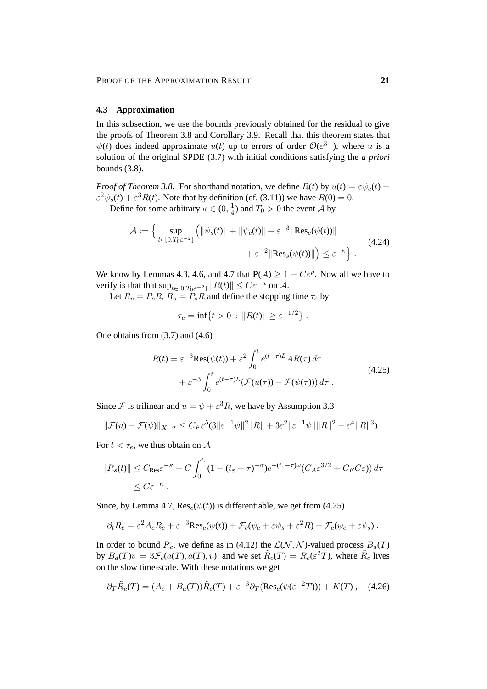#### **4.3 Approximation**

In this subsection, we use the bounds previously obtained for the residual to give the proofs of Theorem 3.8 and Corollary 3.9. Recall that this theorem states that  $\psi(t)$  does indeed approximate  $u(t)$  up to errors of order  $\mathcal{O}(\varepsilon^{3-})$ , where u is a solution of the original SPDE (3.7) with initial conditions satisfying the *a priori* bounds (3.8).

*Proof of Theorem 3.8.* For shorthand notation, we define  $R(t)$  by  $u(t) = \varepsilon \psi_c(t) +$  $\varepsilon^2 \psi_s(t) + \varepsilon^3 R(t)$ . Note that by definition (cf. (3.11)) we have  $R(0) = 0$ .

Define for some arbitrary  $\kappa \in (0, \frac{1}{4})$  $\frac{1}{4}$ ) and  $T_0 > 0$  the event A by

$$
\mathcal{A} := \left\{ \sup_{t \in [0, T_0 \varepsilon^{-2}]} \left( \|\psi_s(t)\| + \|\psi_c(t)\| + \varepsilon^{-3} \|\text{Res}_c(\psi(t))\| + \varepsilon^{-2} \|\text{Res}_s(\psi(t))\| \right) \leq \varepsilon^{-\kappa} \right\}. \tag{4.24}
$$

We know by Lemmas 4.3, 4.6, and 4.7 that  $P(A) \geq 1 - C\varepsilon^p$ . Now all we have to verify is that that  $\sup_{t \in [0, T_0 \varepsilon^{-2}]} \|R(t)\| \leq C \varepsilon^{-\kappa}$  on A.

Let  $R_c = P_c R$ ,  $R_s = P_s R$  and define the stopping time  $\tau_e$  by

$$
\tau_e = \inf\{t > 0 : ||R(t)|| \ge \varepsilon^{-1/2}\}.
$$

One obtains from (3.7) and (4.6)

$$
R(t) = \varepsilon^{-3} \text{Res}(\psi(t)) + \varepsilon^{2} \int_{0}^{t} e^{(t-\tau)L} AR(\tau) d\tau
$$
  
+  $\varepsilon^{-3} \int_{0}^{t} e^{(t-\tau)L} (\mathcal{F}(u(\tau)) - \mathcal{F}(\psi(\tau))) d\tau$ . (4.25)

Since F is trilinear and  $u = \psi + \varepsilon^3 R$ , we have by Assumption 3.3

$$
\|\mathcal{F}(u)-\mathcal{F}(\psi)\|_{X^{-\alpha}} \leq C_F \varepsilon^5 (3\|\varepsilon^{-1}\psi\|^2 \|R\|+3\varepsilon^2 \|\varepsilon^{-1}\psi\| \|R\|^2+\varepsilon^4 \|R\|^3).
$$

For  $t < \tau_e$ , we thus obtain on A

$$
||R_s(t)|| \leq C_{\text{Res}} \varepsilon^{-\kappa} + C \int_0^{t_{\varepsilon}} (1 + (t_{\varepsilon} - \tau)^{-\alpha}) e^{-(t_{\varepsilon} - \tau)\omega} (C_A \varepsilon^{3/2} + C_F C \varepsilon) d\tau
$$
  
 
$$
\leq C \varepsilon^{-\kappa}.
$$

Since, by Lemma 4.7,  $\text{Res}_{c}(\psi(t))$  is differentiable, we get from (4.25)

$$
\partial_t R_c = \varepsilon^2 A_c R_c + \varepsilon^{-3} \text{Res}_c(\psi(t)) + \mathcal{F}_c(\psi_c + \varepsilon \psi_s + \varepsilon^2 R) - \mathcal{F}_c(\psi_c + \varepsilon \psi_s) .
$$

In order to bound  $R_c$ , we define as in (4.12) the  $\mathcal{L}(\mathcal{N}, \mathcal{N})$ -valued process  $B_a(T)$ by  $B_a(T)v = 3\mathcal{F}_c(a(T), a(T), v)$ , and we set  $\tilde{R}_c(T) = R_c(\varepsilon^2 T)$ , where  $\tilde{R}_c$  lives on the slow time-scale. With these notations we get

$$
\partial_T \tilde{R}_c(T) = (A_c + B_a(T))\tilde{R}_c(T) + \varepsilon^{-3} \partial_T (\text{Res}_c(\psi(\varepsilon^{-2}T))) + K(T), \quad (4.26)
$$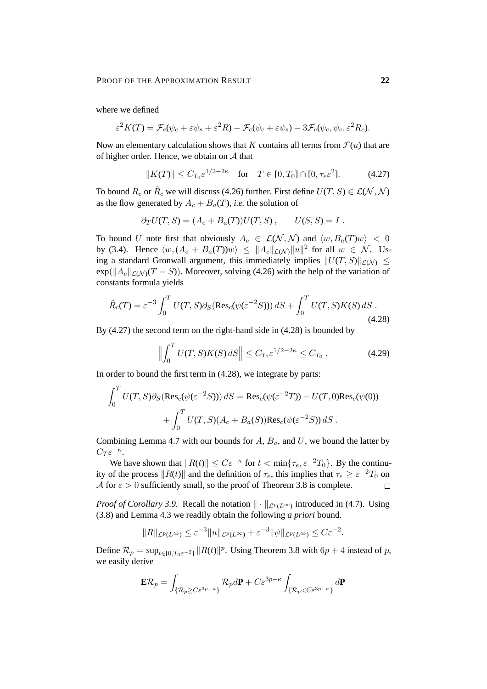where we defined

$$
\varepsilon^2 K(T) = \mathcal{F}_c(\psi_c + \varepsilon \psi_s + \varepsilon^2 R) - \mathcal{F}_c(\psi_c + \varepsilon \psi_s) - 3\mathcal{F}_c(\psi_c, \psi_c, \varepsilon^2 R_c).
$$

Now an elementary calculation shows that K contains all terms from  $\mathcal{F}(u)$  that are of higher order. Hence, we obtain on A that

$$
||K(T)|| \leq C_{T_0} \varepsilon^{1/2 - 2\kappa} \quad \text{for} \quad T \in [0, T_0] \cap [0, \tau_e \varepsilon^2]. \tag{4.27}
$$

To bound  $R_c$  or  $\tilde{R}_c$  we will discuss (4.26) further. First define  $U(T,S) \in \mathcal{L}(\mathcal{N},\mathcal{N})$ as the flow generated by  $A_c + B_a(T)$ , *i.e.* the solution of

$$
\partial_T U(T, S) = (A_c + B_a(T))U(T, S) , \qquad U(S, S) = I .
$$

To bound U note first that obviously  $A_c \in \mathcal{L}(\mathcal{N}, \mathcal{N})$  and  $\langle w, B_n(T)w \rangle < 0$ by (3.4). Hence  $\langle w, (A_c + B_a(T))w \rangle \le ||A_c||_{\mathcal{L}(\mathcal{N})}||u||^2$  for all  $w \in \mathcal{N}$ . Using a standard Gronwall argument, this immediately implies  $||U(T, S)||_{\mathcal{L}(N)} \le$  $\exp(||A_c||_{\mathcal{L}(\mathcal{N})}(T - S))$ . Moreover, solving (4.26) with the help of the variation of constants formula yields

$$
\tilde{R}_c(T) = \varepsilon^{-3} \int_0^T U(T, S) \partial_S (\text{Res}_c(\psi(\varepsilon^{-2}S))) \, dS + \int_0^T U(T, S) K(S) \, dS \,.
$$
\n(4.28)

By (4.27) the second term on the right-hand side in (4.28) is bounded by

$$
\left\| \int_0^T U(T, S) K(S) \, dS \right\| \le C_{T_0} \varepsilon^{1/2 - 2\kappa} \le C_{T_0} \,. \tag{4.29}
$$

In order to bound the first term in (4.28), we integrate by parts:

$$
\int_0^T U(T, S)\partial_S(\text{Res}_c(\psi(\varepsilon^{-2}S))) dS = \text{Res}_c(\psi(\varepsilon^{-2}T)) - U(T, 0)\text{Res}_c(\psi(0))
$$

$$
+ \int_0^T U(T, S)(A_c + B_a(S))\text{Res}_c(\psi(\varepsilon^{-2}S)) dS.
$$

Combining Lemma 4.7 with our bounds for  $A$ ,  $B_a$ , and  $U$ , we bound the latter by  $C_T \varepsilon^{-\kappa}.$ 

We have shown that  $||R(t)|| \leq C \varepsilon^{-\kappa}$  for  $t < \min\{\tau_e, \varepsilon^{-2}T_0\}$ . By the continuity of the process  $||R(t)||$  and the definition of  $\tau_e$ , this implies that  $\tau_e \ge \epsilon^{-2}T_0$  on A for  $\varepsilon > 0$  sufficiently small, so the proof of Theorem 3.8 is complete.  $\Box$ 

*Proof of Corollary 3.9.* Recall the notation  $\|\cdot\|_{\mathcal{L}^p(L^{\infty})}$  introduced in (4.7). Using (3.8) and Lemma 4.3 we readily obtain the following *a priori* bound.

$$
||R||_{\mathcal{L}^p(L^{\infty})} \leq \varepsilon^{-3}||u||_{\mathcal{L}^p(L^{\infty})} + \varepsilon^{-3}||\psi||_{\mathcal{L}^p(L^{\infty})} \leq C\varepsilon^{-2}.
$$

Define  $\mathcal{R}_p = \sup_{t \in [0, T_0 \varepsilon^{-2}]} ||R(t)||^p$ . Using Theorem 3.8 with  $6p + 4$  instead of p, we easily derive

$$
\mathbf{E} \mathcal{R}_p = \int_{\{\mathcal{R}_p \ge C\varepsilon^{3p-\kappa}\}} \mathcal{R}_p d\mathbf{P} + C\varepsilon^{3p-\kappa} \int_{\{\mathcal{R}_p < C\varepsilon^{3p-\kappa}\}} d\mathbf{P}
$$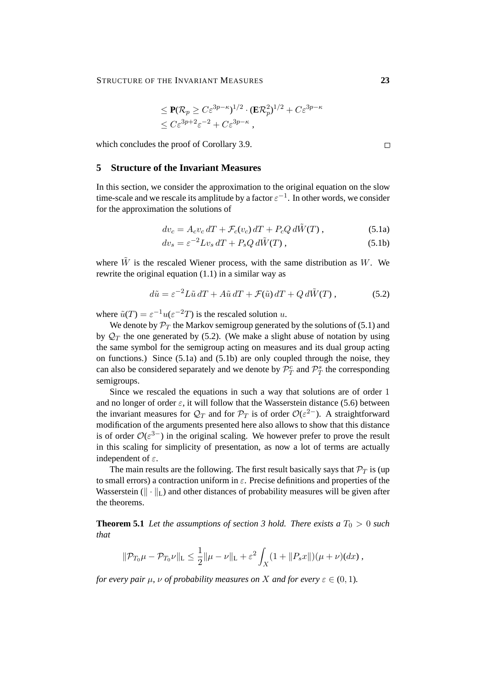$$
\leq \mathbf{P}(\mathcal{R}_p \geq C\varepsilon^{3p-\kappa})^{1/2} \cdot (\mathbf{E}\mathcal{R}_p^2)^{1/2} + C\varepsilon^{3p-\kappa} \leq C\varepsilon^{3p+2}\varepsilon^{-2} + C\varepsilon^{3p-\kappa},
$$

which concludes the proof of Corollary 3.9.

### **5 Structure of the Invariant Measures**

In this section, we consider the approximation to the original equation on the slow time-scale and we rescale its amplitude by a factor  $\varepsilon^{-1}$ . In other words, we consider for the approximation the solutions of

$$
dv_c = A_c v_c dT + \mathcal{F}_c(v_c) dT + P_c Q d\tilde{W}(T) ,
$$
\n(5.1a)

$$
dv_s = \varepsilon^{-2} L v_s dT + P_s Q d\tilde{W}(T) , \qquad (5.1b)
$$

where  $\tilde{W}$  is the rescaled Wiener process, with the same distribution as W. We rewrite the original equation (1.1) in a similar way as

$$
d\tilde{u} = \varepsilon^{-2} L\tilde{u} dT + A\tilde{u} dT + \mathcal{F}(\tilde{u}) dT + Q d\tilde{W}(T) , \qquad (5.2)
$$

where  $\tilde{u}(T) = \varepsilon^{-1} u(\varepsilon^{-2}T)$  is the rescaled solution u.

We denote by  $\mathcal{P}_T$  the Markov semigroup generated by the solutions of (5.1) and by  $\mathcal{Q}_T$  the one generated by (5.2). (We make a slight abuse of notation by using the same symbol for the semigroup acting on measures and its dual group acting on functions.) Since (5.1a) and (5.1b) are only coupled through the noise, they can also be considered separately and we denote by  $\mathcal{P}_T^c$  and  $\mathcal{P}_T^s$  the corresponding semigroups.

Since we rescaled the equations in such a way that solutions are of order 1 and no longer of order  $\varepsilon$ , it will follow that the Wasserstein distance (5.6) between the invariant measures for  $\mathcal{Q}_T$  and for  $\mathcal{P}_T$  is of order  $\mathcal{O}(\varepsilon^{2-})$ . A straightforward modification of the arguments presented here also allows to show that this distance is of order  $O(\varepsilon^{3-})$  in the original scaling. We however prefer to prove the result in this scaling for simplicity of presentation, as now a lot of terms are actually independent of  $\varepsilon$ .

The main results are the following. The first result basically says that  $\mathcal{P}_T$  is (up to small errors) a contraction uniform in  $\varepsilon$ . Precise definitions and properties of the Wasserstein ( $\|\cdot\|_L$ ) and other distances of probability measures will be given after the theorems.

**Theorem 5.1** Let the assumptions of section 3 hold. There exists a  $T_0 > 0$  such *that*

$$
\|\mathcal{P}_{T_0}\mu - \mathcal{P}_{T_0}\nu\|_{\mathcal{L}} \leq \frac{1}{2} \|\mu - \nu\|_{\mathcal{L}} + \varepsilon^2 \int_X (1 + \|P_s x\|)(\mu + \nu)(dx),
$$

*for every pair*  $\mu$ *, v of probability measures on* X *and for every*  $\varepsilon \in (0,1)$ *.* 

 $\Box$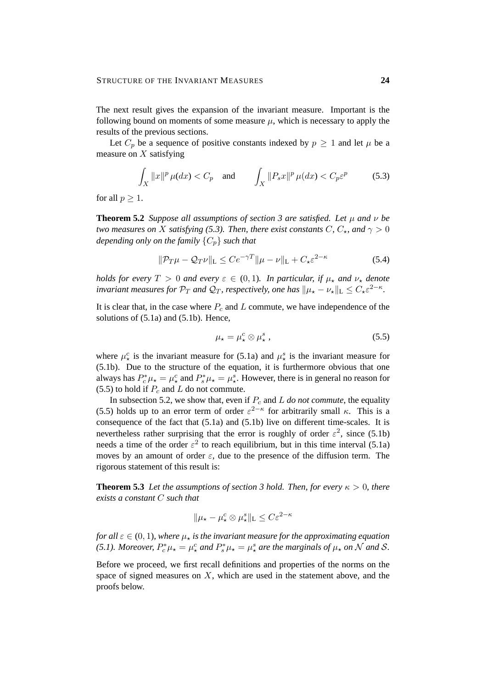The next result gives the expansion of the invariant measure. Important is the following bound on moments of some measure  $\mu$ , which is necessary to apply the results of the previous sections.

Let  $C_p$  be a sequence of positive constants indexed by  $p \geq 1$  and let  $\mu$  be a measure on  $X$  satisfying

$$
\int_X \|x\|^p \,\mu(dx) < C_p \quad \text{and} \quad \int_X \|P_s x\|^p \,\mu(dx) < C_p \varepsilon^p \tag{5.3}
$$

for all  $p \geq 1$ .

**Theorem 5.2** *Suppose all assumptions of section 3 are satisfied. Let* µ *and* ν *be two measures on* X *satisfying (5.3). Then, there exist constants* C,  $C_{\star}$ *, and*  $\gamma > 0$ *depending only on the family*  $\{C_n\}$  *such that* 

$$
\|\mathcal{P}_T\mu - \mathcal{Q}_T\nu\|_{\mathcal{L}} \le C e^{-\gamma T} \|\mu - \nu\|_{\mathcal{L}} + C_{\star} \varepsilon^{2-\kappa} \tag{5.4}
$$

*holds for every*  $T > 0$  *and every*  $\varepsilon \in (0, 1)$ *. In particular, if*  $\mu_{\star}$  *and*  $\nu_{\star}$  *denote invariant measures for*  $\mathcal{P}_T$  *and*  $\mathcal{Q}_T$ *, respectively, one has*  $\|\mu_\star - \nu_\star\|_{\text{L}} \leq C_\star \varepsilon^{2-\kappa}$ *.* 

It is clear that, in the case where  $P_c$  and L commute, we have independence of the solutions of (5.1a) and (5.1b). Hence,

$$
\mu_{\star} = \mu_{\star}^c \otimes \mu_{\star}^s \,, \tag{5.5}
$$

where  $\mu^c_*$  is the invariant measure for (5.1a) and  $\mu^s_*$  is the invariant measure for (5.1b). Due to the structure of the equation, it is furthermore obvious that one always has  $P_c^* \mu_{\star} = \mu_{\star}^c$  and  $P_s^* \mu_{\star} = \mu_{\star}^s$ . However, there is in general no reason for (5.5) to hold if  $P_c$  and  $L$  do not commute.

In subsection 5.2, we show that, even if  $P_c$  and  $L$  *do not commute*, the equality (5.5) holds up to an error term of order  $\varepsilon^{2-\kappa}$  for arbitrarily small  $\kappa$ . This is a consequence of the fact that (5.1a) and (5.1b) live on different time-scales. It is nevertheless rather surprising that the error is roughly of order  $\varepsilon^2$ , since (5.1b) needs a time of the order  $\varepsilon^2$  to reach equilibrium, but in this time interval (5.1a) moves by an amount of order  $\varepsilon$ , due to the presence of the diffusion term. The rigorous statement of this result is:

**Theorem 5.3** *Let the assumptions of section 3 hold. Then, for every*  $\kappa > 0$ *, there exists a constant* C *such that*

$$
\|\mu_{\star} - \mu_{\star}^c \otimes \mu_{\star}^s\|_{\mathcal{L}} \leq C\varepsilon^{2-\kappa}
$$

*for all*  $\varepsilon \in (0, 1)$ *, where*  $\mu_{\star}$  *is the invariant measure for the approximating equation* (5.1). Moreover,  $P_c^* \mu_\star = \mu_\star^c$  and  $P_s^* \mu_\star = \mu_\star^s$  are the marginals of  $\mu_\star$  on N and S.

Before we proceed, we first recall definitions and properties of the norms on the space of signed measures on  $X$ , which are used in the statement above, and the proofs below.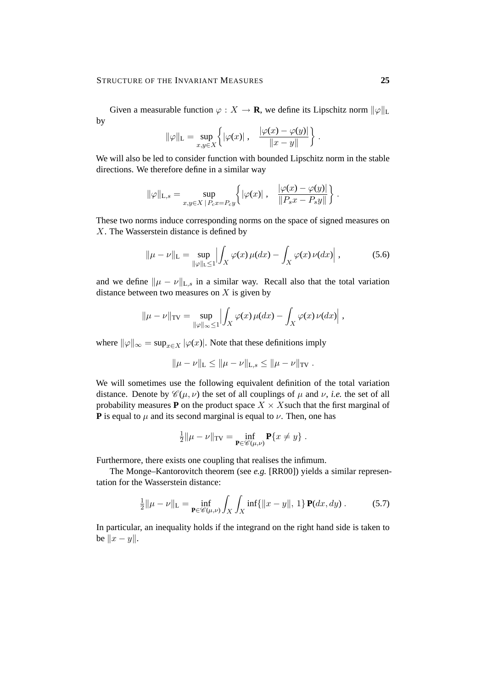Given a measurable function  $\varphi : X \to \mathbf{R}$ , we define its Lipschitz norm  $\|\varphi\|_{\mathbf{L}}$ by

$$
\|\varphi\|_{\mathsf{L}} = \sup_{x,y \in X} \left\{ |\varphi(x)| \; , \quad \frac{|\varphi(x) - \varphi(y)|}{\|x - y\|} \right\} \, .
$$

We will also be led to consider function with bounded Lipschitz norm in the stable directions. We therefore define in a similar way

$$
\|\varphi\|_{\mathcal{L},s} = \sup_{x,y \in X \,|\, P_c x = P_c y} \left\{ |\varphi(x)| \, , \, \frac{\left| \varphi(x) - \varphi(y) \right|}{\left\| P_s x - P_s y \right\|} \right\} \, .
$$

These two norms induce corresponding norms on the space of signed measures on X. The Wasserstein distance is defined by

$$
\|\mu - \nu\|_{\mathcal{L}} = \sup_{\|\varphi\|_{\mathcal{L}} \le 1} \left| \int_X \varphi(x) \,\mu(dx) - \int_X \varphi(x) \,\nu(dx) \right|, \tag{5.6}
$$

and we define  $\|\mu - \nu\|_{L,s}$  in a similar way. Recall also that the total variation distance between two measures on  $X$  is given by

$$
\|\mu - \nu\|_{\text{TV}} = \sup_{\|\varphi\|_{\infty} \le 1} \left| \int_X \varphi(x) \, \mu(dx) - \int_X \varphi(x) \, \nu(dx) \right|,
$$

where  $\|\varphi\|_{\infty} = \sup_{x \in X} |\varphi(x)|$ . Note that these definitions imply

$$
\|\mu - \nu\|_{L} \le \|\mu - \nu\|_{L,s} \le \|\mu - \nu\|_{TV}.
$$

We will sometimes use the following equivalent definition of the total variation distance. Denote by  $\mathcal{C}(\mu, \nu)$  the set of all couplings of  $\mu$  and  $\nu$ , *i.e.* the set of all probability measures **P** on the product space  $X \times X$  such that the first marginal of **P** is equal to  $\mu$  and its second marginal is equal to  $\nu$ . Then, one has

$$
\frac{1}{2}||\mu - \nu||_{TV} = \inf_{\mathbf{P} \in \mathscr{C}(\mu,\nu)} \mathbf{P}\{x \neq y\}.
$$

Furthermore, there exists one coupling that realises the infimum.

The Monge–Kantorovitch theorem (see *e.g.* [RR00]) yields a similar representation for the Wasserstein distance:

$$
\frac{1}{2}||\mu - \nu||_{\mathcal{L}} = \inf_{\mathbf{P} \in \mathscr{C}(\mu, \nu)} \int_X \int_X \inf \{ ||x - y||, 1 \} \mathbf{P}(dx, dy) . \tag{5.7}
$$

In particular, an inequality holds if the integrand on the right hand side is taken to be  $||x - y||$ .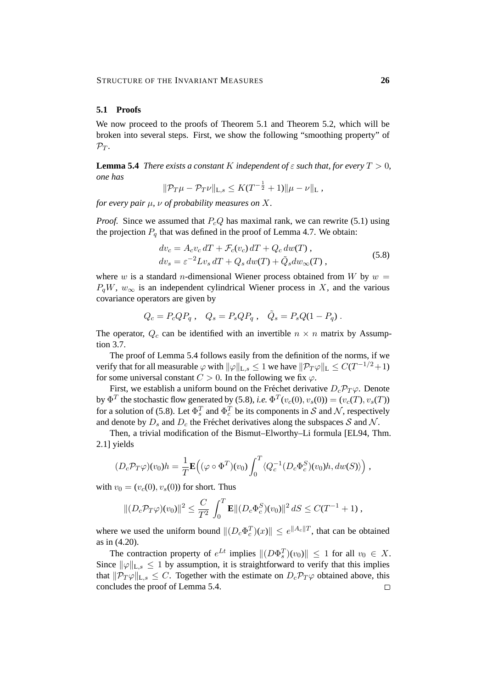#### **5.1 Proofs**

We now proceed to the proofs of Theorem 5.1 and Theorem 5.2, which will be broken into several steps. First, we show the following "smoothing property" of  $\mathcal{P}_T$ .

**Lemma 5.4** *There exists a constant* K *independent of*  $\varepsilon$  *such that, for every*  $T > 0$ *, one has*

$$
\|\mathcal{P}_T\mu - \mathcal{P}_T\nu\|_{\mathsf{L},s} \leq K(T^{-\frac{1}{2}} + 1)\|\mu - \nu\|_{\mathsf{L}},
$$

*for every pair* µ*,* ν *of probability measures on* X*.*

*Proof.* Since we assumed that  $P_cQ$  has maximal rank, we can rewrite (5.1) using the projection  $P_q$  that was defined in the proof of Lemma 4.7. We obtain:

$$
dv_c = A_c v_c dT + \mathcal{F}_c(v_c) dT + Q_c dw(T) ,
$$
  
\n
$$
dv_s = \varepsilon^{-2} L v_s dT + Q_s dw(T) + \tilde{Q}_s dw_\infty(T) ,
$$
\n(5.8)

where w is a standard *n*-dimensional Wiener process obtained from W by  $w =$  $P_qW$ ,  $w_\infty$  is an independent cylindrical Wiener process in X, and the various covariance operators are given by

$$
Q_c = P_c Q P_q , \quad Q_s = P_s Q P_q , \quad \tilde{Q}_s = P_s Q (1 - P_q) .
$$

The operator,  $Q_c$  can be identified with an invertible  $n \times n$  matrix by Assumption 3.7.

The proof of Lemma 5.4 follows easily from the definition of the norms, if we verify that for all measurable  $\varphi$  with  $\|\varphi\|_{\mathrm{L},s} \leq 1$  we have  $\|\mathcal{P}_T \varphi\|_{\mathrm{L}} \leq C (T^{-1/2} + 1)$ for some universal constant  $C > 0$ . In the following we fix  $\varphi$ .

First, we establish a uniform bound on the Fréchet derivative  $D_c \mathcal{P}_T \varphi$ . Denote by  $\Phi^T$  the stochastic flow generated by (5.8), *i.e.*  $\Phi^T(v_c(0), v_s(0)) = (v_c(T), v_s(T))$ for a solution of (5.8). Let  $\Phi_s^T$  and  $\Phi_c^T$  be its components in S and N, respectively and denote by  $D_s$  and  $D_c$  the Fréchet derivatives along the subspaces S and N.

Then, a trivial modification of the Bismut–Elworthy–Li formula [EL94, Thm. 2.1] yields

$$
(D_c \mathcal{P}_T \varphi)(v_0)h = \frac{1}{T} \mathbf{E} \Big( (\varphi \circ \Phi^T)(v_0) \int_0^T \langle Q_c^{-1} (D_c \Phi_c^S)(v_0)h, dw(S) \rangle \Big) ,
$$

with  $v_0 = (v_c(0), v_s(0))$  for short. Thus

$$
||(D_c \mathcal{P}_T \varphi)(v_0)||^2 \leq \frac{C}{T^2} \int_0^T \mathbf{E} ||(D_c \Phi_c^S)(v_0)||^2 dS \leq C(T^{-1} + 1),
$$

where we used the uniform bound  $||(D_c \Phi_c^T)(x)|| \le e^{\|A_c\|T}$ , that can be obtained as in (4.20).

The contraction property of  $e^{Lt}$  implies  $||(D\Phi_s^T)(v_0)|| \le 1$  for all  $v_0 \in X$ . Since  $\|\varphi\|_{L,s} \leq 1$  by assumption, it is straightforward to verify that this implies that  $\|\mathcal{P}_T\varphi\|_{L,s} \leq C$ . Together with the estimate on  $D_c\mathcal{P}_T\varphi$  obtained above, this concludes the proof of Lemma 5.4. $\Box$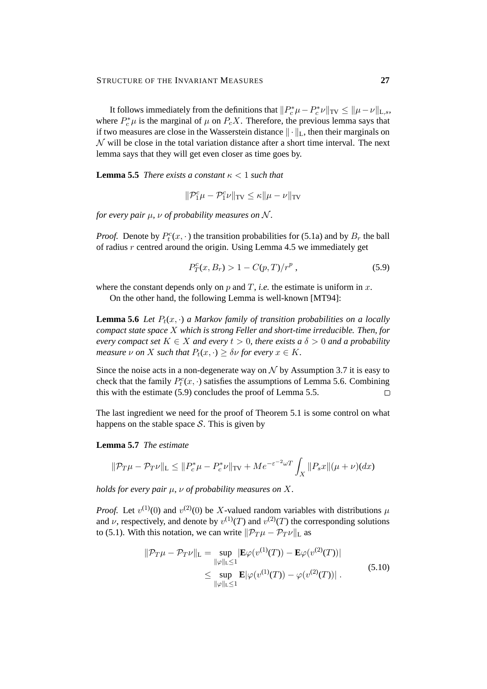It follows immediately from the definitions that  $||P_c^* \mu - P_c^* \nu||_{TV} \le ||\mu - \nu||_{L,s}$ , where  $P_c^*\mu$  is the marginal of  $\mu$  on  $P_cX$ . Therefore, the previous lemma says that if two measures are close in the Wasserstein distance  $\|\cdot\|_{\mathcal{L}}$ , then their marginals on  $N$  will be close in the total variation distance after a short time interval. The next lemma says that they will get even closer as time goes by.

**Lemma 5.5** *There exists a constant*  $\kappa < 1$  *such that* 

$$
\|\mathcal{P}_1^c \mu - \mathcal{P}_1^c \nu\|_{\text{TV}} \le \kappa \|\mu - \nu\|_{\text{TV}}
$$

*for every pair*  $\mu$ ,  $\nu$  *of probability measures on* N.

*Proof.* Denote by  $P_t^c(x, \cdot)$  the transition probabilities for (5.1a) and by  $B_r$  the ball of radius r centred around the origin. Using Lemma 4.5 we immediately get

$$
P_T^c(x, B_r) > 1 - C(p, T)/r^p , \qquad (5.9)
$$

where the constant depends only on  $p$  and  $T$ , *i.e.* the estimate is uniform in  $x$ .

On the other hand, the following Lemma is well-known [MT94]:

**Lemma 5.6** *Let*  $P_t(x, \cdot)$  *a Markov family of transition probabilities on a locally compact state space* X *which is strong Feller and short-time irreducible. Then, for every compact set*  $K \in X$  *and every*  $t > 0$ *, there exists a*  $\delta > 0$  *and a probability measure*  $\nu$  *on*  $X$  *such that*  $P_t(x, \cdot) \geq \delta \nu$  *for every*  $x \in K$ *.* 

Since the noise acts in a non-degenerate way on  $N$  by Assumption 3.7 it is easy to check that the family  $P_t^c(x, \cdot)$  satisfies the assumptions of Lemma 5.6. Combining this with the estimate (5.9) concludes the proof of Lemma 5.5.  $\Box$ 

The last ingredient we need for the proof of Theorem 5.1 is some control on what happens on the stable space  $S$ . This is given by

**Lemma 5.7** *The estimate*

$$
\|\mathcal{P}_T\mu - \mathcal{P}_T\nu\|_{\mathcal{L}} \le \|P_c^*\mu - P_c^*\nu\|_{\mathcal{TV}} + Me^{-\varepsilon^{-2}\omega T} \int_X \|P_s x\|(\mu+\nu)(dx)
$$

*holds for every pair* µ*,* ν *of probability measures on* X*.*

*Proof.* Let  $v^{(1)}(0)$  and  $v^{(2)}(0)$  be X-valued random variables with distributions  $\mu$ and  $\nu$ , respectively, and denote by  $v^{(1)}(T)$  and  $v^{(2)}(T)$  the corresponding solutions to (5.1). With this notation, we can write  $\|\mathcal{P}_T \mu - \mathcal{P}_T \nu\|_L$  as

$$
\|\mathcal{P}_T\mu - \mathcal{P}_T\nu\|_{\mathsf{L}} = \sup_{\|\varphi\|_{\mathsf{L}} \le 1} |\mathbf{E}\varphi(v^{(1)}(T)) - \mathbf{E}\varphi(v^{(2)}(T))|
$$
  
 
$$
\le \sup_{\|\varphi\|_{\mathsf{L}} \le 1} \mathbf{E}|\varphi(v^{(1)}(T)) - \varphi(v^{(2)}(T))|.
$$
 (5.10)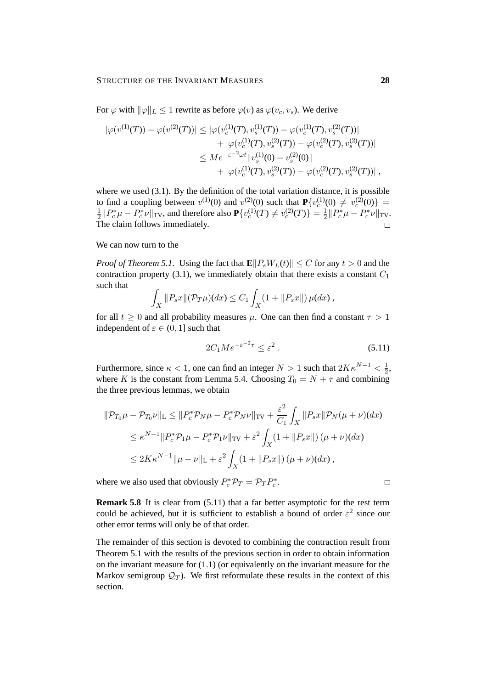For  $\varphi$  with  $\|\varphi\|_{L} \leq 1$  rewrite as before  $\varphi(v)$  as  $\varphi(v_c, v_s)$ . We derive

$$
\begin{split} |\varphi(v^{(1)}(T)) - \varphi(v^{(2)}(T))| &\le |\varphi(v_c^{(1)}(T), v_s^{(1)}(T)) - \varphi(v_c^{(1)}(T), v_s^{(2)}(T))| \\ &+ |\varphi(v_c^{(1)}(T), v_s^{(2)}(T)) - \varphi(v_c^{(2)}(T), v_s^{(2)}(T))| \\ &\le M e^{-\varepsilon^{-2}\omega t} \|v_s^{(1)}(0) - v_s^{(2)}(0)\| \\ &+ |\varphi(v_c^{(1)}(T), v_s^{(2)}(T)) - \varphi(v_c^{(2)}(T), v_s^{(2)}(T))| \;, \end{split}
$$

where we used  $(3.1)$ . By the definition of the total variation distance, it is possible to find a coupling between  $v^{(1)}(0)$  and  $v^{(2)}(0)$  such that  $P{v_c^{(1)}(0) \neq v_c^{(2)}(0)}$  = 1  $\frac{1}{2}||P_c^*\mu - P_c^*\nu||_{TV}$ , and therefore also  ${\bf P}\{v_c^{(1)}(T) \neq v_c^{(2)}(T)\} = \frac{1}{2}$  $\frac{1}{2}||P_c^*\mu - P_c^*\nu||_{\text{TV}}.$ The claim follows immediately.  $\Box$ 

We can now turn to the

*Proof of Theorem 5.1.* Using the fact that  $\mathbf{E} || P_s W_L(t) || \leq C$  for any  $t > 0$  and the contraction property (3.1), we immediately obtain that there exists a constant  $C_1$ such that

$$
\int_X \|P_s x\| (\mathcal{P}_T \mu)(dx) \leq C_1 \int_X (1 + \|P_s x\|) \,\mu(dx) ,
$$

for all  $t \geq 0$  and all probability measures  $\mu$ . One can then find a constant  $\tau > 1$ independent of  $\varepsilon \in (0, 1]$  such that

$$
2C_1 Me^{-\varepsilon^{-2}\tau} \le \varepsilon^2 \,. \tag{5.11}
$$

Furthermore, since  $\kappa < 1$ , one can find an integer  $N > 1$  such that  $2K\kappa^{N-1} < \frac{1}{2}$  $\frac{1}{2}$ , where K is the constant from Lemma 5.4. Choosing  $T_0 = N + \tau$  and combining the three previous lemmas, we obtain

$$
\|\mathcal{P}_{T_0}\mu - \mathcal{P}_{T_0}\nu\|_{\mathcal{L}} \le \|P_c^* \mathcal{P}_N \mu - P_c^* \mathcal{P}_N \nu\|_{\text{TV}} + \frac{\varepsilon^2}{C_1} \int_X \|P_s x\| \mathcal{P}_N (\mu + \nu)(dx)
$$
  

$$
\le \kappa^{N-1} \|P_c^* \mathcal{P}_1 \mu - P_c^* \mathcal{P}_1 \nu\|_{\text{TV}} + \varepsilon^2 \int_X (1 + \|P_s x\|) (\mu + \nu)(dx)
$$
  

$$
\le 2K\kappa^{N-1} \|\mu - \nu\|_{\mathcal{L}} + \varepsilon^2 \int_X (1 + \|P_s x\|) (\mu + \nu)(dx),
$$

where we also used that obviously  $P_c^* \mathcal{P}_T = \mathcal{P}_T P_c^*$ .

**Remark 5.8** It is clear from (5.11) that a far better asymptotic for the rest term could be achieved, but it is sufficient to establish a bound of order  $\varepsilon^2$  since our other error terms will only be of that order.

The remainder of this section is devoted to combining the contraction result from Theorem 5.1 with the results of the previous section in order to obtain information on the invariant measure for (1.1) (or equivalently on the invariant measure for the Markov semigroup  $\mathcal{Q}_T$ ). We first reformulate these results in the context of this section.

 $\Box$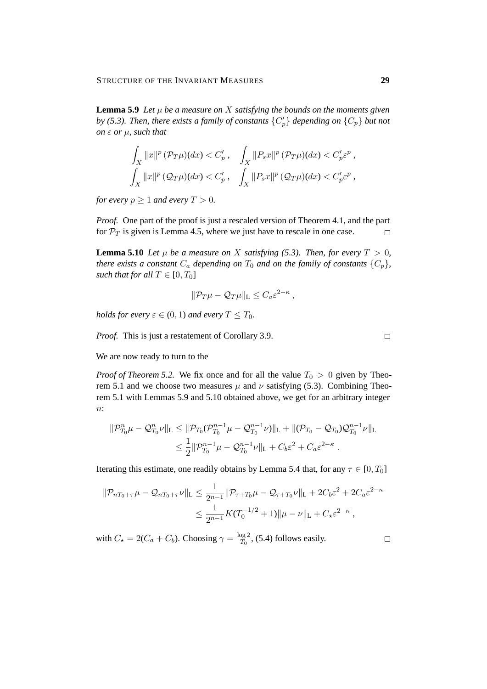**Lemma 5.9** *Let* µ *be a measure on* X *satisfying the bounds on the moments given by (5.3). Then, there exists a family of constants*  ${C_p' }$  *depending on*  ${C_p }$  *but not on*  $\epsilon$  *or*  $\mu$ *, such that* 

$$
\int_X \|x\|^p \left(\mathcal{P}_T \mu\right)(dx) < C'_p, \quad \int_X \|P_s x\|^p \left(\mathcal{P}_T \mu\right)(dx) < C'_p \varepsilon^p,
$$
\n
$$
\int_X \|x\|^p \left(\mathcal{Q}_T \mu\right)(dx) < C'_p, \quad \int_X \|P_s x\|^p \left(\mathcal{Q}_T \mu\right)(dx) < C'_p \varepsilon^p,
$$

*for every*  $p > 1$  *and every*  $T > 0$ *.* 

*Proof.* One part of the proof is just a rescaled version of Theorem 4.1, and the part for  $P_T$  is given is Lemma 4.5, where we just have to rescale in one case.  $\Box$ 

**Lemma 5.10** *Let*  $\mu$  *be a measure on X satisfying (5.3). Then, for every*  $T > 0$ , *there exists a constant*  $C_a$  *depending on*  $T_0$  *and on the family of constants*  $\{C_p\}$ *, such that for all*  $T \in [0, T_0]$ 

$$
\|\mathcal{P}_T\mu-\mathcal{Q}_T\mu\|_{\mathsf{L}}\leq C_a\varepsilon^{2-\kappa}\,,
$$

*holds for every*  $\varepsilon \in (0,1)$  *and every*  $T \leq T_0$ *.* 

*Proof.* This is just a restatement of Corollary 3.9.

We are now ready to turn to the

*Proof of Theorem 5.2.* We fix once and for all the value  $T_0 > 0$  given by Theorem 5.1 and we choose two measures  $\mu$  and  $\nu$  satisfying (5.3). Combining Theorem 5.1 with Lemmas 5.9 and 5.10 obtained above, we get for an arbitrary integer  $n$ :

$$
\begin{aligned} \|\mathcal{P}_{T_0}^n \mu - \mathcal{Q}_{T_0}^n \nu\|_{\mathcal{L}} &\leq \|\mathcal{P}_{T_0}(\mathcal{P}_{T_0}^{n-1} \mu - \mathcal{Q}_{T_0}^{n-1} \nu)\|_{\mathcal{L}} + \|(\mathcal{P}_{T_0} - \mathcal{Q}_{T_0})\mathcal{Q}_{T_0}^{n-1} \nu\|_{\mathcal{L}} \\ &\leq \frac{1}{2} \|\mathcal{P}_{T_0}^{n-1} \mu - \mathcal{Q}_{T_0}^{n-1} \nu\|_{\mathcal{L}} + C_b \varepsilon^2 + C_a \varepsilon^{2-\kappa} \,. \end{aligned}
$$

Iterating this estimate, one readily obtains by Lemma 5.4 that, for any  $\tau \in [0, T_0]$ 

$$
\|\mathcal{P}_{nT_0+\tau}\mu - \mathcal{Q}_{nT_0+\tau}\nu\|_{\mathcal{L}} \le \frac{1}{2^{n-1}} \|\mathcal{P}_{\tau+T_0}\mu - \mathcal{Q}_{\tau+T_0}\nu\|_{\mathcal{L}} + 2C_b \varepsilon^2 + 2C_a \varepsilon^{2-\kappa} \le \frac{1}{2^{n-1}} K(T_0^{-1/2} + 1) \|\mu - \nu\|_{\mathcal{L}} + C_{\star} \varepsilon^{2-\kappa},
$$

with  $C_{\star} = 2(C_a + C_b)$ . Choosing  $\gamma = \frac{\log 2}{T_0}$  $\frac{\log 2}{T_0}$ , (5.4) follows easily.

 $\Box$ 

 $\Box$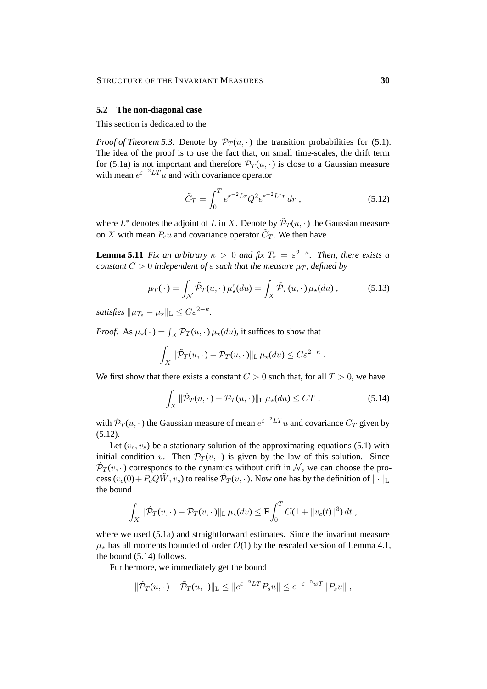#### **5.2 The non-diagonal case**

This section is dedicated to the

*Proof of Theorem 5.3.* Denote by  $\mathcal{P}_T(u, \cdot)$  the transition probabilities for (5.1). The idea of the proof is to use the fact that, on small time-scales, the drift term for (5.1a) is not important and therefore  $\mathcal{P}_T(u, \cdot)$  is close to a Gaussian measure with mean  $e^{\varepsilon^{-2}LT}u$  and with covariance operator

$$
\tilde{C}_T = \int_0^T e^{\varepsilon^{-2}Lr} Q^2 e^{\varepsilon^{-2}L^*r} dr , \qquad (5.12)
$$

where  $L^*$  denotes the adjoint of L in X. Denote by  $\tilde{\mathcal{P}}_T(u, \cdot)$  the Gaussian measure on X with mean  $P_c u$  and covariance operator  $\tilde{C}_T$ . We then have

**Lemma 5.11** *Fix an arbitrary*  $\kappa > 0$  *and fix*  $T_{\varepsilon} = \varepsilon^{2-\kappa}$ *. Then, there exists a constant*  $C > 0$  *independent* of  $\varepsilon$  *such that the measure*  $\mu_T$ *, defined by* 

$$
\mu_T(\cdot) = \int_{\mathcal{N}} \tilde{\mathcal{P}}_T(u, \cdot) \mu_\star^c(du) = \int_X \tilde{\mathcal{P}}_T(u, \cdot) \mu_\star(du), \tag{5.13}
$$

*satisfies*  $\|\mu_{T_{\varepsilon}} - \mu_{\star}\|_{\mathsf{L}} \leq C \varepsilon^{2-\kappa}$ *.* 

*Proof.* As  $\mu_{\star}(\cdot) = \int_{X} \mathcal{P}_{T}(u, \cdot) \mu_{\star}(du)$ , it suffices to show that

$$
\int_X \|\tilde{\mathcal{P}}_T(u,\cdot)-\mathcal{P}_T(u,\cdot)\|_{\mathsf{L}}\,\mu_{\star}(du)\leq C\varepsilon^{2-\kappa}.
$$

We first show that there exists a constant  $C > 0$  such that, for all  $T > 0$ , we have

$$
\int_X \|\hat{\mathcal{P}}_T(u,\cdot) - \mathcal{P}_T(u,\cdot)\|_L \,\mu_\star(du) \le CT \,,\tag{5.14}
$$

with  $\hat{\mathcal{P}}_T(u, \cdot)$  the Gaussian measure of mean  $e^{\varepsilon^{-2}LT}u$  and covariance  $\tilde{C}_T$  given by (5.12).

Let  $(v_c, v_s)$  be a stationary solution of the approximating equations (5.1) with initial condition v. Then  $\mathcal{P}_T(v, \cdot)$  is given by the law of this solution. Since  $\hat{\mathcal{P}}_T(v, \cdot)$  corresponds to the dynamics without drift in  $\mathcal{N}$ , we can choose the process  $(v_c(0) + P_c Q \tilde{W}, v_s)$  to realise  $\hat{\mathcal{P}}_T(v, \cdot)$ . Now one has by the definition of  $\|\cdot\|_L$ the bound

$$
\int_X \|\hat{\mathcal{P}}_T(v,\cdot) - \mathcal{P}_T(v,\cdot)\|_{\mathsf{L}} \,\mu_{\star}(dv) \leq \mathbf{E} \int_0^T C(1 + \|v_c(t)\|^3) \, dt \;,
$$

where we used  $(5.1a)$  and straightforward estimates. Since the invariant measure  $\mu_{\star}$  has all moments bounded of order  $\mathcal{O}(1)$  by the rescaled version of Lemma 4.1, the bound (5.14) follows.

Furthermore, we immediately get the bound

$$
\|\hat{\mathcal{P}}_T(u,\cdot)-\tilde{\mathcal{P}}_T(u,\cdot)\|_{\mathsf{L}}\leq \|e^{\varepsilon^{-2}LT}P_s u\|\leq e^{-\varepsilon^{-2}wT}\|P_s u\|,
$$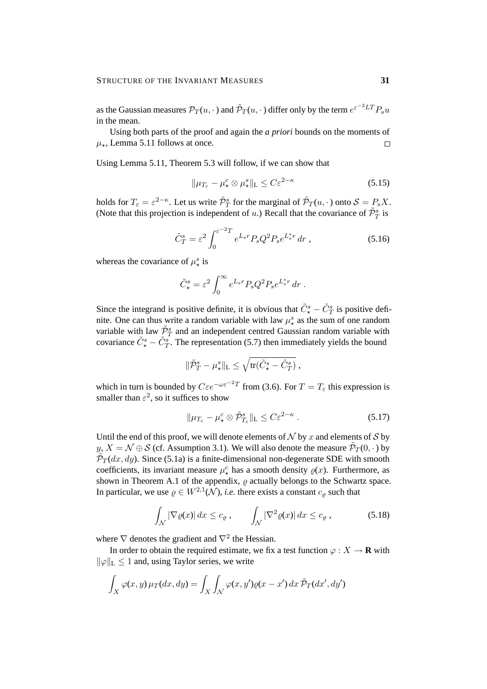as the Gaussian measures  $\mathcal{P}_T(u, \cdot)$  and  $\tilde{\mathcal{P}}_T(u, \cdot)$  differ only by the term  $e^{\varepsilon^{-2}LT}P_s u$ in the mean.

Using both parts of the proof and again the *a priori* bounds on the moments of  $\mu_{\star}$ , Lemma 5.11 follows at once.  $\Box$ 

Using Lemma 5.11, Theorem 5.3 will follow, if we can show that

$$
\|\mu_{T_{\varepsilon}} - \mu_{\star}^c \otimes \mu_{\star}^s\|_{\mathcal{L}} \le C\varepsilon^{2-\kappa} \tag{5.15}
$$

holds for  $T_{\varepsilon} = \varepsilon^{2-\kappa}$ . Let us write  $\tilde{\mathcal{P}}_T^s$  for the marginal of  $\tilde{\mathcal{P}}_T(u, \cdot)$  onto  $\mathcal{S} = P_s X$ . (Note that this projection is independent of u.) Recall that the covariance of  $\tilde{\mathcal{P}}_T^s$  is

$$
\tilde{C}_T^s = \varepsilon^2 \int_0^{\varepsilon^{-2}T} e^{L_s r} P_s Q^2 P_s e^{L_s^* r} dr , \qquad (5.16)
$$

whereas the covariance of  $\mu^s_{\star}$  is

$$
\tilde{C}^s_{\star} = \varepsilon^2 \int_0^{\infty} e^{L_s r} P_s Q^2 P_s e^{L_s^* r} dr.
$$

Since the integrand is positive definite, it is obvious that  $\tilde{C}^s_{\star} - \tilde{C}^s_T$  is positive definite. One can thus write a random variable with law  $\mu^s_{\star}$  as the sum of one random variable with law  $\tilde{P}_T^s$  and an independent centred Gaussian random variable with covariance  $\tilde{C}^s_{\star} - \tilde{C}^s_T$ . The representation (5.7) then immediately yields the bound

$$
\|\tilde{\mathcal{P}}_T^s - \mu_\star^s\|_{\mathsf{L}} \leq \sqrt{\text{tr}(\tilde{C}_\star^s - \tilde{C}_T^s)},
$$

which in turn is bounded by  $C \varepsilon e^{-\omega \varepsilon^{-2}T}$  from (3.6). For  $T = T_{\varepsilon}$  this expression is smaller than  $\varepsilon^2$ , so it suffices to show

$$
\|\mu_{T_{\varepsilon}} - \mu_{\star}^c \otimes \tilde{\mathcal{P}}_{T_{\varepsilon}}^s\|_{\mathcal{L}} \le C\varepsilon^{2-\kappa} \,. \tag{5.17}
$$

Until the end of this proof, we will denote elements of  $\mathcal N$  by  $x$  and elements of  $\mathcal S$  by  $y, X = \mathcal{N} \oplus \mathcal{S}$  (cf. Assumption 3.1). We will also denote the measure  $\tilde{\mathcal{P}}_T(0, \cdot)$  by  $\tilde{\mathcal{P}}_T(dx, dy)$ . Since (5.1a) is a finite-dimensional non-degenerate SDE with smooth coefficients, its invariant measure  $\mu^c_*$  has a smooth density  $\rho(x)$ . Furthermore, as shown in Theorem A.1 of the appendix,  $\rho$  actually belongs to the Schwartz space. In particular, we use  $\varrho \in W^{2,1}(\mathcal{N})$ , *i.e.* there exists a constant  $c_{\varrho}$  such that

$$
\int_{\mathcal{N}} |\nabla \varrho(x)| dx \le c_{\varrho} , \qquad \int_{\mathcal{N}} |\nabla^2 \varrho(x)| dx \le c_{\varrho} , \qquad (5.18)
$$

where  $\nabla$  denotes the gradient and  $\nabla^2$  the Hessian.

In order to obtain the required estimate, we fix a test function  $\varphi : X \to \mathbf{R}$  with  $\|\varphi\|_{\mathcal{L}} \leq 1$  and, using Taylor series, we write

$$
\int_X \varphi(x, y) \mu_T(dx, dy) = \int_X \int_{\mathcal{N}} \varphi(x, y') \varrho(x - x') dx \tilde{\mathcal{P}}_T(dx', dy')
$$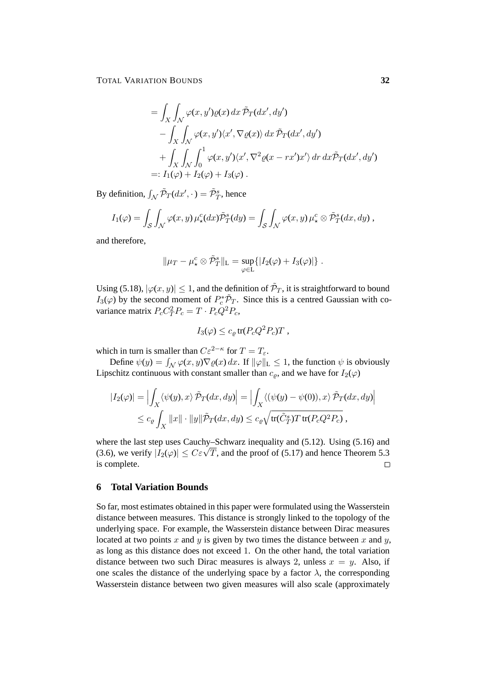#### TOTAL VARIATION BOUNDS **32**

$$
= \int_X \int_{\mathcal{N}} \varphi(x, y') \varrho(x) dx \tilde{\mathcal{P}}_T(dx', dy')
$$
  
\n
$$
- \int_X \int_{\mathcal{N}} \varphi(x, y') \langle x', \nabla \varrho(x) \rangle dx \tilde{\mathcal{P}}_T(dx', dy')
$$
  
\n
$$
+ \int_X \int_{\mathcal{N}} \int_0^1 \varphi(x, y') \langle x', \nabla^2 \varrho(x - rx')x' \rangle dr dx \tilde{\mathcal{P}}_T(dx', dy')
$$
  
\n
$$
=: I_1(\varphi) + I_2(\varphi) + I_3(\varphi) .
$$

By definition,  $\int_{\mathcal{N}} \tilde{\mathcal{P}}_T(dx', \cdot) = \tilde{\mathcal{P}}_T^s$ , hence

$$
I_1(\varphi) = \int_{\mathcal{S}} \int_{\mathcal{N}} \varphi(x, y) \,\mu^c_\star(dx) \tilde{\mathcal{P}}^s_T(dy) = \int_{\mathcal{S}} \int_{\mathcal{N}} \varphi(x, y) \,\mu^c_\star \otimes \tilde{\mathcal{P}}^s_T(dx, dy) \,,
$$

and therefore,

$$
\|\mu_T - \mu_\star^c \otimes \tilde{\mathcal{P}}_T^s\|_{\mathcal{L}} = \sup_{\varphi \in \mathcal{L}} \{|I_2(\varphi) + I_3(\varphi)|\}.
$$

Using (5.18),  $|\varphi(x, y)| \le 1$ , and the definition of  $\tilde{\mathcal{P}}_T$ , it is straightforward to bound  $I_3(\varphi)$  by the second moment of  $P_c^*\tilde{\mathcal{P}}_T$ . Since this is a centred Gaussian with covariance matrix  $P_c C_T^2 P_c = T \cdot P_c Q^2 P_c$ ,

$$
I_3(\varphi) \le c_\varrho \operatorname{tr}(P_c Q^2 P_c) T ,
$$

which in turn is smaller than  $C\varepsilon^{2-\kappa}$  for  $T=T_{\varepsilon}$ .

Define  $\psi(y) = \int_{\mathcal{N}} \varphi(x, y) \nabla \varrho(x) dx$ . If  $\|\varphi\|_{L} \leq 1$ , the function  $\psi$  is obviously Lipschitz continuous with constant smaller than  $c_{\rho}$ , and we have for  $I_2(\varphi)$ 

$$
|I_2(\varphi)| = \Big| \int_X \langle \psi(y), x \rangle \, \tilde{\mathcal{P}}_T(dx, dy) \Big| = \Big| \int_X \langle (\psi(y) - \psi(0)), x \rangle \, \tilde{\mathcal{P}}_T(dx, dy) \Big|
$$
  

$$
\leq c_\varrho \int_X \|x\| \cdot \|y\| \tilde{\mathcal{P}}_T(dx, dy) \leq c_\varrho \sqrt{\text{tr}(\tilde{C}_T^s) T \text{tr}(P_c Q^2 P_c)},
$$

where the last step uses Cauchy–Schwarz inequality and (5.12). Using (5.16) and where the last step uses Cauchy–Schwarz inequality and (3.12). Using (3.16) and (3.6), we verify  $|I_2(\varphi)| \leq C \varepsilon \sqrt{T}$ , and the proof of (5.17) and hence Theorem 5.3 is complete.  $\Box$ 

# **6 Total Variation Bounds**

So far, most estimates obtained in this paper were formulated using the Wasserstein distance between measures. This distance is strongly linked to the topology of the underlying space. For example, the Wasserstein distance between Dirac measures located at two points  $x$  and  $y$  is given by two times the distance between  $x$  and  $y$ , as long as this distance does not exceed 1. On the other hand, the total variation distance between two such Dirac measures is always 2, unless  $x = y$ . Also, if one scales the distance of the underlying space by a factor  $\lambda$ , the corresponding Wasserstein distance between two given measures will also scale (approximately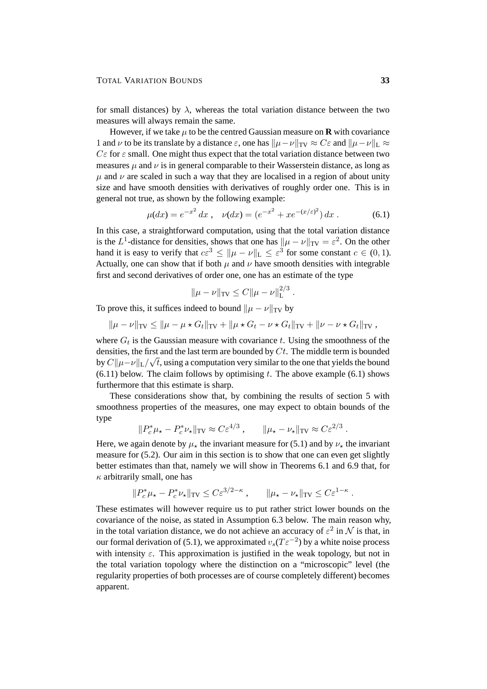for small distances) by  $\lambda$ , whereas the total variation distance between the two measures will always remain the same.

However, if we take  $\mu$  to be the centred Gaussian measure on **R** with covariance 1 and  $\nu$  to be its translate by a distance  $\varepsilon$ , one has  $||\mu - \nu||_{TV} \approx C \varepsilon$  and  $||\mu - \nu||_{L} \approx$  $C \varepsilon$  for  $\varepsilon$  small. One might thus expect that the total variation distance between two measures  $\mu$  and  $\nu$  is in general comparable to their Wasserstein distance, as long as  $\mu$  and  $\nu$  are scaled in such a way that they are localised in a region of about unity size and have smooth densities with derivatives of roughly order one. This is in general not true, as shown by the following example:

$$
\mu(dx) = e^{-x^2} dx , \quad \nu(dx) = (e^{-x^2} + xe^{-(x/\varepsilon)^2}) dx . \tag{6.1}
$$

In this case, a straightforward computation, using that the total variation distance is the L<sup>1</sup>-distance for densities, shows that one has  $\|\mu - \nu\|_{TV} = \varepsilon^2$ . On the other hand it is easy to verify that  $c\epsilon^3 \leq ||\mu - \nu||_L \leq \epsilon^3$  for some constant  $c \in (0,1)$ . Actually, one can show that if both  $\mu$  and  $\nu$  have smooth densities with integrable first and second derivatives of order one, one has an estimate of the type

$$
\|\mu - \nu\|_{TV} \leq C \|\mu - \nu\|_{L}^{2/3}.
$$

To prove this, it suffices indeed to bound  $|| \mu - \nu ||_{TV}$  by

$$
\|\mu - \nu\|_{TV} \le \|\mu - \mu \star G_t\|_{TV} + \|\mu \star G_t - \nu \star G_t\|_{TV} + \|\nu - \nu \star G_t\|_{TV},
$$

where  $G_t$  is the Gaussian measure with covariance t. Using the smoothness of the densities, the first and the last term are bounded by  $Ct$ . The middle term is bounded by  $C\|\mu-\nu\|_{\mathrm{L}}/\sqrt{t}$ , using a computation very similar to the one that yields the bound  $(6.11)$  below. The claim follows by optimising t. The above example  $(6.1)$  shows furthermore that this estimate is sharp.

These considerations show that, by combining the results of section 5 with smoothness properties of the measures, one may expect to obtain bounds of the type

$$
||P_c^* \mu_\star - P_c^* \nu_\star||_{TV} \approx C \varepsilon^{4/3} , \qquad ||\mu_\star - \nu_\star||_{TV} \approx C \varepsilon^{2/3}
$$

.

Here, we again denote by  $\mu_{\star}$  the invariant measure for (5.1) and by  $\nu_{\star}$  the invariant measure for (5.2). Our aim in this section is to show that one can even get slightly better estimates than that, namely we will show in Theorems 6.1 and 6.9 that, for  $\kappa$  arbitrarily small, one has

$$
||P_c^* \mu_\star - P_c^* \nu_\star||_{\rm TV} \leq C \varepsilon^{3/2 - \kappa} , \qquad ||\mu_\star - \nu_\star||_{\rm TV} \leq C \varepsilon^{1 - \kappa} .
$$

These estimates will however require us to put rather strict lower bounds on the covariance of the noise, as stated in Assumption 6.3 below. The main reason why, in the total variation distance, we do not achieve an accuracy of  $\varepsilon^2$  in N is that, in our formal derivation of (5.1), we approximated  $v_s(T\varepsilon^{-2})$  by a white noise process with intensity  $\varepsilon$ . This approximation is justified in the weak topology, but not in the total variation topology where the distinction on a "microscopic" level (the regularity properties of both processes are of course completely different) becomes apparent.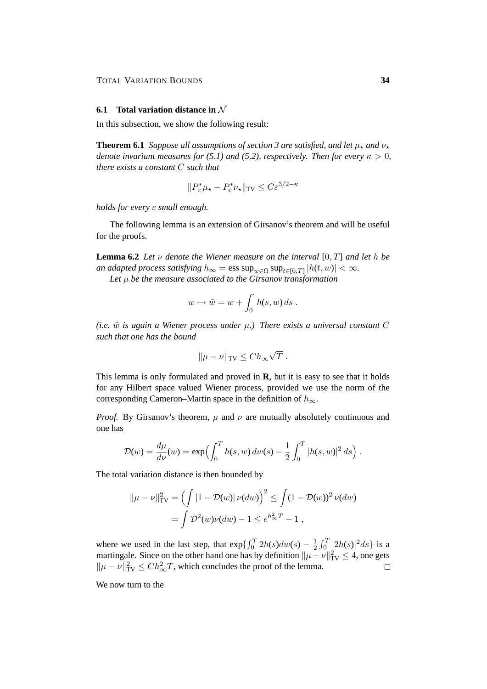#### **6.1 Total variation distance in** N

In this subsection, we show the following result:

**Theorem 6.1** *Suppose all assumptions of section 3 are satisfied, and let*  $\mu_{\star}$  *and*  $\nu_{\star}$ *denote invariant measures for (5.1) and (5.2), respectively. Then for every*  $\kappa > 0$ , *there exists a constant* C *such that*

$$
||P_c^* \mu_\star - P_c^* \nu_\star||_{\text{TV}} \le C \varepsilon^{3/2 - \kappa}
$$

*holds for every* ε *small enough.*

The following lemma is an extension of Girsanov's theorem and will be useful for the proofs.

**Lemma 6.2** *Let*  $\nu$  *denote the Wiener measure on the interval* [0, T] *and let*  $h$  *be an adapted process satisfying*  $h_{\infty} = \operatorname{ess\,sup}_{w \in \Omega} \operatorname{sup}_{t \in [0,T]} |h(t,w)| < \infty.$ 

*Let* µ *be the measure associated to the Girsanov transformation*

$$
w \mapsto \tilde{w} = w + \int_0^{\cdot} h(s, w) \, ds \; .
$$

*(i.e.*  $\tilde{w}$  *is again a Wiener process under*  $\mu$ *.) There exists a universal constant* C *such that one has the bound*

$$
\|\mu - \nu\|_{\mathrm{TV}} \leq Ch_{\infty} \sqrt{T} .
$$

This lemma is only formulated and proved in **R**, but it is easy to see that it holds for any Hilbert space valued Wiener process, provided we use the norm of the corresponding Cameron–Martin space in the definition of  $h_{\infty}$ .

*Proof.* By Girsanov's theorem,  $\mu$  and  $\nu$  are mutually absolutely continuous and one has

$$
\mathcal{D}(w) = \frac{d\mu}{d\nu}(w) = \exp\Bigl(\int_0^T h(s, w) \, dw(s) - \frac{1}{2} \int_0^T |h(s, w)|^2 \, ds\Bigr) \; .
$$

The total variation distance is then bounded by

$$
\|\mu - \nu\|_{\text{TV}}^2 = \left(\int |1 - \mathcal{D}(w)| \nu(dw)\right)^2 \le \int (1 - \mathcal{D}(w))^2 \nu(dw)
$$
  
=  $\int \mathcal{D}^2(w)\nu(dw) - 1 \le e^{h_{\infty}^2 T} - 1,$ 

where we used in the last step, that  $\exp\{\int_0^T 2h(s)dw(s) - \frac{1}{2}\}$  $\frac{1}{2} \int_0^T |2h(s)|^2 ds$ } is a martingale. Since on the other hand one has by definition  $||\mu - \nu||_{TV}^2 \le 4$ , one gets  $\|\mu - \nu\|_{TV}^2 \leq Ch_{\infty}^2 T$ , which concludes the proof of the lemma.  $\Box$ 

We now turn to the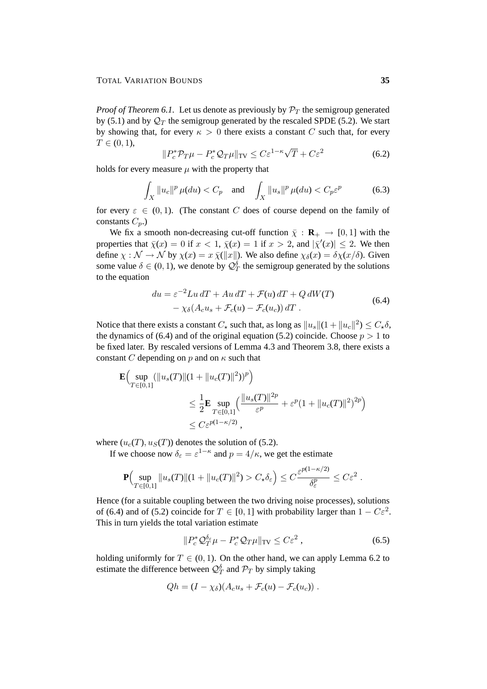*Proof of Theorem 6.1.* Let us denote as previously by  $\mathcal{P}_T$  the semigroup generated by (5.1) and by  $\mathcal{Q}_T$  the semigroup generated by the rescaled SPDE (5.2). We start by showing that, for every  $\kappa > 0$  there exists a constant C such that, for every  $T \in (0, 1),$ √

$$
||P_c^* \mathcal{P}_T \mu - P_c^* \mathcal{Q}_T \mu||_{\text{TV}} \le C \varepsilon^{1-\kappa} \sqrt{T} + C \varepsilon^2
$$
 (6.2)

holds for every measure  $\mu$  with the property that

$$
\int_{X} \|u_{c}\|^{p} \mu(du) < C_{p} \quad \text{and} \quad \int_{X} \|u_{s}\|^{p} \mu(du) < C_{p} \varepsilon^{p} \tag{6.3}
$$

for every  $\varepsilon \in (0,1)$ . (The constant C does of course depend on the family of constants  $C_n$ .)

We fix a smooth non-decreasing cut-off function  $\bar{\chi}$  :  $\mathbf{R}_{+} \rightarrow [0, 1]$  with the properties that  $\bar{\chi}(x) = 0$  if  $x < 1$ ,  $\bar{\chi}(x) = 1$  if  $x > 2$ , and  $|\bar{\chi}'(x)| \leq 2$ . We then define  $\chi : \mathcal{N} \to \mathcal{N}$  by  $\chi(x) = x \overline{\chi}(\Vert x \Vert)$ . We also define  $\chi_{\delta}(x) = \delta \chi(x/\delta)$ . Given some value  $\delta \in (0, 1)$ , we denote by  $\mathcal{Q}_T^{\delta}$  the semigroup generated by the solutions to the equation

$$
du = \varepsilon^{-2} Lu \, dT + Au \, dT + \mathcal{F}(u) \, dT + Q \, dW(T) - \chi_{\delta}(A_c u_s + \mathcal{F}_c(u) - \mathcal{F}_c(u_c)) \, dT \, .
$$
 (6.4)

Notice that there exists a constant  $C_{\star}$  such that, as long as  $||u_s||(1 + ||u_c||^2) \le C_{\star} \delta$ , the dynamics of (6.4) and of the original equation (5.2) coincide. Choose  $p > 1$  to be fixed later. By rescaled versions of Lemma 4.3 and Theorem 3.8, there exists a constant C depending on p and on  $\kappa$  such that

$$
\mathbf{E}\Big(\sup_{T\in[0,1]}(\|u_s(T)\|(1+\|u_c(T)\|^2))^p\Big)\n\n\leq \frac{1}{2}\mathbf{E}\sup_{T\in[0,1]}(\frac{\|u_s(T)\|^2p}{\varepsilon^p}+\varepsilon^p(1+\|u_c(T)\|^2)^{2p})\n\n\leq C\varepsilon^{p(1-\kappa/2)},
$$

where  $(u_c(T), u_s(T))$  denotes the solution of (5.2).

If we choose now  $\delta_{\varepsilon} = \varepsilon^{1-\kappa}$  and  $p = 4/\kappa$ , we get the estimate

$$
\mathbf{P}\Big(\sup_{T\in[0,1]}\|u_s(T)\|(1+\|u_c(T)\|^2)>C_\star\delta_\varepsilon\Big)\leq C\frac{\varepsilon^{p(1-\kappa/2)}}{\delta_\varepsilon^p}\leq C\varepsilon^2.
$$

Hence (for a suitable coupling between the two driving noise processes), solutions of (6.4) and of (5.2) coincide for  $T \in [0, 1]$  with probability larger than  $1 - C\varepsilon^2$ . This in turn yields the total variation estimate

$$
||P_c^* \mathcal{Q}_T^{\delta_{\varepsilon}} \mu - P_c^* \mathcal{Q}_T \mu||_{\text{TV}} \le C \varepsilon^2 ,\qquad (6.5)
$$

holding uniformly for  $T \in (0, 1)$ . On the other hand, we can apply Lemma 6.2 to estimate the difference between  $\mathcal{Q}_T^{\delta}$  and  $\mathcal{P}_T$  by simply taking

$$
Qh = (I - \chi_{\delta})(A_c u_s + \mathcal{F}_c(u) - \mathcal{F}_c(u_c)).
$$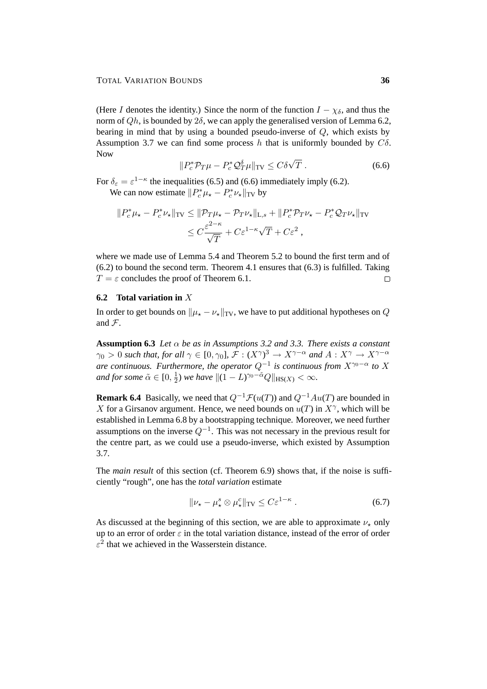(Here I denotes the identity.) Since the norm of the function  $I - \chi_{\delta}$ , and thus the norm of  $Qh$ , is bounded by  $2\delta$ , we can apply the generalised version of Lemma 6.2, bearing in mind that by using a bounded pseudo-inverse of Q, which exists by Assumption 3.7 we can find some process h that is uniformly bounded by  $C\delta$ . Now

$$
||P_c^* \mathcal{P}_T \mu - P_c^* \mathcal{Q}_T^{\delta} \mu||_{\text{TV}} \le C \delta \sqrt{T} . \tag{6.6}
$$

For  $\delta_{\varepsilon} = \varepsilon^{1-\kappa}$  the inequalities (6.5) and (6.6) immediately imply (6.2).

We can now estimate  $||P_c^* \mu_{\star} - P_c^* \nu_{\star}||_{TV}$  by

$$
||P_c^* \mu_\star - P_c^* \nu_\star||_{TV} \le ||\mathcal{P}_T \mu_\star - \mathcal{P}_T \nu_\star||_{L,s} + ||P_c^* \mathcal{P}_T \nu_\star - P_c^* \mathcal{Q}_T \nu_\star||_{TV}
$$
  

$$
\le C \frac{\varepsilon^{2-\kappa}}{\sqrt{T}} + C \varepsilon^{1-\kappa} \sqrt{T} + C \varepsilon^2 ,
$$

where we made use of Lemma 5.4 and Theorem 5.2 to bound the first term and of (6.2) to bound the second term. Theorem 4.1 ensures that (6.3) is fulfilled. Taking  $T = \varepsilon$  concludes the proof of Theorem 6.1.  $\Box$ 

#### **6.2 Total variation in** X

In order to get bounds on  $\|\mu_{\star} - \nu_{\star}\|_{TV}$ , we have to put additional hypotheses on Q and F.

**Assumption 6.3** *Let* α *be as in Assumptions 3.2 and 3.3. There exists a constant*  $\gamma_0 > 0$  such that, for all  $\gamma \in [0, \gamma_0]$ ,  $\mathcal{F} : (X^{\gamma})^3 \to X^{\gamma - \alpha}$  and  $A : X^{\gamma} \to X^{\gamma - \alpha}$ *are continuous. Furthermore, the operator* Q−<sup>1</sup> *is continuous from* Xγ0−<sup>α</sup> *to* X *and for some*  $\tilde{\alpha} \in [0, \frac{1}{2}]$  $\frac{1}{2}$ ) we have  $||(1 - L)^{\gamma_0 - \tilde{\alpha}} Q||_{\text{HS}(X)} < \infty$ .

**Remark 6.4** Basically, we need that  $Q^{-1}\mathcal{F}(u(T))$  and  $Q^{-1}Au(T)$  are bounded in X for a Girsanov argument. Hence, we need bounds on  $u(T)$  in  $X^{\gamma}$ , which will be established in Lemma 6.8 by a bootstrapping technique. Moreover, we need further assumptions on the inverse  $Q^{-1}$ . This was not necessary in the previous result for the centre part, as we could use a pseudo-inverse, which existed by Assumption 3.7.

The *main result* of this section (cf. Theorem 6.9) shows that, if the noise is sufficiently "rough", one has the *total variation* estimate

$$
\|\nu_{\star} - \mu_{\star}^s \otimes \mu_{\star}^c\|_{\text{TV}} \le C\varepsilon^{1-\kappa} \,. \tag{6.7}
$$

As discussed at the beginning of this section, we are able to approximate  $\nu_{\star}$  only up to an error of order  $\varepsilon$  in the total variation distance, instead of the error of order  $\varepsilon^2$  that we achieved in the Wasserstein distance.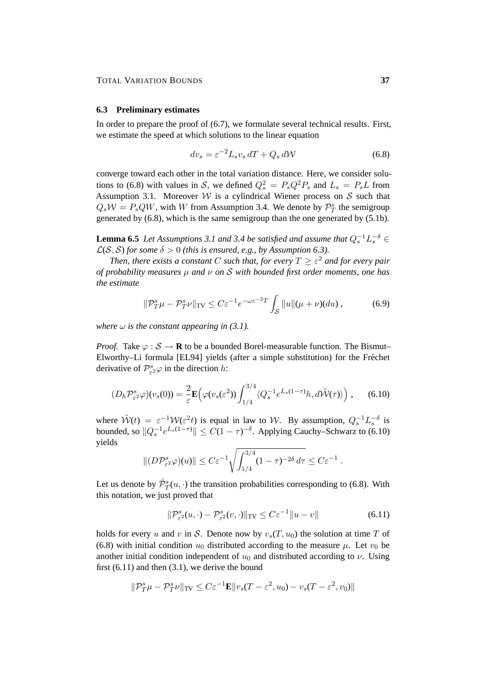#### **6.3 Preliminary estimates**

In order to prepare the proof of (6.7), we formulate several technical results. First, we estimate the speed at which solutions to the linear equation

$$
dv_s = \varepsilon^{-2} L_s v_s \, dT + Q_s \, d\mathcal{W} \tag{6.8}
$$

converge toward each other in the total variation distance. Here, we consider solutions to (6.8) with values in S, we defined  $Q_s^2 = P_s Q^2 P_s$  and  $L_s = P_s L$  from Assumption 3.1. Moreover  $W$  is a cylindrical Wiener process on  $S$  such that  $Q_s W = P_s QW$ , with W from Assumption 3.4. We denote by  $P_T^s$  the semigroup generated by (6.8), which is the same semigroup than the one generated by (5.1b).

**Lemma 6.5** *Let Assumptions 3.1 and 3.4 be satisfied and assume that*  $Q_s^{-1}L_s^{-\delta}$   $\in$  $\mathcal{L}(\mathcal{S}, \mathcal{S})$  *for some*  $\delta > 0$  *(this is ensured, e.g., by Assumption 6.3).* 

*Then, there exists a constant* C *such that, for every*  $T \geq \varepsilon^2$  *and for every pair of probability measures* µ *and* ν *on* S *with bounded first order moments, one has the estimate*

$$
\|\mathcal{P}_T^s \mu - \mathcal{P}_T^s \nu\|_{\text{TV}} \le C\varepsilon^{-1} e^{-\omega \varepsilon^{-2}T} \int_{\mathcal{S}} \|u\| (\mu + \nu)(du), \tag{6.9}
$$

*where*  $\omega$  *is the constant appearing in (3.1).* 

*Proof.* Take  $\varphi$ :  $\mathcal{S} \to \mathbf{R}$  to be a bounded Borel-measurable function. The Bismut– Elworthy–Li formula [EL94] yields (after a simple substitution) for the Frechet ´ derivative of  $\mathcal{P}^s_{\varepsilon^2} \varphi$  in the direction h:

$$
(D_h \mathcal{P}_{\varepsilon^2}^s \varphi)(v_s(0)) = \frac{2}{\varepsilon} \mathbf{E} \Big( \varphi(v_s(\varepsilon^2)) \int_{1/4}^{3/4} \langle Q_s^{-1} e^{L_s(1-\tau)} h, d\tilde{\mathcal{W}}(\tau) \rangle \Big) , \qquad (6.10)
$$

where  $\tilde{W}(t) = \varepsilon^{-1} W(\varepsilon^2 t)$  is equal in law to W. By assumption,  $Q_s^{-1} L_s^{-\delta}$  is bounded, so  $||Q_s^{-1}e^{L_s(1-\tau)}|| \leq C(1-\tau)^{-\delta}$ . Applying Cauchy–Schwarz to (6.10) yields

$$
|| (D\mathcal{P}_{\varepsilon^2}^s \varphi)(u)|| \leq C \varepsilon^{-1} \sqrt{\int_{1/4}^{3/4} (1-\tau)^{-2\delta} d\tau} \leq C \varepsilon^{-1}.
$$

Let us denote by  $\hat{\mathcal{P}}^s_T(u, \cdot)$  the transition probabilities corresponding to (6.8). With this notation, we just proved that

$$
\|\mathcal{P}_{\varepsilon^2}^s(u,\cdot) - \mathcal{P}_{\varepsilon^2}^s(v,\cdot)\|_{\text{TV}} \le C\varepsilon^{-1} \|u - v\| \tag{6.11}
$$

holds for every u and v in S. Denote now by  $v_s(T, u_0)$  the solution at time T of (6.8) with initial condition  $u_0$  distributed according to the measure  $\mu$ . Let  $v_0$  be another initial condition independent of  $u_0$  and distributed according to  $\nu$ . Using first  $(6.11)$  and then  $(3.1)$ , we derive the bound

$$
\|\mathcal{P}_T^s \mu - \mathcal{P}_T^s \nu\|_{\text{TV}} \le C \varepsilon^{-1} \mathbf{E} \|v_s(T - \varepsilon^2, u_0) - v_s(T - \varepsilon^2, v_0)\|
$$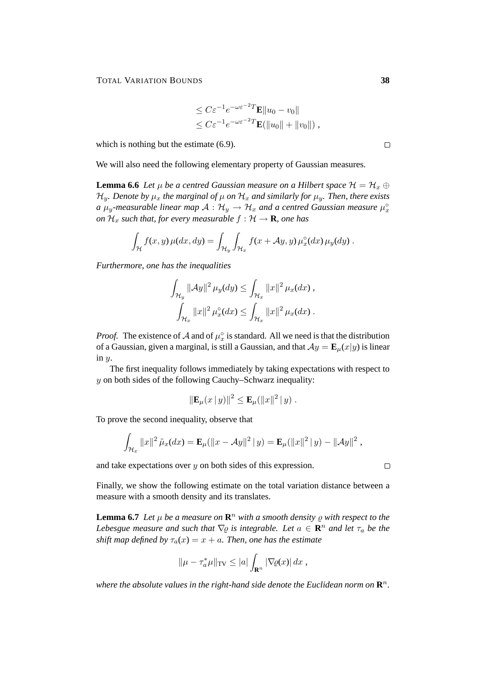$$
\leq C \varepsilon^{-1} e^{-\omega \varepsilon^{-2} T} \mathbf{E} \|u_0 - v_0\|
$$
  

$$
\leq C \varepsilon^{-1} e^{-\omega \varepsilon^{-2} T} \mathbf{E} (\|u_0\| + \|v_0\|) ,
$$

which is nothing but the estimate  $(6.9)$ .

We will also need the following elementary property of Gaussian measures.

**Lemma 6.6** *Let*  $\mu$  *be a centred Gaussian measure on a Hilbert space*  $\mathcal{H} = \mathcal{H}_x \oplus$  $\mathcal{H}_v$ . Denote by  $\mu_x$  the marginal of  $\mu$  on  $\mathcal{H}_x$  and similarly for  $\mu_v$ . Then, there exists a  $\mu_y$ -measurable linear map  $\mathcal{A}:\mathcal{H}_y\rightarrow \mathcal{H}_x$  and a centred Gaussian measure  $\mu_x^\circ$ *on*  $\mathcal{H}_x$  *such that, for every measurable*  $f : \mathcal{H} \to \mathbf{R}$ *, one has* 

$$
\int_{\mathcal{H}} f(x, y) \,\mu(dx, dy) = \int_{\mathcal{H}_y} \int_{\mathcal{H}_x} f(x + \mathcal{A}y, y) \,\mu_x^{\circ}(dx) \,\mu_y(dy) .
$$

*Furthermore, one has the inequalities*

$$
\int_{\mathcal{H}_y} ||Ay||^2 \,\mu_y(dy) \leq \int_{\mathcal{H}_x} ||x||^2 \,\mu_x(dx) ,
$$

$$
\int_{\mathcal{H}_x} ||x||^2 \,\mu_x^{\circ}(dx) \leq \int_{\mathcal{H}_x} ||x||^2 \,\mu_x(dx) .
$$

*Proof.* The existence of A and of  $\mu_x^{\circ}$  is standard. All we need is that the distribution of a Gaussian, given a marginal, is still a Gaussian, and that  $Ay = \mathbf{E}_u(x|y)$  is linear in  $y$ .

The first inequality follows immediately by taking expectations with respect to y on both sides of the following Cauchy–Schwarz inequality:

$$
\|\mathbf{E}_{\mu}(x\,|\,y)\|^2 \leq \mathbf{E}_{\mu}(\|x\|^2\,|\,y) .
$$

To prove the second inequality, observe that

$$
\int_{\mathcal{H}_x} ||x||^2 \tilde{\mu}_x(dx) = \mathbf{E}_{\mu} (||x - Ay||^2 | y) = \mathbf{E}_{\mu} (||x||^2 | y) - ||Ay||^2,
$$

and take expectations over y on both sides of this expression.

Finally, we show the following estimate on the total variation distance between a measure with a smooth density and its translates.

**Lemma 6.7** Let  $\mu$  be a measure on  $\mathbb{R}^n$  with a smooth density  $\varrho$  with respect to the *Lebesgue measure and such that*  $\nabla \varrho$  *is integrable. Let*  $a \in \mathbf{R}^n$  *and let*  $\tau_a$  *be the shift map defined by*  $\tau_a(x) = x + a$ *. Then, one has the estimate* 

$$
\|\mu - \tau_a^*\mu\|_{\mathrm{TV}} \le |a| \int_{\mathbf{R}^n} |\nabla \varrho(x)| dx ,
$$

where the absolute values in the right-hand side denote the Euclidean norm on  $\mathbf{R}^n$ .

 $\Box$ 

 $\Box$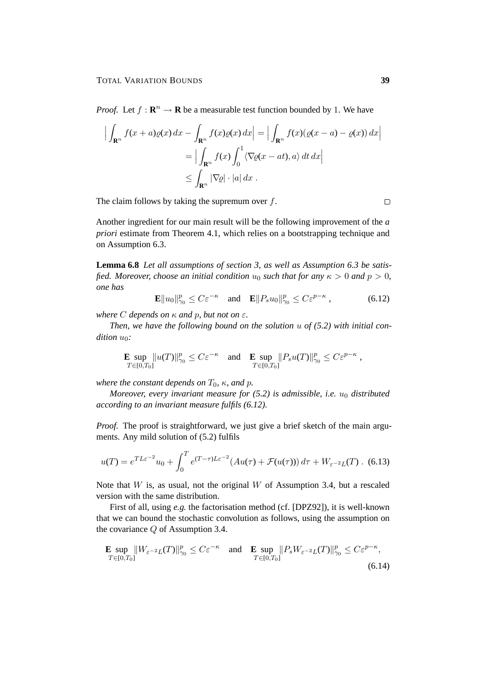*Proof.* Let  $f : \mathbb{R}^n \to \mathbb{R}$  be a measurable test function bounded by 1. We have

$$
\left| \int_{\mathbf{R}^n} f(x+a)\varrho(x) dx - \int_{\mathbf{R}^n} f(x)\varrho(x) dx \right| = \left| \int_{\mathbf{R}^n} f(x)(\varrho(x-a) - \varrho(x)) dx \right|
$$

$$
= \left| \int_{\mathbf{R}^n} f(x) \int_0^1 \langle \nabla \varrho(x-at), a \rangle dt dx \right|
$$

$$
\leq \int_{\mathbf{R}^n} |\nabla \varrho| \cdot |a| dx.
$$

The claim follows by taking the supremum over  $f$ .

Another ingredient for our main result will be the following improvement of the *a priori* estimate from Theorem 4.1, which relies on a bootstrapping technique and on Assumption 6.3.

**Lemma 6.8** *Let all assumptions of section 3, as well as Assumption 6.3 be satisfied. Moreover, choose an initial condition*  $u_0$  *such that for any*  $\kappa > 0$  *and*  $p > 0$ *, one has*

$$
\mathbf{E} \|u_0\|_{\gamma_0}^p \le C \varepsilon^{-\kappa} \quad \text{and} \quad \mathbf{E} \|P_s u_0\|_{\gamma_0}^p \le C \varepsilon^{p-\kappa} \,, \tag{6.12}
$$

*where C depends on*  $\kappa$  *and*  $p$ *, but not on*  $\varepsilon$ *.* 

*Then, we have the following bound on the solution* u *of (5.2) with initial condition*  $u_0$ *:* 

**E** sup 
$$
||u(T)||_{\gamma_0}^p \leq C\varepsilon^{-\kappa}
$$
 and **E** sup  $||P_s u(T)||_{\gamma_0}^p \leq C\varepsilon^{p-\kappa}$ ,  
\n $T\in[0,T_0]$ 

*where the constant depends on*  $T_0$ *,*  $\kappa$ *, and p.* 

*Moreover, every invariant measure for (5.2) is admissible, i.e.*  $u_0$  *distributed according to an invariant measure fulfils (6.12).*

*Proof.* The proof is straightforward, we just give a brief sketch of the main arguments. Any mild solution of (5.2) fulfils

$$
u(T) = e^{TL\varepsilon^{-2}}u_0 + \int_0^T e^{(T-\tau)L\varepsilon^{-2}}(Au(\tau) + \mathcal{F}(u(\tau))) d\tau + W_{\varepsilon^{-2}L}(T). \tag{6.13}
$$

Note that  $W$  is, as usual, not the original  $W$  of Assumption 3.4, but a rescaled version with the same distribution.

First of all, using *e.g.* the factorisation method (cf. [DPZ92]), it is well-known that we can bound the stochastic convolution as follows, using the assumption on the covariance Q of Assumption 3.4.

$$
\mathbf{E} \sup_{T \in [0,T_0]} \|W_{\varepsilon^{-2}L}(T)\|_{\gamma_0}^p \le C\varepsilon^{-\kappa} \quad \text{and} \quad \mathbf{E} \sup_{T \in [0,T_0]} \|P_s W_{\varepsilon^{-2}L}(T)\|_{\gamma_0}^p \le C\varepsilon^{p-\kappa},\tag{6.14}
$$

 $\Box$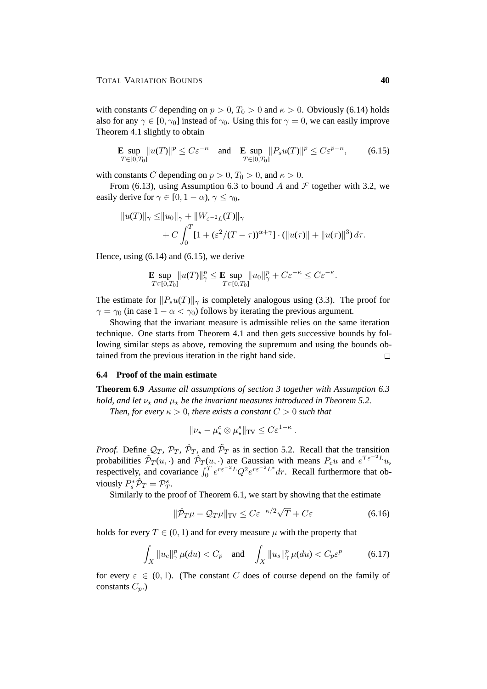with constants C depending on  $p > 0$ ,  $T_0 > 0$  and  $\kappa > 0$ . Obviously (6.14) holds also for any  $\gamma \in [0, \gamma_0]$  instead of  $\gamma_0$ . Using this for  $\gamma = 0$ , we can easily improve Theorem 4.1 slightly to obtain

**E** sup 
$$
||u(T)||^p \leq C\varepsilon^{-\kappa}
$$
 and **E** sup  $||P_s u(T)||^p \leq C\varepsilon^{p-\kappa}$ , (6.15)  $T \in [0, T_0]$ 

with constants C depending on  $p > 0$ ,  $T_0 > 0$ , and  $\kappa > 0$ .

From (6.13), using Assumption 6.3 to bound A and F together with 3.2, we easily derive for  $\gamma \in [0, 1 - \alpha)$ ,  $\gamma \leq \gamma_0$ ,

$$
||u(T)||_{\gamma} \leq ||u_0||_{\gamma} + ||W_{\varepsilon^{-2}L}(T)||_{\gamma} + C \int_0^T [1 + (\varepsilon^2/(T - \tau))^{\alpha + \gamma}] \cdot (||u(\tau)|| + ||u(\tau)||^3) d\tau.
$$

Hence, using  $(6.14)$  and  $(6.15)$ , we derive

**E** sup 
$$
||u(T)||_{\gamma}^p \leq
$$
 **E** sup  $||u_0||_{\gamma}^p + C\varepsilon^{-\kappa} \leq C\varepsilon^{-\kappa}$ .  
\n $T\in[0,T_0]$ 

The estimate for  $||P_s u(T)||_{\gamma}$  is completely analogous using (3.3). The proof for  $\gamma = \gamma_0$  (in case  $1 - \alpha < \gamma_0$ ) follows by iterating the previous argument.

Showing that the invariant measure is admissible relies on the same iteration technique. One starts from Theorem 4.1 and then gets successive bounds by following similar steps as above, removing the supremum and using the bounds obtained from the previous iteration in the right hand side.  $\Box$ 

#### **6.4 Proof of the main estimate**

**Theorem 6.9** *Assume all assumptions of section 3 together with Assumption 6.3 hold, and let*  $\nu_{\star}$  *and*  $\mu_{\star}$  *be the invariant measures introduced in Theorem 5.2.* 

*Then, for every*  $\kappa > 0$ *, there exists a constant*  $C > 0$  *such that* 

$$
\|\nu_{\star}-\mu_{\star}^c\otimes\mu_{\star}^s\|_{\text{TV}}\leq C\varepsilon^{1-\kappa}.
$$

*Proof.* Define  $\mathcal{Q}_T$ ,  $\mathcal{P}_T$ ,  $\mathcal{P}_T$ , and  $\mathcal{P}_T$  as in section 5.2. Recall that the transition probabilities  $\tilde{\mathcal{P}}_T(u,\cdot)$  and  $\hat{\mathcal{P}}_T(u,\cdot)$  are Gaussian with means  $P_c u$  and  $e^{T\epsilon^{-2}L}u$ , respectively, and covariance  $\int_0^T e^{r\varepsilon^{-2}L} Q^2 e^{r\varepsilon^{-2}L^*} dr$ . Recall furthermore that obviously  $P_s^* \hat{\mathcal{P}}_T = \mathcal{P}_T^s$ .

Similarly to the proof of Theorem 6.1, we start by showing that the estimate

$$
\|\hat{P}_T\mu - \mathcal{Q}_T\mu\|_{\text{TV}} \le C\varepsilon^{-\kappa/2}\sqrt{T} + C\varepsilon \tag{6.16}
$$

holds for every  $T \in (0, 1)$  and for every measure  $\mu$  with the property that

$$
\int_{X} \|u_{c}\|_{\gamma}^{p} \mu(du) < C_{p} \quad \text{and} \quad \int_{X} \|u_{s}\|_{\gamma}^{p} \mu(du) < C_{p} \varepsilon^{p} \tag{6.17}
$$

for every  $\varepsilon \in (0,1)$ . (The constant C does of course depend on the family of constants  $C_p$ .)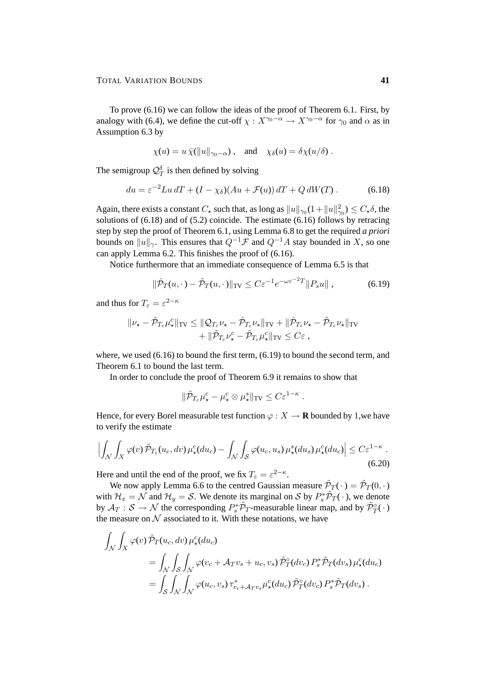To prove (6.16) we can follow the ideas of the proof of Theorem 6.1. First, by analogy with (6.4), we define the cut-off  $\chi : X^{\gamma_0 - \alpha} \to X^{\gamma_0 - \alpha}$  for  $\gamma_0$  and  $\alpha$  as in Assumption 6.3 by

$$
\chi(u) = u \overline{\chi}(\|u\|_{\gamma_0-\alpha}), \text{ and } \chi_\delta(u) = \delta \chi(u/\delta).
$$

The semigroup  $\mathcal{Q}_T^{\delta}$  is then defined by solving

$$
du = \varepsilon^{-2} Lu \, dT + (I - \chi_{\delta})(Au + \mathcal{F}(u)) \, dT + Q \, dW(T) \,. \tag{6.18}
$$

Again, there exists a constant  $C_{\star}$  such that, as long as  $||u||_{\gamma_0}(1+||u||_{\gamma_0}^2) \leq C_{\star}\delta$ , the solutions of (6.18) and of (5.2) coincide. The estimate (6.16) follows by retracing step by step the proof of Theorem 6.1, using Lemma 6.8 to get the required *a priori* bounds on  $||u||_{\gamma}$ . This ensures that  $Q^{-1}\mathcal{F}$  and  $Q^{-1}A$  stay bounded in X, so one can apply Lemma 6.2. This finishes the proof of (6.16).

Notice furthermore that an immediate consequence of Lemma 6.5 is that

$$
\|\hat{\mathcal{P}}_T(u,\cdot) - \tilde{\mathcal{P}}_T(u,\cdot)\|_{\text{TV}} \le C\varepsilon^{-1} e^{-\omega\varepsilon^{-2}T} \|P_s u\| \,,\tag{6.19}
$$

and thus for  $T_{\varepsilon} = \varepsilon^{2-\kappa}$ 

$$
\|\nu_{\star} - \tilde{\mathcal{P}}_{T_{\varepsilon}}\mu_{\star}^{c}\|_{\text{TV}} \leq \|\mathcal{Q}_{T_{\varepsilon}}\nu_{\star} - \hat{\mathcal{P}}_{T_{\varepsilon}}\nu_{\star}\|_{\text{TV}} + \|\hat{\mathcal{P}}_{T_{\varepsilon}}\nu_{\star} - \tilde{\mathcal{P}}_{T_{\varepsilon}}\nu_{\star}\|_{\text{TV}} + \|\tilde{\mathcal{P}}_{T_{\varepsilon}}\nu_{\star}^{c} - \tilde{\mathcal{P}}_{T_{\varepsilon}}\mu_{\star}^{c}\|_{\text{TV}} \leq C\varepsilon,
$$

where, we used  $(6.16)$  to bound the first term,  $(6.19)$  to bound the second term, and Theorem 6.1 to bound the last term.

In order to conclude the proof of Theorem 6.9 it remains to show that

$$
\|\tilde{\mathcal{P}}_{T_{\varepsilon}}\mu^c_{\star}-\mu^c_{\star}\otimes\mu^s_{\star}\|_{\text{TV}}\leq C\varepsilon^{1-\kappa}.
$$

Hence, for every Borel measurable test function  $\varphi : X \to \mathbf{R}$  bounded by 1, we have to verify the estimate

$$
\left| \int_{\mathcal{N}} \int_{X} \varphi(v) \tilde{\mathcal{P}}_{T_{\varepsilon}}(u_c, dv) \mu_{\star}^c(du_c) - \int_{\mathcal{N}} \int_{\mathcal{S}} \varphi(u_c, u_s) \mu_{\star}^s(du_s) \mu_{\star}^c(du_c) \right| \leq C \varepsilon^{1-\kappa} \tag{6.20}
$$

Here and until the end of the proof, we fix  $T_{\varepsilon} = \varepsilon^{2-\kappa}$ .

We now apply Lemma 6.6 to the centred Gaussian measure  $\tilde{\mathcal{P}}_T(\cdot) = \tilde{\mathcal{P}}_T(0, \cdot)$ with  $\mathcal{H}_x = \mathcal{N}$  and  $\mathcal{H}_y = \mathcal{S}$ . We denote its marginal on  $\mathcal{S}$  by  $P_s^* \tilde{\mathcal{P}}_T(\cdot)$ , we denote by  $A_T : S \to N$  the corresponding  $P_s^* \tilde{\mathcal{P}}_T$ -measurable linear map, and by  $\tilde{\mathcal{P}}_T^{\circ}(\cdot)$ the measure on  $N$  associated to it. With these notations, we have

$$
\int_{\mathcal{N}} \int_{X} \varphi(v) \tilde{\mathcal{P}}_{T}(u_{c}, dv) \mu_{\star}^{c}(du_{c})
$$
\n
$$
= \int_{\mathcal{N}} \int_{S} \int_{\mathcal{N}} \varphi(v_{c} + \mathcal{A}_{T}v_{s} + u_{c}, v_{s}) \tilde{\mathcal{P}}_{T}^{{\circ}}(dv_{c}) P_{s}^{*} \tilde{\mathcal{P}}_{T}(dv_{s}) \mu_{\star}^{c}(du_{c})
$$
\n
$$
= \int_{S} \int_{\mathcal{N}} \int_{\mathcal{N}} \varphi(u_{c}, v_{s}) \tau_{v_{c} + \mathcal{A}_{T}v_{s}}^{*} \mu_{\star}^{c}(du_{c}) \tilde{\mathcal{P}}_{T}^{\circ}(dv_{c}) P_{s}^{*} \tilde{\mathcal{P}}_{T}(dv_{s}) .
$$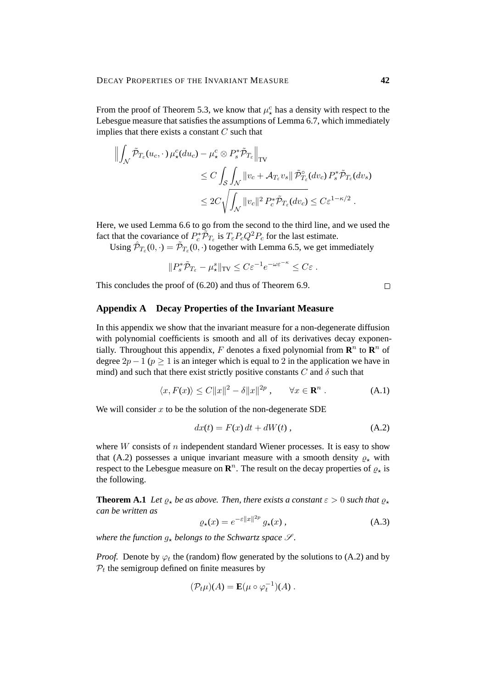From the proof of Theorem 5.3, we know that  $\mu^c_*$  has a density with respect to the Lebesgue measure that satisfies the assumptions of Lemma 6.7, which immediately implies that there exists a constant  $C$  such that

$$
\begin{split} \left\| \int_{\mathcal{N}} \tilde{\mathcal{P}}_{T_{\varepsilon}}(u_c, \cdot) \, \mu_{\star}^c(du_c) - \mu_{\star}^c \otimes P_s^* \tilde{\mathcal{P}}_{T_{\varepsilon}} \right\|_{\text{TV}} \\ &\leq C \int_{\mathcal{S}} \int_{\mathcal{N}} \|v_c + \mathcal{A}_{T_{\varepsilon}} v_s\| \, \tilde{\mathcal{P}}_{T_{\varepsilon}}^{\circ}(dv_c) \, P_s^* \tilde{\mathcal{P}}_{T_{\varepsilon}}(dv_s) \\ &\leq 2C \sqrt{\int_{\mathcal{N}} \|v_c\|^2 \, P_c^* \tilde{\mathcal{P}}_{T_{\varepsilon}}(dv_c)} \leq C \varepsilon^{1-\kappa/2} \; . \end{split}
$$

Here, we used Lemma 6.6 to go from the second to the third line, and we used the fact that the covariance of  $P_c^* \tilde{\mathcal{P}}_{T_{\varepsilon}}$  is  $T_{\varepsilon} P_c Q^2 P_c$  for the last estimate.

Using  $\hat{\mathcal{P}}_{T_{\varepsilon}}(0,\cdot) = \tilde{\mathcal{P}}_{T_{\varepsilon}}(0,\cdot)$  together with Lemma 6.5, we get immediately

$$
||P_s^* \tilde{\mathcal{P}}_{T_{\varepsilon}} - \mu_{\star}^s||_{\text{TV}} \leq C \varepsilon^{-1} e^{-\omega \varepsilon^{-\kappa}} \leq C \varepsilon.
$$

This concludes the proof of (6.20) and thus of Theorem 6.9.

 $\Box$ 

# **Appendix A Decay Properties of the Invariant Measure**

In this appendix we show that the invariant measure for a non-degenerate diffusion with polynomial coefficients is smooth and all of its derivatives decay exponentially. Throughout this appendix, F denotes a fixed polynomial from  $\mathbb{R}^n$  to  $\mathbb{R}^n$  of degree  $2p - 1$  ( $p \ge 1$  is an integer which is equal to 2 in the application we have in mind) and such that there exist strictly positive constants C and  $\delta$  such that

$$
\langle x, F(x) \rangle \le C \|x\|^2 - \delta \|x\|^{2p} \,, \qquad \forall x \in \mathbf{R}^n \,.
$$
 (A.1)

We will consider  $x$  to be the solution of the non-degenerate SDE

$$
dx(t) = F(x) dt + dW(t), \qquad (A.2)
$$

where  $W$  consists of  $n$  independent standard Wiener processes. It is easy to show that (A.2) possesses a unique invariant measure with a smooth density  $\rho_{\star}$  with respect to the Lebesgue measure on  $\mathbb{R}^n$ . The result on the decay properties of  $\rho_{\star}$  is the following.

**Theorem A.1** Let  $\rho_{\star}$  be as above. Then, there exists a constant  $\varepsilon > 0$  such that  $\rho_{\star}$ *can be written as*

$$
\varrho_{\star}(x) = e^{-\varepsilon ||x||^{2p}} g_{\star}(x) , \qquad (A.3)
$$

*where the function*  $q_*$  *belongs to the Schwartz space*  $\mathcal{S}$ *.* 

*Proof.* Denote by  $\varphi_t$  the (random) flow generated by the solutions to (A.2) and by  $P_t$  the semigroup defined on finite measures by

$$
(\mathcal{P}_t\mu)(A) = \mathbf{E}(\mu \circ \varphi_t^{-1})(A) .
$$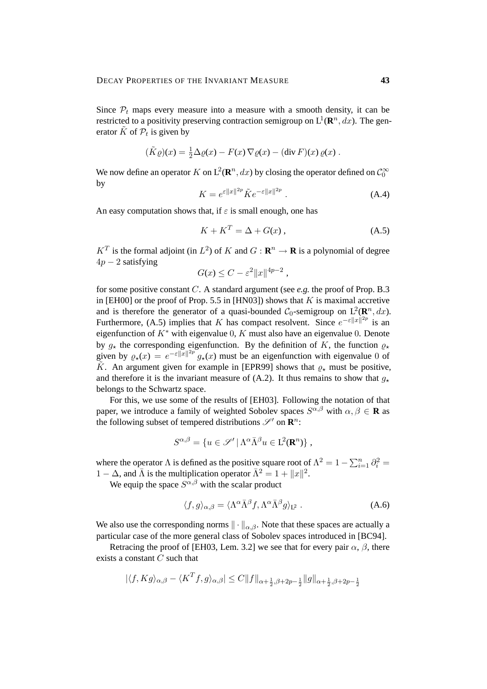Since  $\mathcal{P}_t$  maps every measure into a measure with a smooth density, it can be restricted to a positivity preserving contraction semigroup on  $L^1(\mathbf{R}^n, dx)$ . The generator  $\tilde{K}$  of  $\tilde{\mathcal{P}_t}$  is given by

$$
(\tilde{K}\varrho)(x) = \frac{1}{2}\Delta\varrho(x) - F(x)\nabla\varrho(x) - (\text{div}\,F)(x)\,\varrho(x) .
$$

We now define an operator K on  $L^2(\mathbf{R}^n, dx)$  by closing the operator defined on  $\mathcal{C}_0^{\infty}$ by

$$
K = e^{\varepsilon ||x||^{2p}} \tilde{K} e^{-\varepsilon ||x||^{2p}} . \tag{A.4}
$$

An easy computation shows that, if  $\varepsilon$  is small enough, one has

$$
K + KT = \Delta + G(x), \qquad (A.5)
$$

 $K^T$  is the formal adjoint (in  $L^2$ ) of K and  $G : \mathbf{R}^n \to \mathbf{R}$  is a polynomial of degree  $4p - 2$  satisfying

$$
G(x) \leq C - \varepsilon^2 ||x||^{4p-2},
$$

for some positive constant C. A standard argument (see *e.g.* the proof of Prop. B.3 in [EH00] or the proof of Prop. 5.5 in [HN03]) shows that  $K$  is maximal accretive and is therefore the generator of a quasi-bounded  $C_0$ -semigroup on  $L^2(\mathbf{R}^n, dx)$ . Furthermore, (A.5) implies that K has compact resolvent. Since  $e^{-\varepsilon ||x||^{2p}}$  is an eigenfunction of  $K^*$  with eigenvalue 0, K must also have an eigenvalue 0. Denote by  $g_{\star}$  the corresponding eigenfunction. By the definition of K, the function  $\rho_{\star}$ given by  $\rho_{\star}(x) = e^{-\varepsilon ||x||^{2p}} g_{\star}(x)$  must be an eigenfunction with eigenvalue 0 of K. An argument given for example in [EPR99] shows that  $\rho_{\star}$  must be positive, and therefore it is the invariant measure of (A.2). It thus remains to show that  $q_{\star}$ belongs to the Schwartz space.

For this, we use some of the results of [EH03]. Following the notation of that paper, we introduce a family of weighted Sobolev spaces  $S^{\alpha,\beta}$  with  $\alpha,\beta \in \mathbf{R}$  as the following subset of tempered distributions  $\mathscr{S}'$  on  $\mathbb{R}^n$ :

$$
S^{\alpha,\beta} = \{ u \in \mathscr{S}' \, | \, \Lambda^{\alpha} \overline{\Lambda}^{\beta} u \in \mathcal{L}^2(\mathbf{R}^n) \} ,
$$

where the operator  $\Lambda$  is defined as the positive square root of  $\Lambda^2 = 1 - \sum_{i=1}^n \partial_i^2 =$  $1 - \Delta$ , and  $\bar{\Lambda}$  is the multiplication operator  $\bar{\Lambda}^2 = 1 + ||x||^2$ .

We equip the space  $S^{\alpha,\beta}$  with the scalar product

$$
\langle f, g \rangle_{\alpha, \beta} = \langle \Lambda^{\alpha} \bar{\Lambda}^{\beta} f, \Lambda^{\alpha} \bar{\Lambda}^{\beta} g \rangle_{L^{2}}.
$$
 (A.6)

We also use the corresponding norms  $\|\cdot\|_{\alpha,\beta}$ . Note that these spaces are actually a particular case of the more general class of Sobolev spaces introduced in [BC94].

Retracing the proof of [EH03, Lem. 3.2] we see that for every pair  $\alpha$ ,  $\beta$ , there exists a constant  $C$  such that

$$
|\langle f, Kg \rangle_{\alpha, \beta} - \langle K^T f, g \rangle_{\alpha, \beta}| \le C \|f\|_{\alpha + \frac{1}{2}, \beta + 2p - \frac{1}{2}} \|g\|_{\alpha + \frac{1}{2}, \beta + 2p - \frac{1}{2}}
$$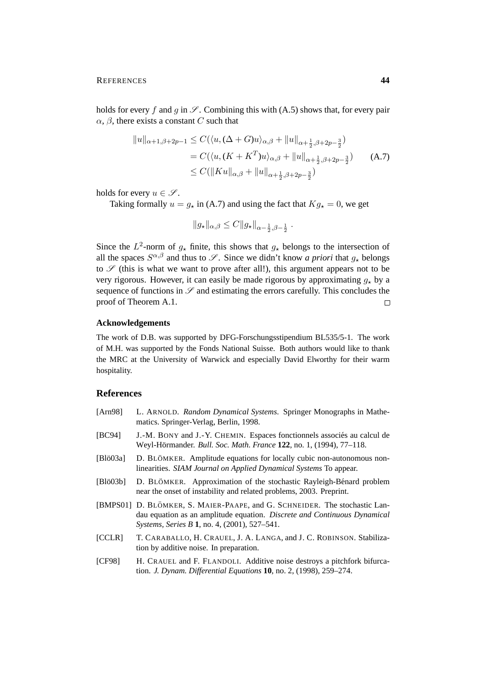holds for every f and g in  $\mathscr{S}$ . Combining this with (A.5) shows that, for every pair  $\alpha$ ,  $\beta$ , there exists a constant C such that

$$
||u||_{\alpha+1,\beta+2p-1} \leq C(\langle u, (\Delta + G)u \rangle_{\alpha,\beta} + ||u||_{\alpha+\frac{1}{2},\beta+2p-\frac{3}{2}})
$$
  
=  $C(\langle u, (K + K^T)u \rangle_{\alpha,\beta} + ||u||_{\alpha+\frac{1}{2},\beta+2p-\frac{3}{2}})$  (A.7)  
 $\leq C(||Ku||_{\alpha,\beta} + ||u||_{\alpha+\frac{1}{2},\beta+2p-\frac{3}{2}})$ 

holds for every  $u \in \mathscr{S}$ .

Taking formally  $u = q_*$  in (A.7) and using the fact that  $Kq_* = 0$ , we get

$$
||g_{\star}||_{\alpha,\beta} \leq C ||g_{\star}||_{\alpha-\frac{1}{2},\beta-\frac{1}{2}}.
$$

Since the  $L^2$ -norm of  $g_{\star}$  finite, this shows that  $g_{\star}$  belongs to the intersection of all the spaces  $S^{\alpha,\beta}$  and thus to  $\mathscr{S}$ . Since we didn't know *a priori* that  $g_{\star}$  belongs to  $\mathscr S$  (this is what we want to prove after all!), this argument appears not to be very rigorous. However, it can easily be made rigorous by approximating  $g<sub>*</sub>$  by a sequence of functions in  $\mathscr S$  and estimating the errors carefully. This concludes the proof of Theorem A.1.  $\Box$ 

#### **Acknowledgements**

The work of D.B. was supported by DFG-Forschungsstipendium BL535/5-1. The work of M.H. was supported by the Fonds National Suisse. Both authors would like to thank the MRC at the University of Warwick and especially David Elworthy for their warm hospitality.

## **References**

- [Arn98] L. ARNOLD. *Random Dynamical Systems*. Springer Monographs in Mathematics. Springer-Verlag, Berlin, 1998.
- [BC94] J.-M. BONY and J.-Y. CHEMIN. Espaces fonctionnels associés au calcul de Weyl-Hörmander. *Bull. Soc. Math. France* 122, no. 1, (1994), 77-118.
- [Blö03a] D. BLÖMKER. Amplitude equations for locally cubic non-autonomous nonlinearities. *SIAM Journal on Applied Dynamical Systems* To appear.
- [Blö03b] D. BLÖMKER. Approximation of the stochastic Rayleigh-Bénard problem near the onset of instability and related problems, 2003. Preprint.
- [BMPS01] D. BLÖMKER, S. MAIER-PAAPE, and G. SCHNEIDER. The stochastic Landau equation as an amplitude equation. *Discrete and Continuous Dynamical Systems, Series B* **1**, no. 4, (2001), 527–541.
- [CCLR] T. CARABALLO, H. CRAUEL, J. A. LANGA, and J. C. ROBINSON. Stabilization by additive noise. In preparation.
- [CF98] H. CRAUEL and F. FLANDOLI. Additive noise destroys a pitchfork bifurcation. *J. Dynam. Differential Equations* **10**, no. 2, (1998), 259–274.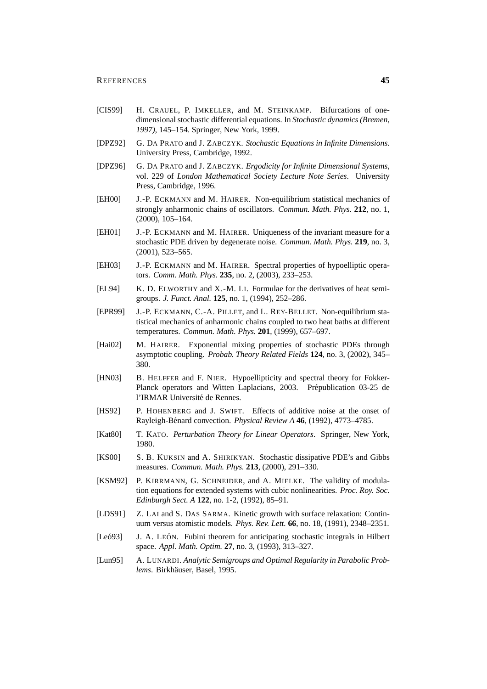- [CIS99] H. CRAUEL, P. IMKELLER, and M. STEINKAMP. Bifurcations of onedimensional stochastic differential equations. In *Stochastic dynamics (Bremen, 1997)*, 145–154. Springer, New York, 1999.
- [DPZ92] G. DA PRATO and J. ZABCZYK. *Stochastic Equations in Infinite Dimensions*. University Press, Cambridge, 1992.
- [DPZ96] G. DA PRATO and J. ZABCZYK. *Ergodicity for Infinite Dimensional Systems*, vol. 229 of *London Mathematical Society Lecture Note Series*. University Press, Cambridge, 1996.
- [EH00] J.-P. ECKMANN and M. HAIRER. Non-equilibrium statistical mechanics of strongly anharmonic chains of oscillators. *Commun. Math. Phys.* **212**, no. 1, (2000), 105–164.
- [EH01] J.-P. ECKMANN and M. HAIRER. Uniqueness of the invariant measure for a stochastic PDE driven by degenerate noise. *Commun. Math. Phys.* **219**, no. 3, (2001), 523–565.
- [EH03] J.-P. ECKMANN and M. HAIRER. Spectral properties of hypoelliptic operators. *Comm. Math. Phys.* **235**, no. 2, (2003), 233–253.
- [EL94] K. D. ELWORTHY and X.-M. LI. Formulae for the derivatives of heat semigroups. *J. Funct. Anal.* **125**, no. 1, (1994), 252–286.
- [EPR99] J.-P. ECKMANN, C.-A. PILLET, and L. REY-BELLET. Non-equilibrium statistical mechanics of anharmonic chains coupled to two heat baths at different temperatures. *Commun. Math. Phys.* **201**, (1999), 657–697.
- [Hai02] M. HAIRER. Exponential mixing properties of stochastic PDEs through asymptotic coupling. *Probab. Theory Related Fields* **124**, no. 3, (2002), 345– 380.
- [HN03] B. HELFFER and F. NIER. Hypoellipticity and spectral theory for Fokker-Planck operators and Witten Laplacians, 2003. Prepublication 03-25 de ´ l'IRMAR Université de Rennes.
- [HS92] P. HOHENBERG and J. SWIFT. Effects of additive noise at the onset of Rayleigh-Bénard convection. Physical Review A 46, (1992), 4773-4785.
- [Kat80] T. KATO. *Perturbation Theory for Linear Operators*. Springer, New York, 1980.
- [KS00] S. B. KUKSIN and A. SHIRIKYAN. Stochastic dissipative PDE's and Gibbs measures. *Commun. Math. Phys.* **213**, (2000), 291–330.
- [KSM92] P. KIRRMANN, G. SCHNEIDER, and A. MIELKE. The validity of modulation equations for extended systems with cubic nonlinearities. *Proc. Roy. Soc. Edinburgh Sect. A* **122**, no. 1-2, (1992), 85–91.
- [LDS91] Z. LAI and S. DAS SARMA. Kinetic growth with surface relaxation: Continuum versus atomistic models. *Phys. Rev. Lett.* **66**, no. 18, (1991), 2348–2351.
- [Leó93] J. A. León. Fubini theorem for anticipating stochastic integrals in Hilbert space. *Appl. Math. Optim.* **27**, no. 3, (1993), 313–327.
- [Lun95] A. LUNARDI. *Analytic Semigroups and Optimal Regularity in Parabolic Problems*. Birkhäuser, Basel, 1995.